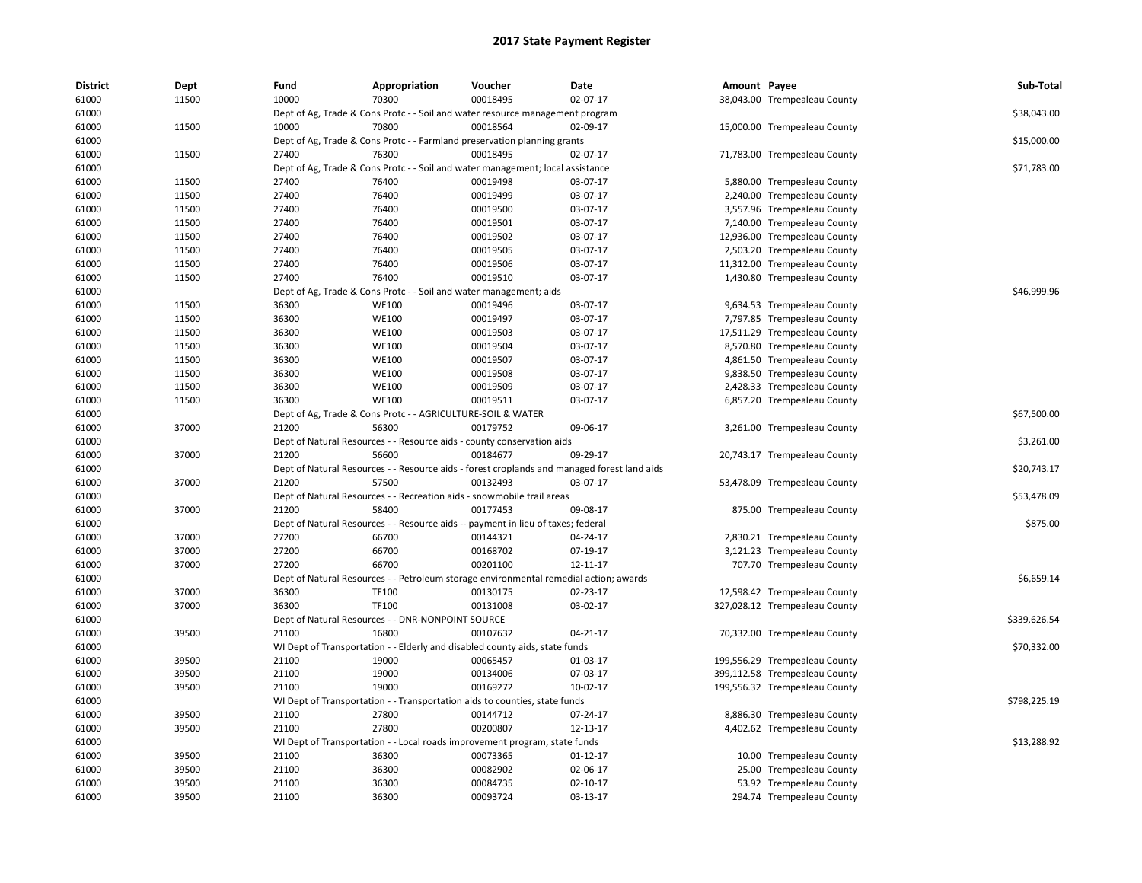| <b>District</b> | Dept  | Fund  | Appropriation                                                                         | Voucher  | Date                                                                                        | Amount Payee |                               | Sub-Total    |
|-----------------|-------|-------|---------------------------------------------------------------------------------------|----------|---------------------------------------------------------------------------------------------|--------------|-------------------------------|--------------|
| 61000           | 11500 | 10000 | 70300                                                                                 | 00018495 | 02-07-17                                                                                    |              | 38,043.00 Trempealeau County  |              |
| 61000           |       |       | Dept of Ag, Trade & Cons Protc - - Soil and water resource management program         |          |                                                                                             |              |                               | \$38,043.00  |
| 61000           | 11500 | 10000 | 70800                                                                                 | 00018564 | 02-09-17                                                                                    |              | 15,000.00 Trempealeau County  |              |
| 61000           |       |       | Dept of Ag, Trade & Cons Protc - - Farmland preservation planning grants              |          |                                                                                             |              |                               | \$15,000.00  |
| 61000           | 11500 | 27400 | 76300                                                                                 | 00018495 | 02-07-17                                                                                    |              | 71,783.00 Trempealeau County  |              |
| 61000           |       |       | Dept of Ag, Trade & Cons Protc - - Soil and water management; local assistance        |          |                                                                                             |              |                               | \$71,783.00  |
| 61000           | 11500 | 27400 | 76400                                                                                 | 00019498 | 03-07-17                                                                                    |              | 5,880.00 Trempealeau County   |              |
| 61000           | 11500 | 27400 | 76400                                                                                 | 00019499 | 03-07-17                                                                                    |              | 2,240.00 Trempealeau County   |              |
| 61000           | 11500 | 27400 | 76400                                                                                 | 00019500 | 03-07-17                                                                                    |              | 3,557.96 Trempealeau County   |              |
| 61000           | 11500 | 27400 | 76400                                                                                 | 00019501 | 03-07-17                                                                                    |              | 7,140.00 Trempealeau County   |              |
| 61000           | 11500 | 27400 | 76400                                                                                 | 00019502 | 03-07-17                                                                                    |              | 12,936.00 Trempealeau County  |              |
| 61000           | 11500 | 27400 | 76400                                                                                 | 00019505 | 03-07-17                                                                                    |              | 2,503.20 Trempealeau County   |              |
| 61000           | 11500 | 27400 | 76400                                                                                 | 00019506 | 03-07-17                                                                                    |              | 11,312.00 Trempealeau County  |              |
| 61000           | 11500 | 27400 | 76400                                                                                 | 00019510 | 03-07-17                                                                                    |              | 1,430.80 Trempealeau County   |              |
| 61000           |       |       | Dept of Ag, Trade & Cons Protc - - Soil and water management; aids                    |          |                                                                                             |              |                               | \$46,999.96  |
| 61000           | 11500 | 36300 | <b>WE100</b>                                                                          | 00019496 | 03-07-17                                                                                    |              | 9,634.53 Trempealeau County   |              |
| 61000           | 11500 | 36300 | <b>WE100</b>                                                                          | 00019497 | 03-07-17                                                                                    |              | 7,797.85 Trempealeau County   |              |
| 61000           | 11500 | 36300 | <b>WE100</b>                                                                          | 00019503 | 03-07-17                                                                                    |              | 17,511.29 Trempealeau County  |              |
| 61000           | 11500 | 36300 | <b>WE100</b>                                                                          | 00019504 | 03-07-17                                                                                    |              | 8,570.80 Trempealeau County   |              |
| 61000           | 11500 | 36300 | <b>WE100</b>                                                                          | 00019507 | 03-07-17                                                                                    |              | 4,861.50 Trempealeau County   |              |
| 61000           | 11500 | 36300 | <b>WE100</b>                                                                          | 00019508 | 03-07-17                                                                                    |              | 9,838.50 Trempealeau County   |              |
| 61000           | 11500 | 36300 | <b>WE100</b>                                                                          | 00019509 | 03-07-17                                                                                    |              | 2,428.33 Trempealeau County   |              |
| 61000           | 11500 | 36300 | <b>WE100</b>                                                                          | 00019511 | 03-07-17                                                                                    |              | 6,857.20 Trempealeau County   |              |
| 61000           |       |       | Dept of Ag, Trade & Cons Protc - - AGRICULTURE-SOIL & WATER                           |          |                                                                                             |              |                               | \$67,500.00  |
| 61000           | 37000 | 21200 | 56300                                                                                 | 00179752 | 09-06-17                                                                                    |              | 3,261.00 Trempealeau County   |              |
| 61000           |       |       | Dept of Natural Resources - - Resource aids - county conservation aids                |          |                                                                                             |              |                               | \$3,261.00   |
| 61000           | 37000 | 21200 | 56600                                                                                 | 00184677 | 09-29-17                                                                                    |              | 20,743.17 Trempealeau County  |              |
| 61000           |       |       |                                                                                       |          | Dept of Natural Resources - - Resource aids - forest croplands and managed forest land aids |              |                               | \$20,743.17  |
| 61000           | 37000 | 21200 | 57500                                                                                 | 00132493 | 03-07-17                                                                                    |              | 53,478.09 Trempealeau County  |              |
| 61000           |       |       | Dept of Natural Resources - - Recreation aids - snowmobile trail areas                |          |                                                                                             |              |                               | \$53,478.09  |
| 61000           | 37000 | 21200 | 58400                                                                                 | 00177453 | 09-08-17                                                                                    |              | 875.00 Trempealeau County     |              |
| 61000           |       |       | Dept of Natural Resources - - Resource aids -- payment in lieu of taxes; federal      |          |                                                                                             |              |                               | \$875.00     |
| 61000           | 37000 | 27200 | 66700                                                                                 | 00144321 | 04-24-17                                                                                    |              | 2,830.21 Trempealeau County   |              |
| 61000           | 37000 | 27200 | 66700                                                                                 | 00168702 | 07-19-17                                                                                    |              | 3,121.23 Trempealeau County   |              |
| 61000           | 37000 | 27200 | 66700                                                                                 | 00201100 | 12-11-17                                                                                    |              | 707.70 Trempealeau County     |              |
| 61000           |       |       | Dept of Natural Resources - - Petroleum storage environmental remedial action; awards |          |                                                                                             |              |                               | \$6,659.14   |
| 61000           | 37000 | 36300 | TF100                                                                                 | 00130175 | 02-23-17                                                                                    |              | 12,598.42 Trempealeau County  |              |
| 61000           | 37000 | 36300 | TF100                                                                                 | 00131008 | 03-02-17                                                                                    |              | 327,028.12 Trempealeau County |              |
| 61000           |       |       | Dept of Natural Resources - - DNR-NONPOINT SOURCE                                     |          |                                                                                             |              |                               | \$339,626.54 |
| 61000           | 39500 | 21100 | 16800                                                                                 | 00107632 | $04 - 21 - 17$                                                                              |              | 70,332.00 Trempealeau County  |              |
| 61000           |       |       | WI Dept of Transportation - - Elderly and disabled county aids, state funds           |          |                                                                                             |              |                               | \$70,332.00  |
| 61000           | 39500 | 21100 | 19000                                                                                 | 00065457 | 01-03-17                                                                                    |              | 199,556.29 Trempealeau County |              |
| 61000           | 39500 | 21100 | 19000                                                                                 | 00134006 | 07-03-17                                                                                    |              | 399,112.58 Trempealeau County |              |
| 61000           | 39500 | 21100 | 19000                                                                                 | 00169272 | 10-02-17                                                                                    |              | 199,556.32 Trempealeau County |              |
| 61000           |       |       | WI Dept of Transportation - - Transportation aids to counties, state funds            |          |                                                                                             |              |                               | \$798,225.19 |
| 61000           | 39500 | 21100 | 27800                                                                                 | 00144712 | 07-24-17                                                                                    |              | 8,886.30 Trempealeau County   |              |
| 61000           | 39500 | 21100 | 27800                                                                                 | 00200807 | 12-13-17                                                                                    |              | 4,402.62 Trempealeau County   |              |
| 61000           |       |       | WI Dept of Transportation - - Local roads improvement program, state funds            |          |                                                                                             |              |                               | \$13,288.92  |
| 61000           | 39500 | 21100 | 36300                                                                                 | 00073365 | 01-12-17                                                                                    |              | 10.00 Trempealeau County      |              |
| 61000           | 39500 | 21100 | 36300                                                                                 | 00082902 | 02-06-17                                                                                    |              | 25.00 Trempealeau County      |              |
| 61000           | 39500 | 21100 | 36300                                                                                 | 00084735 | 02-10-17                                                                                    |              | 53.92 Trempealeau County      |              |
| 61000           | 39500 | 21100 | 36300                                                                                 | 00093724 | 03-13-17                                                                                    |              | 294.74 Trempealeau County     |              |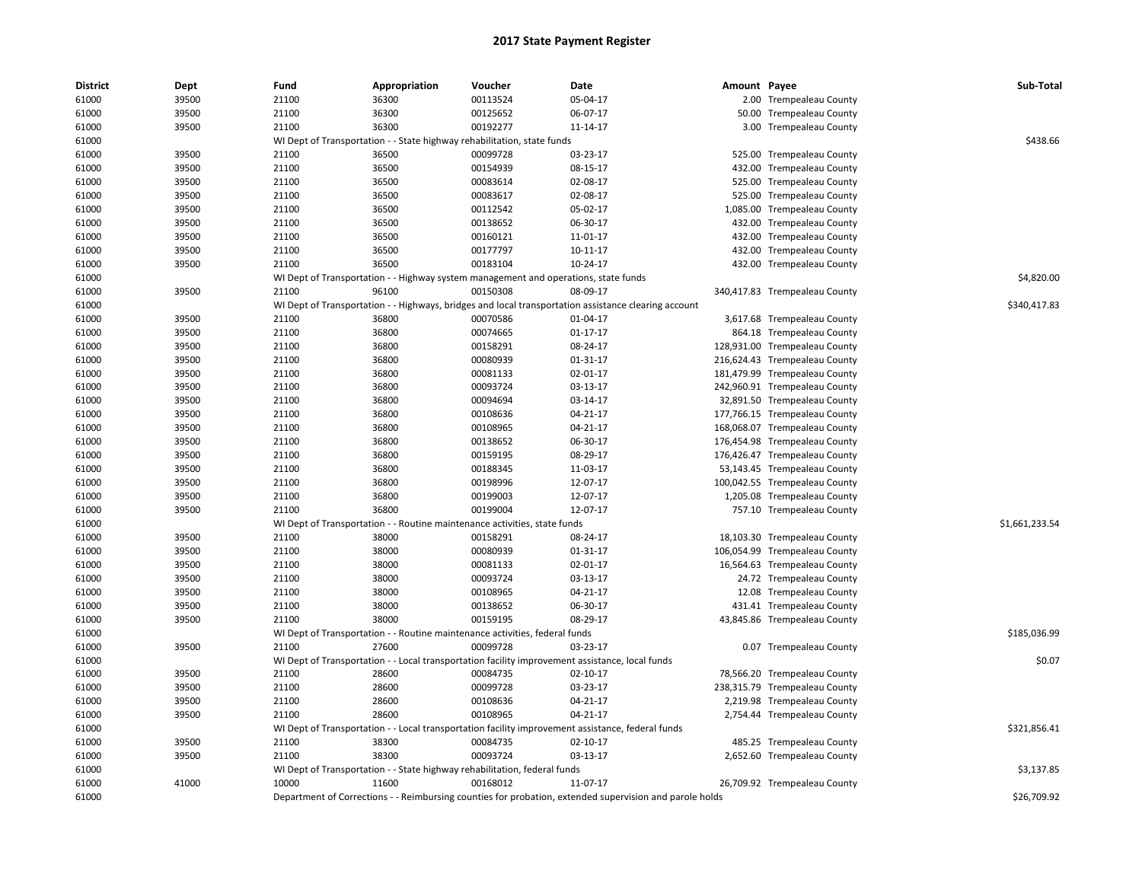| <b>District</b> | Dept  | Fund  | Appropriation                                                                       | Voucher  | Date                                                                                                    | Amount Payee |                               | Sub-Total      |
|-----------------|-------|-------|-------------------------------------------------------------------------------------|----------|---------------------------------------------------------------------------------------------------------|--------------|-------------------------------|----------------|
| 61000           | 39500 | 21100 | 36300                                                                               | 00113524 | 05-04-17                                                                                                |              | 2.00 Trempealeau County       |                |
| 61000           | 39500 | 21100 | 36300                                                                               | 00125652 | 06-07-17                                                                                                | 50.00        | <b>Trempealeau County</b>     |                |
| 61000           | 39500 | 21100 | 36300                                                                               | 00192277 | 11-14-17                                                                                                |              | 3.00 Trempealeau County       |                |
| 61000           |       |       | WI Dept of Transportation - - State highway rehabilitation, state funds             |          |                                                                                                         |              |                               | \$438.66       |
| 61000           | 39500 | 21100 | 36500                                                                               | 00099728 | 03-23-17                                                                                                | 525.00       | <b>Trempealeau County</b>     |                |
| 61000           | 39500 | 21100 | 36500                                                                               | 00154939 | 08-15-17                                                                                                | 432.00       | <b>Trempealeau County</b>     |                |
| 61000           | 39500 | 21100 | 36500                                                                               | 00083614 | 02-08-17                                                                                                | 525.00       | <b>Trempealeau County</b>     |                |
| 61000           | 39500 | 21100 | 36500                                                                               | 00083617 | 02-08-17                                                                                                | 525.00       | <b>Trempealeau County</b>     |                |
| 61000           | 39500 | 21100 | 36500                                                                               | 00112542 | 05-02-17                                                                                                |              | 1,085.00 Trempealeau County   |                |
| 61000           | 39500 | 21100 | 36500                                                                               | 00138652 | 06-30-17                                                                                                | 432.00       | <b>Trempealeau County</b>     |                |
| 61000           | 39500 | 21100 | 36500                                                                               | 00160121 | 11-01-17                                                                                                | 432.00       | <b>Trempealeau County</b>     |                |
| 61000           | 39500 | 21100 | 36500                                                                               | 00177797 | 10-11-17                                                                                                | 432.00       | <b>Trempealeau County</b>     |                |
| 61000           | 39500 | 21100 | 36500                                                                               | 00183104 | 10-24-17                                                                                                |              | 432.00 Trempealeau County     |                |
| 61000           |       |       | WI Dept of Transportation - - Highway system management and operations, state funds |          |                                                                                                         |              |                               | \$4,820.00     |
| 61000           | 39500 | 21100 | 96100                                                                               | 00150308 | 08-09-17                                                                                                |              | 340,417.83 Trempealeau County |                |
| 61000           |       |       |                                                                                     |          | WI Dept of Transportation - - Highways, bridges and local transportation assistance clearing account    |              |                               | \$340,417.83   |
| 61000           | 39500 | 21100 | 36800                                                                               | 00070586 | 01-04-17                                                                                                |              | 3,617.68 Trempealeau County   |                |
| 61000           | 39500 | 21100 | 36800                                                                               | 00074665 | 01-17-17                                                                                                |              | 864.18 Trempealeau County     |                |
| 61000           | 39500 | 21100 | 36800                                                                               | 00158291 | 08-24-17                                                                                                |              | 128,931.00 Trempealeau County |                |
| 61000           | 39500 | 21100 | 36800                                                                               | 00080939 | 01-31-17                                                                                                |              | 216,624.43 Trempealeau County |                |
| 61000           | 39500 | 21100 | 36800                                                                               | 00081133 | 02-01-17                                                                                                |              | 181,479.99 Trempealeau County |                |
| 61000           | 39500 | 21100 | 36800                                                                               | 00093724 | 03-13-17                                                                                                |              | 242,960.91 Trempealeau County |                |
| 61000           | 39500 | 21100 | 36800                                                                               | 00094694 | 03-14-17                                                                                                |              | 32,891.50 Trempealeau County  |                |
| 61000           | 39500 | 21100 | 36800                                                                               | 00108636 | 04-21-17                                                                                                |              | 177,766.15 Trempealeau County |                |
| 61000           | 39500 | 21100 | 36800                                                                               | 00108965 | 04-21-17                                                                                                |              | 168,068.07 Trempealeau County |                |
| 61000           | 39500 | 21100 | 36800                                                                               | 00138652 | 06-30-17                                                                                                |              | 176,454.98 Trempealeau County |                |
| 61000           | 39500 | 21100 | 36800                                                                               | 00159195 | 08-29-17                                                                                                |              | 176,426.47 Trempealeau County |                |
| 61000           | 39500 | 21100 | 36800                                                                               | 00188345 | 11-03-17                                                                                                |              | 53,143.45 Trempealeau County  |                |
| 61000           | 39500 | 21100 | 36800                                                                               | 00198996 | 12-07-17                                                                                                |              | 100,042.55 Trempealeau County |                |
| 61000           | 39500 | 21100 | 36800                                                                               | 00199003 | 12-07-17                                                                                                |              | 1,205.08 Trempealeau County   |                |
|                 |       |       |                                                                                     |          |                                                                                                         |              |                               |                |
| 61000           | 39500 | 21100 | 36800                                                                               | 00199004 | 12-07-17                                                                                                |              | 757.10 Trempealeau County     |                |
| 61000           |       |       | WI Dept of Transportation - - Routine maintenance activities, state funds           |          |                                                                                                         |              |                               | \$1,661,233.54 |
| 61000           | 39500 | 21100 | 38000                                                                               | 00158291 | 08-24-17                                                                                                |              | 18,103.30 Trempealeau County  |                |
| 61000           | 39500 | 21100 | 38000                                                                               | 00080939 | 01-31-17                                                                                                |              | 106,054.99 Trempealeau County |                |
| 61000           | 39500 | 21100 | 38000                                                                               | 00081133 | 02-01-17                                                                                                |              | 16,564.63 Trempealeau County  |                |
| 61000           | 39500 | 21100 | 38000                                                                               | 00093724 | 03-13-17                                                                                                |              | 24.72 Trempealeau County      |                |
| 61000           | 39500 | 21100 | 38000                                                                               | 00108965 | 04-21-17                                                                                                |              | 12.08 Trempealeau County      |                |
| 61000           | 39500 | 21100 | 38000                                                                               | 00138652 | 06-30-17                                                                                                |              | 431.41 Trempealeau County     |                |
| 61000           | 39500 | 21100 | 38000                                                                               | 00159195 | 08-29-17                                                                                                |              | 43,845.86 Trempealeau County  |                |
| 61000           |       |       | WI Dept of Transportation - - Routine maintenance activities, federal funds         |          |                                                                                                         |              |                               | \$185,036.99   |
| 61000           | 39500 | 21100 | 27600                                                                               | 00099728 | 03-23-17                                                                                                |              | 0.07 Trempealeau County       |                |
| 61000           |       |       |                                                                                     |          | WI Dept of Transportation - - Local transportation facility improvement assistance, local funds         |              |                               | \$0.07         |
| 61000           | 39500 | 21100 | 28600                                                                               | 00084735 | 02-10-17                                                                                                |              | 78,566.20 Trempealeau County  |                |
| 61000           | 39500 | 21100 | 28600                                                                               | 00099728 | 03-23-17                                                                                                |              | 238,315.79 Trempealeau County |                |
| 61000           | 39500 | 21100 | 28600                                                                               | 00108636 | 04-21-17                                                                                                |              | 2,219.98 Trempealeau County   |                |
| 61000           | 39500 | 21100 | 28600                                                                               | 00108965 | 04-21-17                                                                                                |              | 2,754.44 Trempealeau County   |                |
| 61000           |       |       |                                                                                     |          | WI Dept of Transportation - - Local transportation facility improvement assistance, federal funds       |              |                               | \$321,856.41   |
| 61000           | 39500 | 21100 | 38300                                                                               | 00084735 | 02-10-17                                                                                                |              | 485.25 Trempealeau County     |                |
| 61000           | 39500 | 21100 | 38300                                                                               | 00093724 | 03-13-17                                                                                                |              | 2,652.60 Trempealeau County   |                |
| 61000           |       |       | WI Dept of Transportation - - State highway rehabilitation, federal funds           |          |                                                                                                         |              |                               | \$3,137.85     |
| 61000           | 41000 | 10000 | 11600                                                                               | 00168012 | 11-07-17                                                                                                |              | 26,709.92 Trempealeau County  |                |
| 61000           |       |       |                                                                                     |          | Department of Corrections - - Reimbursing counties for probation, extended supervision and parole holds |              |                               | \$26,709.92    |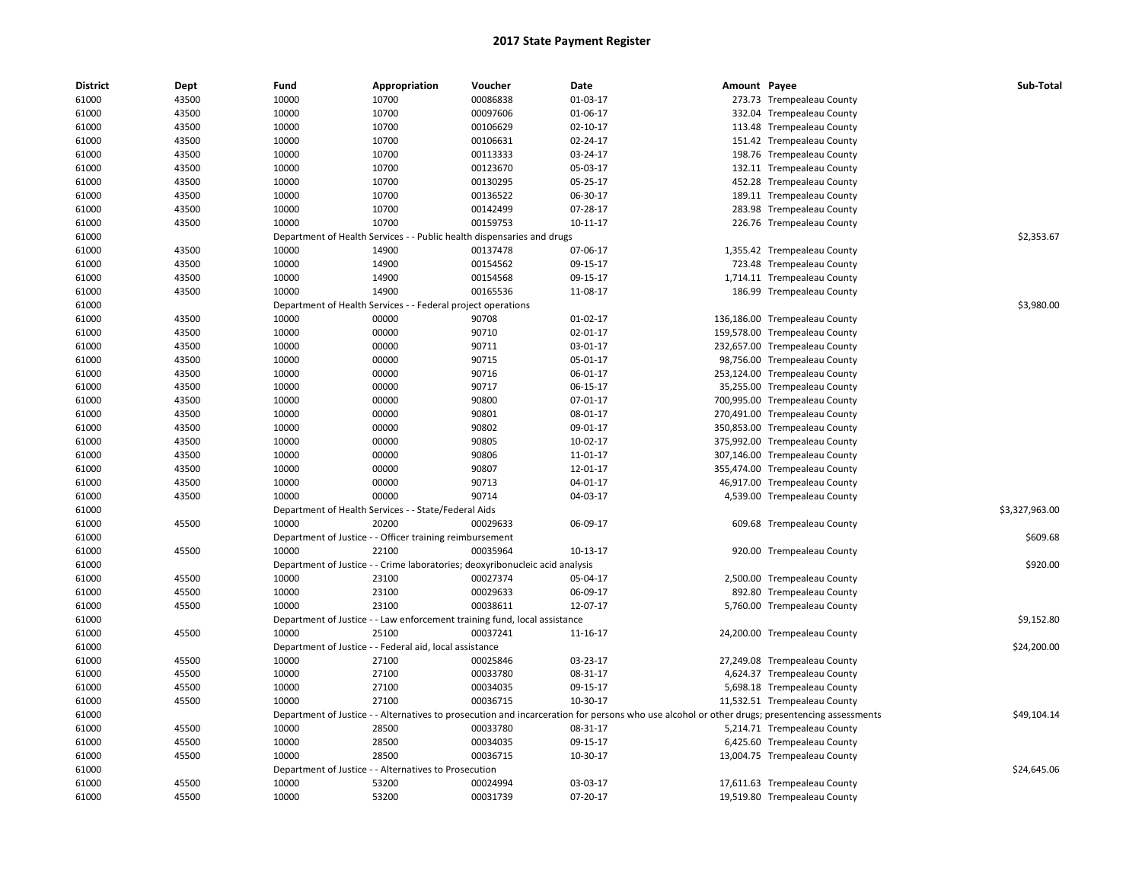| <b>District</b> | Dept  | Fund  | Appropriation                                                                | Voucher  | Date                                                                                                                                          | Amount Payee |                               | Sub-Total      |
|-----------------|-------|-------|------------------------------------------------------------------------------|----------|-----------------------------------------------------------------------------------------------------------------------------------------------|--------------|-------------------------------|----------------|
| 61000           | 43500 | 10000 | 10700                                                                        | 00086838 | 01-03-17                                                                                                                                      |              | 273.73 Trempealeau County     |                |
| 61000           | 43500 | 10000 | 10700                                                                        | 00097606 | 01-06-17                                                                                                                                      |              | 332.04 Trempealeau County     |                |
| 61000           | 43500 | 10000 | 10700                                                                        | 00106629 | $02 - 10 - 17$                                                                                                                                |              | 113.48 Trempealeau County     |                |
| 61000           | 43500 | 10000 | 10700                                                                        | 00106631 | 02-24-17                                                                                                                                      |              | 151.42 Trempealeau County     |                |
| 61000           | 43500 | 10000 | 10700                                                                        | 00113333 | 03-24-17                                                                                                                                      |              | 198.76 Trempealeau County     |                |
| 61000           | 43500 | 10000 | 10700                                                                        | 00123670 | 05-03-17                                                                                                                                      |              | 132.11 Trempealeau County     |                |
| 61000           | 43500 | 10000 | 10700                                                                        | 00130295 | 05-25-17                                                                                                                                      |              | 452.28 Trempealeau County     |                |
| 61000           | 43500 | 10000 | 10700                                                                        | 00136522 | 06-30-17                                                                                                                                      |              | 189.11 Trempealeau County     |                |
| 61000           | 43500 | 10000 | 10700                                                                        | 00142499 | 07-28-17                                                                                                                                      |              | 283.98 Trempealeau County     |                |
| 61000           | 43500 | 10000 | 10700                                                                        | 00159753 | 10-11-17                                                                                                                                      |              | 226.76 Trempealeau County     |                |
| 61000           |       |       | Department of Health Services - - Public health dispensaries and drugs       |          |                                                                                                                                               |              |                               | \$2,353.67     |
| 61000           | 43500 | 10000 | 14900                                                                        | 00137478 | 07-06-17                                                                                                                                      |              | 1,355.42 Trempealeau County   |                |
| 61000           | 43500 | 10000 | 14900                                                                        | 00154562 | 09-15-17                                                                                                                                      |              | 723.48 Trempealeau County     |                |
| 61000           | 43500 | 10000 | 14900                                                                        | 00154568 | 09-15-17                                                                                                                                      |              | 1,714.11 Trempealeau County   |                |
| 61000           | 43500 | 10000 | 14900                                                                        | 00165536 | 11-08-17                                                                                                                                      |              | 186.99 Trempealeau County     |                |
| 61000           |       |       | Department of Health Services - - Federal project operations                 |          |                                                                                                                                               |              |                               | \$3,980.00     |
| 61000           | 43500 | 10000 | 00000                                                                        | 90708    | 01-02-17                                                                                                                                      |              | 136,186.00 Trempealeau County |                |
| 61000           | 43500 | 10000 | 00000                                                                        | 90710    | 02-01-17                                                                                                                                      |              | 159,578.00 Trempealeau County |                |
| 61000           | 43500 | 10000 | 00000                                                                        | 90711    | 03-01-17                                                                                                                                      |              | 232,657.00 Trempealeau County |                |
| 61000           | 43500 | 10000 | 00000                                                                        | 90715    | 05-01-17                                                                                                                                      |              | 98,756.00 Trempealeau County  |                |
| 61000           | 43500 | 10000 | 00000                                                                        | 90716    | 06-01-17                                                                                                                                      |              | 253,124.00 Trempealeau County |                |
| 61000           | 43500 | 10000 | 00000                                                                        | 90717    | 06-15-17                                                                                                                                      |              | 35,255.00 Trempealeau County  |                |
| 61000           | 43500 | 10000 | 00000                                                                        | 90800    | 07-01-17                                                                                                                                      |              | 700,995.00 Trempealeau County |                |
| 61000           | 43500 | 10000 | 00000                                                                        | 90801    | 08-01-17                                                                                                                                      |              | 270,491.00 Trempealeau County |                |
| 61000           | 43500 | 10000 | 00000                                                                        | 90802    | 09-01-17                                                                                                                                      |              | 350,853.00 Trempealeau County |                |
| 61000           | 43500 | 10000 | 00000                                                                        | 90805    | 10-02-17                                                                                                                                      |              | 375,992.00 Trempealeau County |                |
| 61000           | 43500 | 10000 | 00000                                                                        | 90806    | 11-01-17                                                                                                                                      |              | 307,146.00 Trempealeau County |                |
| 61000           | 43500 | 10000 | 00000                                                                        | 90807    | 12-01-17                                                                                                                                      |              | 355,474.00 Trempealeau County |                |
| 61000           | 43500 | 10000 | 00000                                                                        | 90713    | 04-01-17                                                                                                                                      |              | 46,917.00 Trempealeau County  |                |
| 61000           | 43500 | 10000 | 00000                                                                        | 90714    | 04-03-17                                                                                                                                      |              | 4,539.00 Trempealeau County   |                |
| 61000           |       |       | Department of Health Services - - State/Federal Aids                         |          |                                                                                                                                               |              |                               | \$3,327,963.00 |
| 61000           | 45500 | 10000 | 20200                                                                        | 00029633 | 06-09-17                                                                                                                                      |              | 609.68 Trempealeau County     |                |
| 61000           |       |       | Department of Justice - - Officer training reimbursement                     |          |                                                                                                                                               |              |                               | \$609.68       |
| 61000           | 45500 | 10000 | 22100                                                                        | 00035964 | 10-13-17                                                                                                                                      |              | 920.00 Trempealeau County     |                |
| 61000           |       |       | Department of Justice - - Crime laboratories; deoxyribonucleic acid analysis |          |                                                                                                                                               |              |                               | \$920.00       |
| 61000           | 45500 | 10000 | 23100                                                                        | 00027374 | 05-04-17                                                                                                                                      |              | 2,500.00 Trempealeau County   |                |
| 61000           | 45500 | 10000 | 23100                                                                        | 00029633 | 06-09-17                                                                                                                                      |              | 892.80 Trempealeau County     |                |
| 61000           | 45500 | 10000 | 23100                                                                        | 00038611 | 12-07-17                                                                                                                                      |              | 5,760.00 Trempealeau County   |                |
| 61000           |       |       | Department of Justice - - Law enforcement training fund, local assistance    |          |                                                                                                                                               |              |                               | \$9,152.80     |
| 61000           | 45500 | 10000 | 25100                                                                        | 00037241 | 11-16-17                                                                                                                                      |              | 24,200.00 Trempealeau County  |                |
| 61000           |       |       | Department of Justice - - Federal aid, local assistance                      |          |                                                                                                                                               |              |                               | \$24,200.00    |
| 61000           | 45500 | 10000 | 27100                                                                        | 00025846 | 03-23-17                                                                                                                                      |              | 27,249.08 Trempealeau County  |                |
| 61000           | 45500 | 10000 | 27100                                                                        | 00033780 | 08-31-17                                                                                                                                      |              | 4,624.37 Trempealeau County   |                |
| 61000           | 45500 | 10000 | 27100                                                                        | 00034035 | 09-15-17                                                                                                                                      |              | 5,698.18 Trempealeau County   |                |
| 61000           | 45500 | 10000 | 27100                                                                        | 00036715 | 10-30-17                                                                                                                                      |              | 11,532.51 Trempealeau County  |                |
| 61000           |       |       |                                                                              |          | Department of Justice - - Alternatives to prosecution and incarceration for persons who use alcohol or other drugs; presentencing assessments |              |                               | \$49,104.14    |
| 61000           | 45500 | 10000 | 28500                                                                        | 00033780 | 08-31-17                                                                                                                                      |              | 5,214.71 Trempealeau County   |                |
| 61000           | 45500 | 10000 | 28500                                                                        | 00034035 | 09-15-17                                                                                                                                      |              | 6,425.60 Trempealeau County   |                |
| 61000           | 45500 | 10000 | 28500                                                                        | 00036715 | 10-30-17                                                                                                                                      |              | 13,004.75 Trempealeau County  |                |
| 61000           |       |       | Department of Justice - - Alternatives to Prosecution                        |          |                                                                                                                                               |              |                               | \$24,645.06    |
| 61000           | 45500 | 10000 | 53200                                                                        | 00024994 | 03-03-17                                                                                                                                      |              | 17,611.63 Trempealeau County  |                |
| 61000           | 45500 | 10000 | 53200                                                                        | 00031739 | 07-20-17                                                                                                                                      |              | 19,519.80 Trempealeau County  |                |
|                 |       |       |                                                                              |          |                                                                                                                                               |              |                               |                |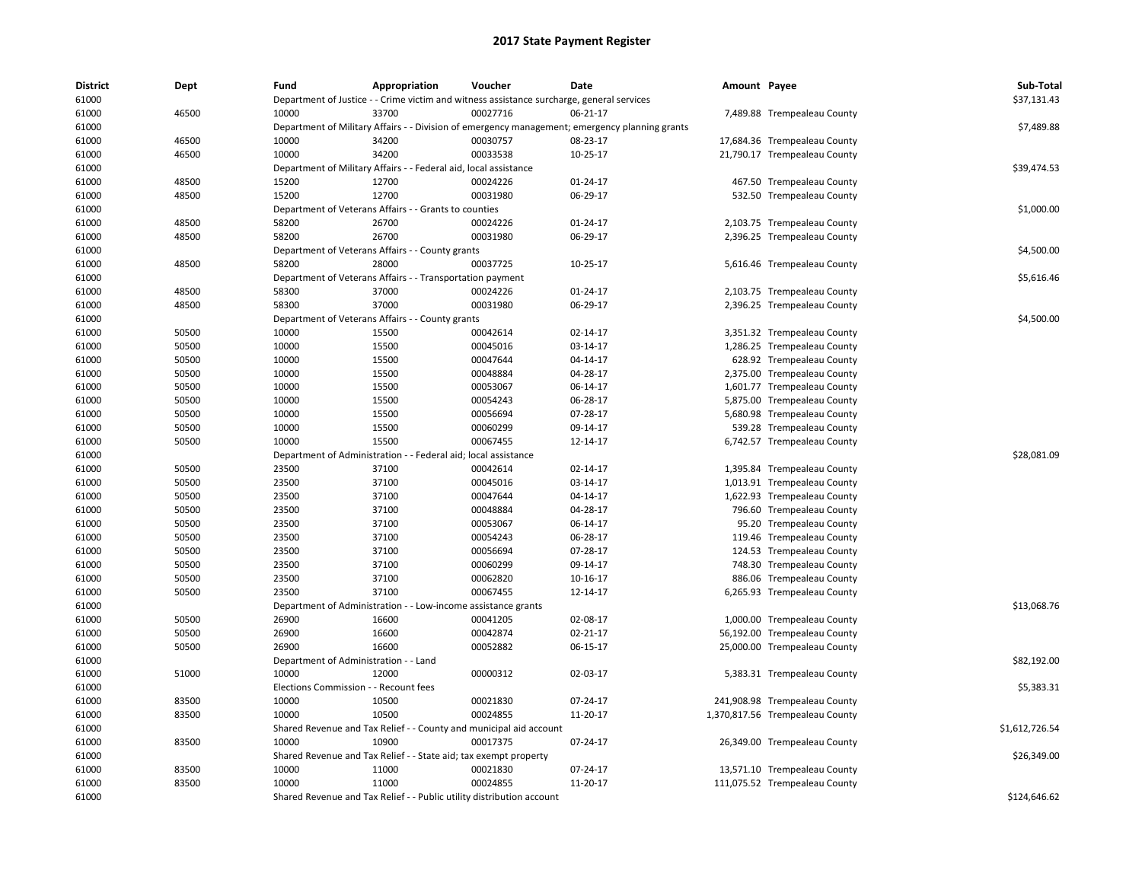| District | Dept  | Fund                         | Appropriation                                                                                  | Voucher                         | Date     | Amount Payee |                                 | Sub-Total      |
|----------|-------|------------------------------|------------------------------------------------------------------------------------------------|---------------------------------|----------|--------------|---------------------------------|----------------|
| 61000    |       |                              | Department of Justice - - Crime victim and witness assistance surcharge, general services      |                                 |          |              |                                 | \$37,131.43    |
| 61000    | 46500 | 10000                        | 33700                                                                                          | 00027716                        | 06-21-17 |              | 7,489.88 Trempealeau County     |                |
| 61000    |       |                              | Department of Military Affairs - - Division of emergency management; emergency planning grants |                                 |          |              |                                 | \$7,489.88     |
| 61000    | 46500 | 10000                        | 34200                                                                                          | 00030757                        | 08-23-17 |              | 17,684.36 Trempealeau County    |                |
| 61000    | 46500 | 10000                        | 34200                                                                                          | 00033538                        | 10-25-17 |              | 21,790.17 Trempealeau County    |                |
| 61000    |       |                              | Department of Military Affairs - - Federal aid, local assistance                               |                                 |          |              |                                 | \$39,474.53    |
| 61000    | 48500 | 15200                        | 12700                                                                                          | 00024226                        | 01-24-17 |              | 467.50 Trempealeau County       |                |
| 61000    | 48500 | 15200                        | 12700                                                                                          | 00031980                        | 06-29-17 |              | 532.50 Trempealeau County       |                |
| 61000    |       |                              | Department of Veterans Affairs - - Grants to counties                                          |                                 |          |              |                                 | \$1,000.00     |
| 61000    | 48500 | 58200                        | 26700                                                                                          | 00024226                        | 01-24-17 |              | 2,103.75 Trempealeau County     |                |
| 61000    | 48500 | 58200                        | 26700                                                                                          | 00031980                        | 06-29-17 |              | 2,396.25 Trempealeau County     |                |
| 61000    |       |                              | Department of Veterans Affairs - - County grants                                               |                                 |          |              |                                 | \$4,500.00     |
| 61000    | 48500 | 58200                        | 28000                                                                                          | 00037725                        | 10-25-17 |              | 5,616.46 Trempealeau County     |                |
| 61000    |       |                              | Department of Veterans Affairs - - Transportation payment                                      |                                 |          |              |                                 | \$5,616.46     |
| 61000    | 48500 | 58300                        | 37000                                                                                          | 00024226                        | 01-24-17 |              | 2,103.75 Trempealeau County     |                |
| 61000    | 48500 | 58300                        | 37000                                                                                          | 00031980                        | 06-29-17 |              | 2,396.25 Trempealeau County     |                |
| 61000    |       |                              | Department of Veterans Affairs - - County grants                                               |                                 |          |              |                                 | \$4,500.00     |
| 61000    | 50500 | 10000                        | 15500                                                                                          | 00042614                        | 02-14-17 |              | 3,351.32 Trempealeau County     |                |
| 61000    | 50500 | 10000                        | 15500                                                                                          | 00045016                        | 03-14-17 |              | 1,286.25 Trempealeau County     |                |
| 61000    | 50500 | 10000                        | 15500                                                                                          | 00047644                        | 04-14-17 |              | 628.92 Trempealeau County       |                |
| 61000    | 50500 | 10000                        | 15500                                                                                          | 00048884                        | 04-28-17 |              | 2,375.00 Trempealeau County     |                |
| 61000    | 50500 | 10000                        | 15500                                                                                          | 00053067                        | 06-14-17 |              | 1,601.77 Trempealeau County     |                |
| 61000    | 50500 | 10000                        | 15500                                                                                          | 00054243                        | 06-28-17 |              | 5,875.00 Trempealeau County     |                |
| 61000    | 50500 | 10000                        | 15500                                                                                          | 00056694                        | 07-28-17 |              | 5,680.98 Trempealeau County     |                |
| 61000    | 50500 | 10000                        | 15500                                                                                          | 00060299                        | 09-14-17 |              | 539.28 Trempealeau County       |                |
| 61000    | 50500 | 10000                        | 15500                                                                                          | 00067455                        | 12-14-17 |              | 6,742.57 Trempealeau County     |                |
| 61000    |       | Department of Administration |                                                                                                | - Federal aid; local assistance |          |              |                                 | \$28,081.09    |
| 61000    | 50500 | 23500                        | 37100                                                                                          | 00042614                        | 02-14-17 |              | 1,395.84 Trempealeau County     |                |
| 61000    | 50500 | 23500                        | 37100                                                                                          | 00045016                        | 03-14-17 |              | 1,013.91 Trempealeau County     |                |
| 61000    | 50500 | 23500                        | 37100                                                                                          | 00047644                        | 04-14-17 |              | 1,622.93 Trempealeau County     |                |
| 61000    | 50500 | 23500                        | 37100                                                                                          | 00048884                        | 04-28-17 |              | 796.60 Trempealeau County       |                |
| 61000    | 50500 | 23500                        | 37100                                                                                          | 00053067                        | 06-14-17 |              | 95.20 Trempealeau County        |                |
| 61000    | 50500 | 23500                        | 37100                                                                                          | 00054243                        | 06-28-17 |              | 119.46 Trempealeau County       |                |
| 61000    | 50500 | 23500                        | 37100                                                                                          | 00056694                        | 07-28-17 |              | 124.53 Trempealeau County       |                |
| 61000    | 50500 | 23500                        | 37100                                                                                          | 00060299                        | 09-14-17 |              | 748.30 Trempealeau County       |                |
| 61000    | 50500 | 23500                        | 37100                                                                                          | 00062820                        | 10-16-17 |              | 886.06 Trempealeau County       |                |
| 61000    | 50500 | 23500                        | 37100                                                                                          | 00067455                        | 12-14-17 |              | 6,265.93 Trempealeau County     |                |
| 61000    |       | Department of Administration |                                                                                                | - Low-income assistance grants  |          |              |                                 | \$13,068.76    |
| 61000    | 50500 | 26900                        | 16600                                                                                          | 00041205                        | 02-08-17 |              | 1,000.00 Trempealeau County     |                |
| 61000    | 50500 | 26900                        | 16600                                                                                          | 00042874                        | 02-21-17 |              | 56,192.00 Trempealeau County    |                |
| 61000    | 50500 | 26900                        | 16600                                                                                          | 00052882                        | 06-15-17 |              | 25,000.00 Trempealeau County    |                |
| 61000    |       |                              | Department of Administration - - Land                                                          |                                 |          |              |                                 | \$82,192.00    |
| 61000    | 51000 | 10000                        | 12000                                                                                          | 00000312                        | 02-03-17 |              | 5,383.31 Trempealeau County     |                |
| 61000    |       |                              | Elections Commission - - Recount fees                                                          |                                 |          |              |                                 | \$5,383.31     |
| 61000    | 83500 | 10000                        | 10500                                                                                          | 00021830                        | 07-24-17 |              | 241,908.98 Trempealeau County   |                |
| 61000    | 83500 | 10000                        | 10500                                                                                          | 00024855                        | 11-20-17 |              | 1,370,817.56 Trempealeau County |                |
| 61000    |       |                              | Shared Revenue and Tax Relief - - County and municipal aid account                             |                                 |          |              |                                 | \$1,612,726.54 |
| 61000    | 83500 | 10000                        | 10900                                                                                          | 00017375                        | 07-24-17 |              |                                 |                |
| 61000    |       |                              |                                                                                                |                                 |          |              | 26,349.00 Trempealeau County    | \$26,349.00    |
| 61000    | 83500 | 10000                        | Shared Revenue and Tax Relief - - State aid; tax exempt property<br>11000                      | 00021830                        | 07-24-17 |              | 13,571.10 Trempealeau County    |                |
| 61000    | 83500 | 10000                        | 11000                                                                                          | 00024855                        | 11-20-17 |              | 111,075.52 Trempealeau County   |                |
|          |       |                              |                                                                                                |                                 |          |              |                                 | \$124.646.62   |
| 61000    |       |                              | Shared Revenue and Tax Relief - - Public utility distribution account                          |                                 |          |              |                                 |                |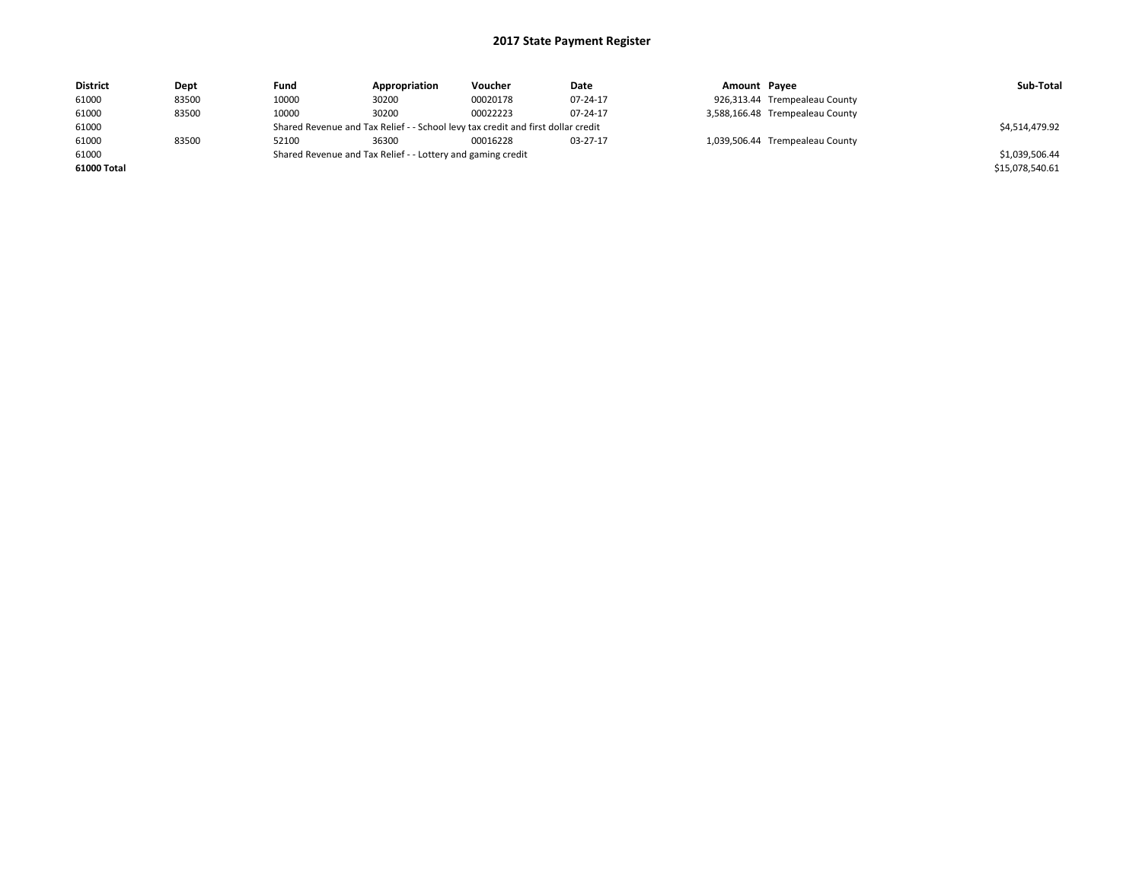| <b>District</b> | Dept  | Fund  | Appropriation                                                                    | Voucher  | Date     | Amount Payee |                                 | Sub-Total       |  |
|-----------------|-------|-------|----------------------------------------------------------------------------------|----------|----------|--------------|---------------------------------|-----------------|--|
| 61000           | 83500 | 10000 | 30200                                                                            | 00020178 | 07-24-17 |              | 926,313.44 Trempealeau County   |                 |  |
| 61000           | 83500 | 10000 | 30200                                                                            | 00022223 | 07-24-17 |              | 3,588,166.48 Trempealeau County |                 |  |
| 61000           |       |       | Shared Revenue and Tax Relief - - School levy tax credit and first dollar credit |          |          |              |                                 |                 |  |
| 61000           | 83500 | 52100 | 36300                                                                            | 00016228 | 03-27-17 |              | 1,039,506.44 Trempealeau County |                 |  |
| 61000           |       |       | Shared Revenue and Tax Relief - - Lottery and gaming credit                      |          |          |              |                                 | \$1,039,506.44  |  |
| 61000 Total     |       |       |                                                                                  |          |          |              |                                 | \$15,078,540.61 |  |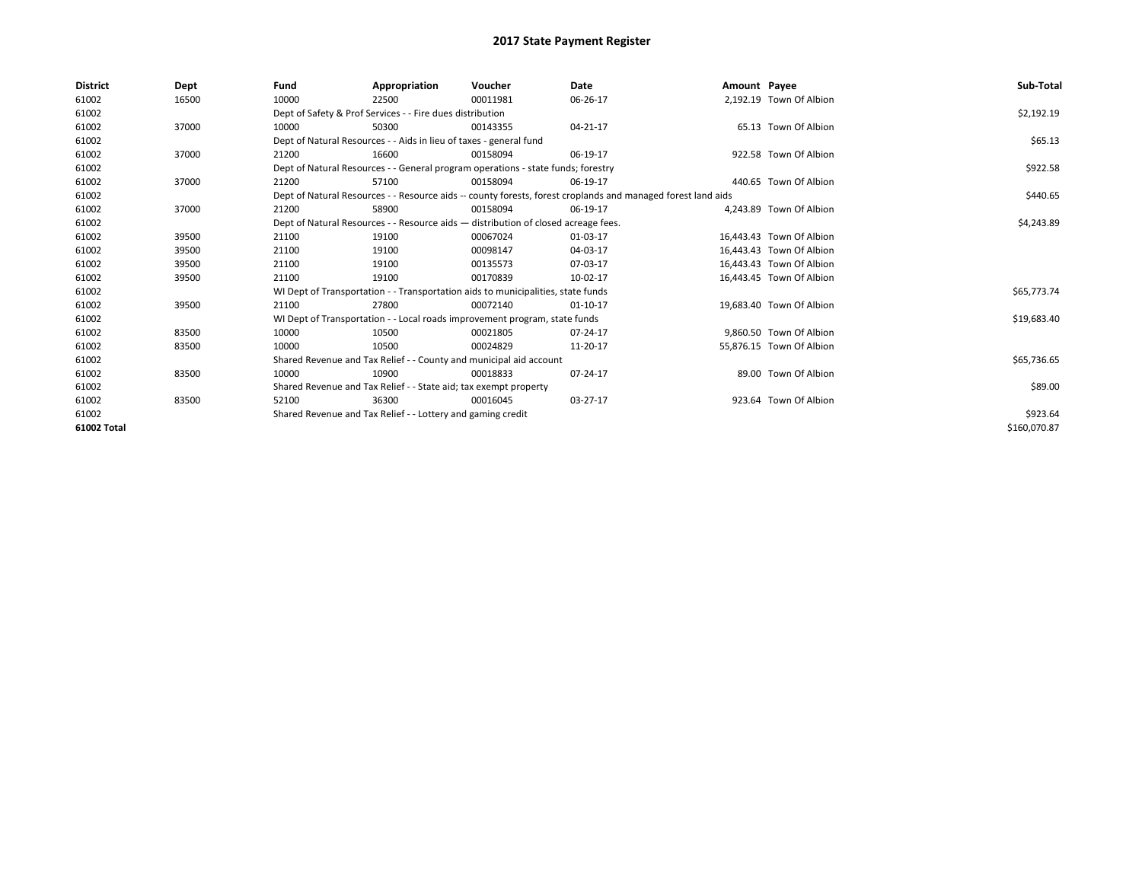| <b>District</b> | Dept  | Fund  | Appropriation                                                                                                | Voucher  | Date           | Amount Payee |                          | Sub-Total    |
|-----------------|-------|-------|--------------------------------------------------------------------------------------------------------------|----------|----------------|--------------|--------------------------|--------------|
| 61002           | 16500 | 10000 | 22500                                                                                                        | 00011981 | 06-26-17       |              | 2.192.19 Town Of Albion  |              |
| 61002           |       |       | Dept of Safety & Prof Services - - Fire dues distribution                                                    |          |                |              |                          | \$2,192.19   |
| 61002           | 37000 | 10000 | 50300                                                                                                        | 00143355 | $04 - 21 - 17$ |              | 65.13 Town Of Albion     |              |
| 61002           |       |       | Dept of Natural Resources - - Aids in lieu of taxes - general fund                                           |          |                |              |                          | \$65.13      |
| 61002           | 37000 | 21200 | 16600                                                                                                        | 00158094 | 06-19-17       |              | 922.58 Town Of Albion    |              |
| 61002           |       |       | Dept of Natural Resources - - General program operations - state funds; forestry                             |          |                |              |                          | \$922.58     |
| 61002           | 37000 | 21200 | 57100                                                                                                        | 00158094 | 06-19-17       |              | 440.65 Town Of Albion    |              |
| 61002           |       |       | Dept of Natural Resources - - Resource aids -- county forests, forest croplands and managed forest land aids |          | \$440.65       |              |                          |              |
| 61002           | 37000 | 21200 | 58900                                                                                                        | 00158094 | 06-19-17       |              | 4,243.89 Town Of Albion  |              |
| 61002           |       |       | Dept of Natural Resources - - Resource aids - distribution of closed acreage fees.                           |          |                |              |                          | \$4,243.89   |
| 61002           | 39500 | 21100 | 19100                                                                                                        | 00067024 | 01-03-17       |              | 16,443.43 Town Of Albion |              |
| 61002           | 39500 | 21100 | 19100                                                                                                        | 00098147 | 04-03-17       |              | 16,443.43 Town Of Albion |              |
| 61002           | 39500 | 21100 | 19100                                                                                                        | 00135573 | 07-03-17       |              | 16,443.43 Town Of Albion |              |
| 61002           | 39500 | 21100 | 19100                                                                                                        | 00170839 | 10-02-17       |              | 16,443.45 Town Of Albion |              |
| 61002           |       |       | WI Dept of Transportation - - Transportation aids to municipalities, state funds                             |          |                |              |                          | \$65,773.74  |
| 61002           | 39500 | 21100 | 27800                                                                                                        | 00072140 | 01-10-17       |              | 19,683.40 Town Of Albion |              |
| 61002           |       |       | WI Dept of Transportation - - Local roads improvement program, state funds                                   |          |                |              |                          | \$19,683.40  |
| 61002           | 83500 | 10000 | 10500                                                                                                        | 00021805 | 07-24-17       |              | 9,860.50 Town Of Albion  |              |
| 61002           | 83500 | 10000 | 10500                                                                                                        | 00024829 | 11-20-17       |              | 55,876.15 Town Of Albion |              |
| 61002           |       |       | Shared Revenue and Tax Relief - - County and municipal aid account                                           |          |                |              |                          | \$65,736.65  |
| 61002           | 83500 | 10000 | 10900                                                                                                        | 00018833 | 07-24-17       |              | 89.00 Town Of Albion     |              |
| 61002           |       |       | Shared Revenue and Tax Relief - - State aid; tax exempt property                                             |          |                |              |                          | \$89.00      |
| 61002           | 83500 | 52100 | 36300                                                                                                        | 00016045 | 03-27-17       |              | 923.64 Town Of Albion    |              |
| 61002           |       |       | Shared Revenue and Tax Relief - - Lottery and gaming credit                                                  |          | \$923.64       |              |                          |              |
| 61002 Total     |       |       |                                                                                                              |          |                |              |                          | \$160,070.87 |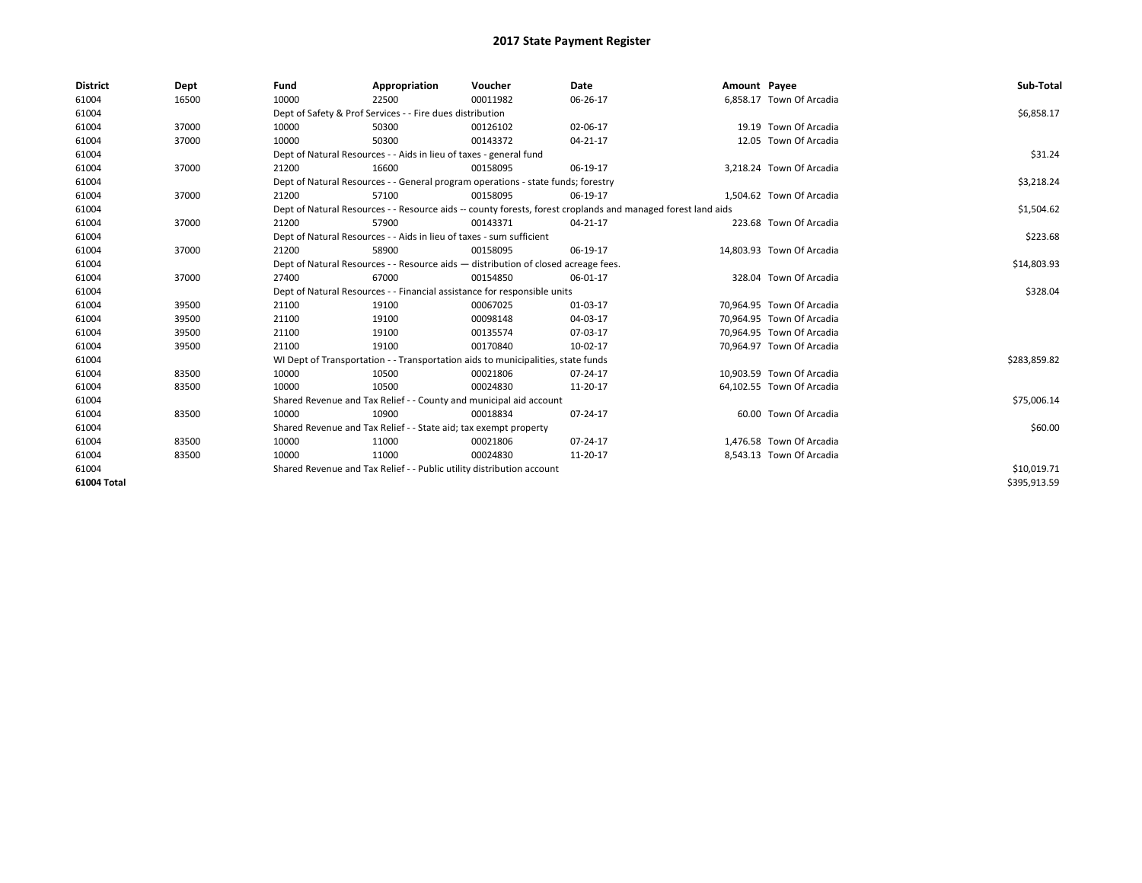| <b>District</b> | Dept  | Fund  | Appropriation                                                                      | Voucher  | Date                                                                                                         | Amount Payee |                           | Sub-Total    |  |  |  |
|-----------------|-------|-------|------------------------------------------------------------------------------------|----------|--------------------------------------------------------------------------------------------------------------|--------------|---------------------------|--------------|--|--|--|
| 61004           | 16500 | 10000 | 22500                                                                              | 00011982 | 06-26-17                                                                                                     |              | 6,858.17 Town Of Arcadia  |              |  |  |  |
| 61004           |       |       | Dept of Safety & Prof Services - - Fire dues distribution                          |          |                                                                                                              |              |                           | \$6,858.17   |  |  |  |
| 61004           | 37000 | 10000 | 50300                                                                              | 00126102 | 02-06-17                                                                                                     |              | 19.19 Town Of Arcadia     |              |  |  |  |
| 61004           | 37000 | 10000 | 50300                                                                              | 00143372 | 04-21-17                                                                                                     |              | 12.05 Town Of Arcadia     |              |  |  |  |
| 61004           |       |       | Dept of Natural Resources - - Aids in lieu of taxes - general fund                 |          |                                                                                                              |              |                           | \$31.24      |  |  |  |
| 61004           | 37000 | 21200 | 16600                                                                              | 00158095 | 06-19-17                                                                                                     |              | 3,218.24 Town Of Arcadia  |              |  |  |  |
| 61004           |       |       | Dept of Natural Resources - - General program operations - state funds; forestry   |          |                                                                                                              |              |                           | \$3,218.24   |  |  |  |
| 61004           | 37000 | 21200 | 57100                                                                              | 00158095 | 06-19-17                                                                                                     |              | 1,504.62 Town Of Arcadia  |              |  |  |  |
| 61004           |       |       |                                                                                    |          | Dept of Natural Resources - - Resource aids -- county forests, forest croplands and managed forest land aids |              |                           | \$1,504.62   |  |  |  |
| 61004           | 37000 | 21200 | 57900                                                                              | 00143371 | $04 - 21 - 17$                                                                                               |              | 223.68 Town Of Arcadia    |              |  |  |  |
| 61004           |       |       | Dept of Natural Resources - - Aids in lieu of taxes - sum sufficient               |          |                                                                                                              |              |                           | \$223.68     |  |  |  |
| 61004           | 37000 | 21200 | 58900                                                                              | 00158095 | 06-19-17                                                                                                     |              | 14,803.93 Town Of Arcadia |              |  |  |  |
| 61004           |       |       | Dept of Natural Resources - - Resource aids - distribution of closed acreage fees. |          |                                                                                                              |              |                           |              |  |  |  |
| 61004           | 37000 | 27400 | 67000                                                                              | 00154850 | 06-01-17                                                                                                     |              | 328.04 Town Of Arcadia    |              |  |  |  |
| 61004           |       |       | Dept of Natural Resources - - Financial assistance for responsible units           |          |                                                                                                              |              |                           | \$328.04     |  |  |  |
| 61004           | 39500 | 21100 | 19100                                                                              | 00067025 | 01-03-17                                                                                                     |              | 70,964.95 Town Of Arcadia |              |  |  |  |
| 61004           | 39500 | 21100 | 19100                                                                              | 00098148 | 04-03-17                                                                                                     |              | 70,964.95 Town Of Arcadia |              |  |  |  |
| 61004           | 39500 | 21100 | 19100                                                                              | 00135574 | 07-03-17                                                                                                     |              | 70.964.95 Town Of Arcadia |              |  |  |  |
| 61004           | 39500 | 21100 | 19100                                                                              | 00170840 | 10-02-17                                                                                                     |              | 70,964.97 Town Of Arcadia |              |  |  |  |
| 61004           |       |       | WI Dept of Transportation - - Transportation aids to municipalities, state funds   |          |                                                                                                              |              |                           | \$283,859.82 |  |  |  |
| 61004           | 83500 | 10000 | 10500                                                                              | 00021806 | 07-24-17                                                                                                     |              | 10,903.59 Town Of Arcadia |              |  |  |  |
| 61004           | 83500 | 10000 | 10500                                                                              | 00024830 | 11-20-17                                                                                                     |              | 64,102.55 Town Of Arcadia |              |  |  |  |
| 61004           |       |       | Shared Revenue and Tax Relief - - County and municipal aid account                 |          |                                                                                                              |              |                           | \$75,006.14  |  |  |  |
| 61004           | 83500 | 10000 | 10900                                                                              | 00018834 | 07-24-17                                                                                                     |              | 60.00 Town Of Arcadia     |              |  |  |  |
| 61004           |       |       | Shared Revenue and Tax Relief - - State aid; tax exempt property                   |          |                                                                                                              |              |                           | \$60.00      |  |  |  |
| 61004           | 83500 | 10000 | 11000                                                                              | 00021806 | 07-24-17                                                                                                     |              | 1,476.58 Town Of Arcadia  |              |  |  |  |
| 61004           | 83500 | 10000 | 11000                                                                              | 00024830 | 11-20-17                                                                                                     |              | 8,543.13 Town Of Arcadia  |              |  |  |  |
| 61004           |       |       | Shared Revenue and Tax Relief - - Public utility distribution account              |          |                                                                                                              |              |                           |              |  |  |  |
| 61004 Total     |       |       |                                                                                    |          |                                                                                                              |              |                           | \$395,913.59 |  |  |  |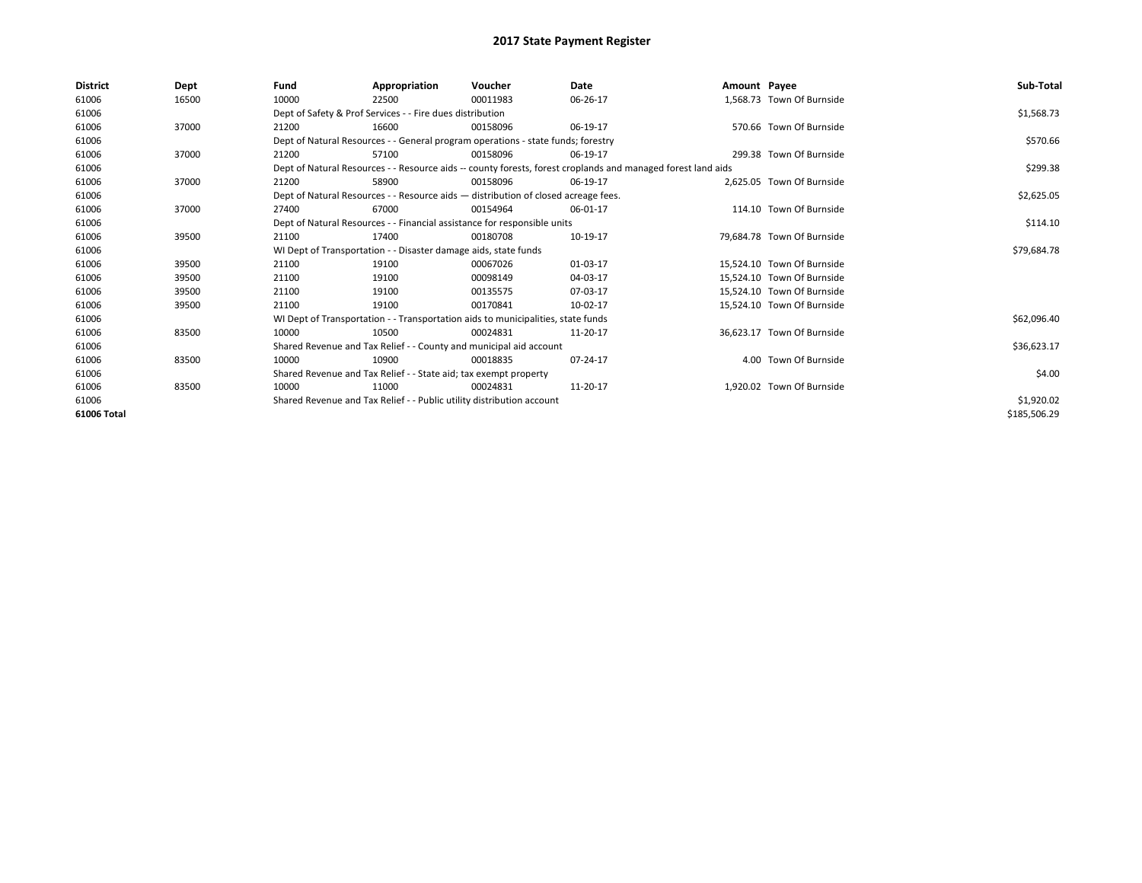| <b>District</b> | Dept  | Fund  | Appropriation                                                                      | Voucher  | Date                                                                                                         | Amount Payee |                            | Sub-Total    |
|-----------------|-------|-------|------------------------------------------------------------------------------------|----------|--------------------------------------------------------------------------------------------------------------|--------------|----------------------------|--------------|
| 61006           | 16500 | 10000 | 22500                                                                              | 00011983 | 06-26-17                                                                                                     |              | 1,568.73 Town Of Burnside  |              |
| 61006           |       |       | Dept of Safety & Prof Services - - Fire dues distribution                          |          |                                                                                                              |              |                            | \$1,568.73   |
| 61006           | 37000 | 21200 | 16600                                                                              | 00158096 | 06-19-17                                                                                                     |              | 570.66 Town Of Burnside    |              |
| 61006           |       |       | Dept of Natural Resources - - General program operations - state funds; forestry   |          |                                                                                                              |              |                            | \$570.66     |
| 61006           | 37000 | 21200 | 57100                                                                              | 00158096 | 06-19-17                                                                                                     |              | 299.38 Town Of Burnside    |              |
| 61006           |       |       |                                                                                    |          | Dept of Natural Resources - - Resource aids -- county forests, forest croplands and managed forest land aids |              |                            | \$299.38     |
| 61006           | 37000 | 21200 | 58900                                                                              | 00158096 | 06-19-17                                                                                                     |              | 2,625.05 Town Of Burnside  |              |
| 61006           |       |       | Dept of Natural Resources - - Resource aids - distribution of closed acreage fees. |          |                                                                                                              |              |                            | \$2,625.05   |
| 61006           | 37000 | 27400 | 67000                                                                              | 00154964 | 06-01-17                                                                                                     |              | 114.10 Town Of Burnside    |              |
| 61006           |       |       | Dept of Natural Resources - - Financial assistance for responsible units           |          |                                                                                                              |              |                            | \$114.10     |
| 61006           | 39500 | 21100 | 17400                                                                              | 00180708 | 10-19-17                                                                                                     |              | 79.684.78 Town Of Burnside |              |
| 61006           |       |       | WI Dept of Transportation - - Disaster damage aids, state funds                    |          |                                                                                                              |              |                            | \$79,684.78  |
| 61006           | 39500 | 21100 | 19100                                                                              | 00067026 | 01-03-17                                                                                                     |              | 15.524.10 Town Of Burnside |              |
| 61006           | 39500 | 21100 | 19100                                                                              | 00098149 | 04-03-17                                                                                                     |              | 15,524.10 Town Of Burnside |              |
| 61006           | 39500 | 21100 | 19100                                                                              | 00135575 | 07-03-17                                                                                                     |              | 15.524.10 Town Of Burnside |              |
| 61006           | 39500 | 21100 | 19100                                                                              | 00170841 | 10-02-17                                                                                                     |              | 15,524.10 Town Of Burnside |              |
| 61006           |       |       | WI Dept of Transportation - - Transportation aids to municipalities, state funds   |          |                                                                                                              |              |                            | \$62,096.40  |
| 61006           | 83500 | 10000 | 10500                                                                              | 00024831 | 11-20-17                                                                                                     |              | 36,623.17 Town Of Burnside |              |
| 61006           |       |       | Shared Revenue and Tax Relief - - County and municipal aid account                 |          |                                                                                                              |              |                            | \$36,623.17  |
| 61006           | 83500 | 10000 | 10900                                                                              | 00018835 | 07-24-17                                                                                                     |              | 4.00 Town Of Burnside      |              |
| 61006           |       |       | Shared Revenue and Tax Relief - - State aid; tax exempt property                   |          |                                                                                                              |              |                            | \$4.00       |
| 61006           | 83500 | 10000 | 11000                                                                              | 00024831 | 11-20-17                                                                                                     |              | 1,920.02 Town Of Burnside  |              |
| 61006           |       |       | Shared Revenue and Tax Relief - - Public utility distribution account              |          | \$1,920.02                                                                                                   |              |                            |              |
| 61006 Total     |       |       |                                                                                    |          |                                                                                                              |              |                            | \$185,506.29 |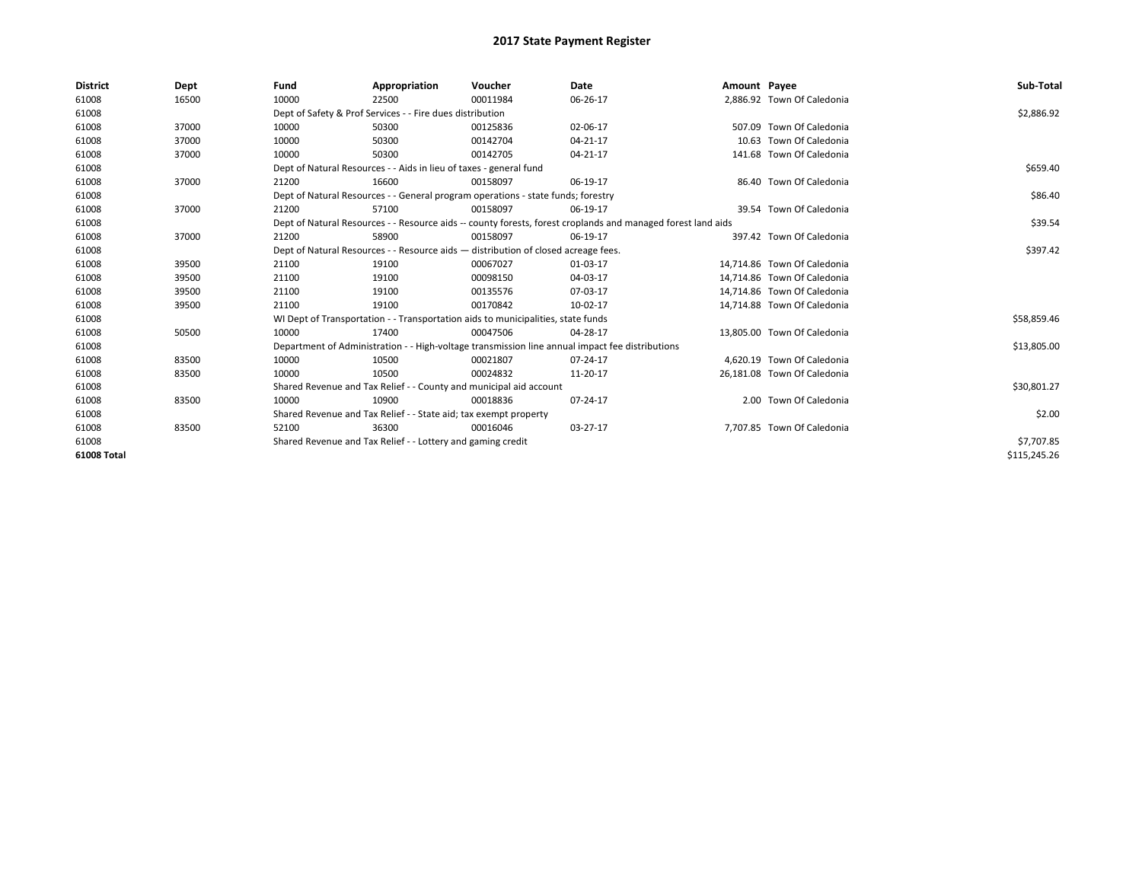| <b>District</b> | Dept  | Fund                                                        | Appropriation                                                                      | Voucher    | Date                                                                                                         | Amount Payee |                             | Sub-Total    |
|-----------------|-------|-------------------------------------------------------------|------------------------------------------------------------------------------------|------------|--------------------------------------------------------------------------------------------------------------|--------------|-----------------------------|--------------|
| 61008           | 16500 | 10000                                                       | 22500                                                                              | 00011984   | 06-26-17                                                                                                     |              | 2.886.92 Town Of Caledonia  |              |
| 61008           |       |                                                             | Dept of Safety & Prof Services - - Fire dues distribution                          |            |                                                                                                              |              |                             | \$2,886.92   |
| 61008           | 37000 | 10000                                                       | 50300                                                                              | 00125836   | 02-06-17                                                                                                     |              | 507.09 Town Of Caledonia    |              |
| 61008           | 37000 | 10000                                                       | 50300                                                                              | 00142704   | 04-21-17                                                                                                     |              | 10.63 Town Of Caledonia     |              |
| 61008           | 37000 | 10000                                                       | 50300                                                                              | 00142705   | 04-21-17                                                                                                     |              | 141.68 Town Of Caledonia    |              |
| 61008           |       |                                                             | Dept of Natural Resources - - Aids in lieu of taxes - general fund                 |            |                                                                                                              |              |                             | \$659.40     |
| 61008           | 37000 | 21200                                                       | 16600                                                                              | 00158097   | 06-19-17                                                                                                     |              | 86.40 Town Of Caledonia     |              |
| 61008           |       |                                                             | Dept of Natural Resources - - General program operations - state funds; forestry   |            |                                                                                                              |              |                             | \$86.40      |
| 61008           | 37000 | 21200                                                       | 57100                                                                              | 00158097   | 06-19-17                                                                                                     |              | 39.54 Town Of Caledonia     |              |
| 61008           |       |                                                             |                                                                                    |            | Dept of Natural Resources - - Resource aids -- county forests, forest croplands and managed forest land aids |              |                             | \$39.54      |
| 61008           | 37000 | 21200                                                       | 58900                                                                              | 00158097   | 06-19-17                                                                                                     |              | 397.42 Town Of Caledonia    |              |
| 61008           |       |                                                             | Dept of Natural Resources - - Resource aids - distribution of closed acreage fees. |            |                                                                                                              |              |                             | \$397.42     |
| 61008           | 39500 | 21100                                                       | 19100                                                                              | 00067027   | 01-03-17                                                                                                     |              | 14,714.86 Town Of Caledonia |              |
| 61008           | 39500 | 21100                                                       | 19100                                                                              | 00098150   | 04-03-17                                                                                                     |              | 14.714.86 Town Of Caledonia |              |
| 61008           | 39500 | 21100                                                       | 19100                                                                              | 00135576   | 07-03-17                                                                                                     |              | 14,714.86 Town Of Caledonia |              |
| 61008           | 39500 | 21100                                                       | 19100                                                                              | 00170842   | 10-02-17                                                                                                     |              | 14,714.88 Town Of Caledonia |              |
| 61008           |       |                                                             | WI Dept of Transportation - - Transportation aids to municipalities, state funds   |            |                                                                                                              |              |                             | \$58,859.46  |
| 61008           | 50500 | 10000                                                       | 17400                                                                              | 00047506   | 04-28-17                                                                                                     |              | 13.805.00 Town Of Caledonia |              |
| 61008           |       |                                                             |                                                                                    |            | Department of Administration - - High-voltage transmission line annual impact fee distributions              |              |                             | \$13,805.00  |
| 61008           | 83500 | 10000                                                       | 10500                                                                              | 00021807   | 07-24-17                                                                                                     |              | 4.620.19 Town Of Caledonia  |              |
| 61008           | 83500 | 10000                                                       | 10500                                                                              | 00024832   | 11-20-17                                                                                                     |              | 26,181.08 Town Of Caledonia |              |
| 61008           |       |                                                             | Shared Revenue and Tax Relief - - County and municipal aid account                 |            |                                                                                                              |              |                             | \$30,801.27  |
| 61008           | 83500 | 10000                                                       | 10900                                                                              | 00018836   | 07-24-17                                                                                                     |              | 2.00 Town Of Caledonia      |              |
| 61008           |       |                                                             | Shared Revenue and Tax Relief - - State aid; tax exempt property                   |            |                                                                                                              |              |                             | \$2.00       |
| 61008           | 83500 | 52100                                                       | 36300                                                                              | 00016046   | 03-27-17                                                                                                     |              | 7,707.85 Town Of Caledonia  |              |
| 61008           |       | Shared Revenue and Tax Relief - - Lottery and gaming credit |                                                                                    | \$7,707.85 |                                                                                                              |              |                             |              |
| 61008 Total     |       |                                                             |                                                                                    |            |                                                                                                              |              |                             | \$115,245.26 |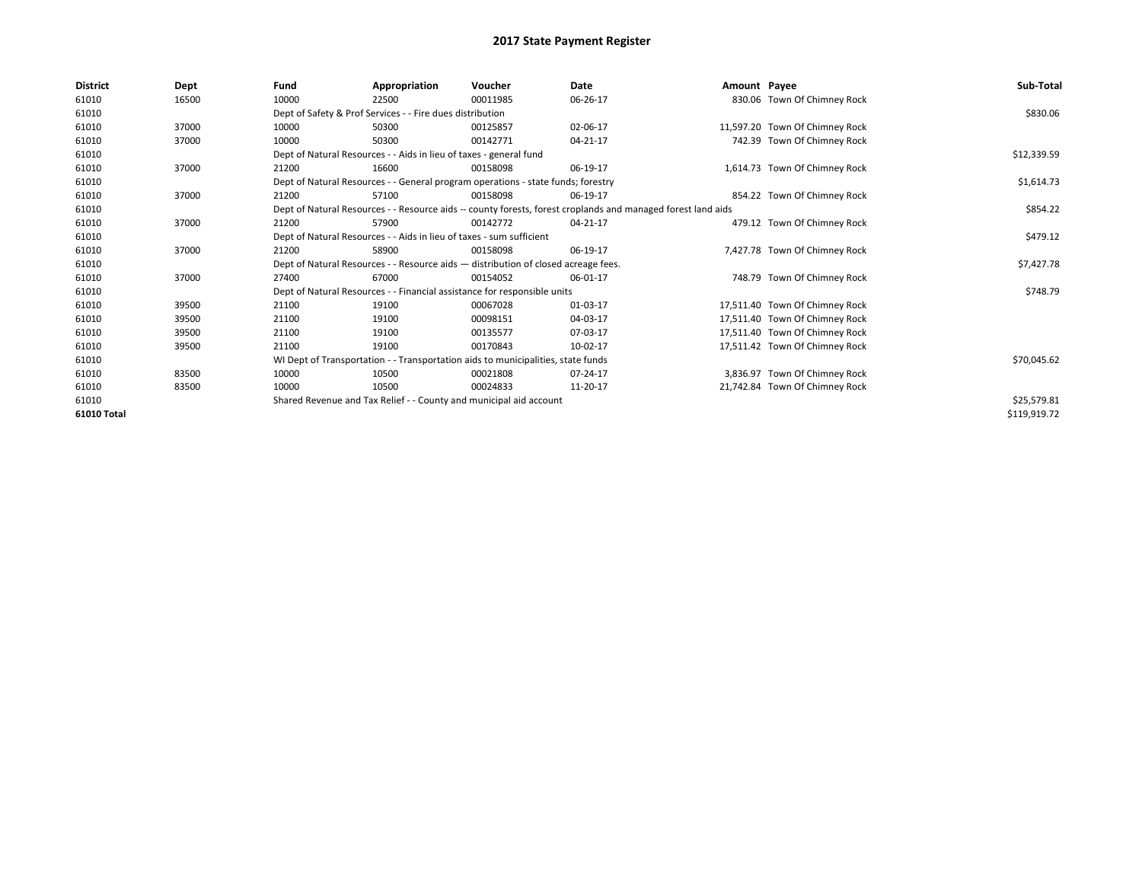| <b>District</b> | Dept  | Fund  | Appropriation                                                                      | Voucher  | Date                                                                                                         | Amount Payee |                                | Sub-Total    |
|-----------------|-------|-------|------------------------------------------------------------------------------------|----------|--------------------------------------------------------------------------------------------------------------|--------------|--------------------------------|--------------|
| 61010           | 16500 | 10000 | 22500                                                                              | 00011985 | 06-26-17                                                                                                     |              | 830.06 Town Of Chimney Rock    |              |
| 61010           |       |       | Dept of Safety & Prof Services - - Fire dues distribution                          |          |                                                                                                              |              |                                | \$830.06     |
| 61010           | 37000 | 10000 | 50300                                                                              | 00125857 | 02-06-17                                                                                                     |              | 11,597.20 Town Of Chimney Rock |              |
| 61010           | 37000 | 10000 | 50300                                                                              | 00142771 | 04-21-17                                                                                                     |              | 742.39 Town Of Chimney Rock    |              |
| 61010           |       |       | Dept of Natural Resources - - Aids in lieu of taxes - general fund                 |          |                                                                                                              |              |                                | \$12,339.59  |
| 61010           | 37000 | 21200 | 16600                                                                              | 00158098 | 06-19-17                                                                                                     |              | 1,614.73 Town Of Chimney Rock  |              |
| 61010           |       |       | Dept of Natural Resources - - General program operations - state funds; forestry   |          |                                                                                                              |              |                                | \$1,614.73   |
| 61010           | 37000 | 21200 | 57100                                                                              | 00158098 | 06-19-17                                                                                                     |              | 854.22 Town Of Chimney Rock    |              |
| 61010           |       |       |                                                                                    |          | Dept of Natural Resources - - Resource aids -- county forests, forest croplands and managed forest land aids |              |                                | \$854.22     |
| 61010           | 37000 | 21200 | 57900                                                                              | 00142772 | 04-21-17                                                                                                     |              | 479.12 Town Of Chimney Rock    |              |
| 61010           |       |       | Dept of Natural Resources - - Aids in lieu of taxes - sum sufficient               |          |                                                                                                              |              |                                | \$479.12     |
| 61010           | 37000 | 21200 | 58900                                                                              | 00158098 | 06-19-17                                                                                                     |              | 7,427.78 Town Of Chimney Rock  |              |
| 61010           |       |       | Dept of Natural Resources - - Resource aids - distribution of closed acreage fees. |          |                                                                                                              |              |                                | \$7,427.78   |
| 61010           | 37000 | 27400 | 67000                                                                              | 00154052 | 06-01-17                                                                                                     |              | 748.79 Town Of Chimney Rock    |              |
| 61010           |       |       | Dept of Natural Resources - - Financial assistance for responsible units           |          |                                                                                                              |              |                                | \$748.79     |
| 61010           | 39500 | 21100 | 19100                                                                              | 00067028 | 01-03-17                                                                                                     |              | 17,511.40 Town Of Chimney Rock |              |
| 61010           | 39500 | 21100 | 19100                                                                              | 00098151 | 04-03-17                                                                                                     |              | 17,511.40 Town Of Chimney Rock |              |
| 61010           | 39500 | 21100 | 19100                                                                              | 00135577 | 07-03-17                                                                                                     |              | 17,511.40 Town Of Chimney Rock |              |
| 61010           | 39500 | 21100 | 19100                                                                              | 00170843 | 10-02-17                                                                                                     |              | 17,511.42 Town Of Chimney Rock |              |
| 61010           |       |       | WI Dept of Transportation - - Transportation aids to municipalities, state funds   |          |                                                                                                              |              |                                | \$70,045.62  |
| 61010           | 83500 | 10000 | 10500                                                                              | 00021808 | 07-24-17                                                                                                     |              | 3,836.97 Town Of Chimney Rock  |              |
| 61010           | 83500 | 10000 | 10500                                                                              | 00024833 | 11-20-17                                                                                                     |              | 21.742.84 Town Of Chimney Rock |              |
| 61010           |       |       | Shared Revenue and Tax Relief - - County and municipal aid account                 |          |                                                                                                              |              |                                | \$25,579.81  |
| 61010 Total     |       |       |                                                                                    |          |                                                                                                              |              |                                | \$119,919.72 |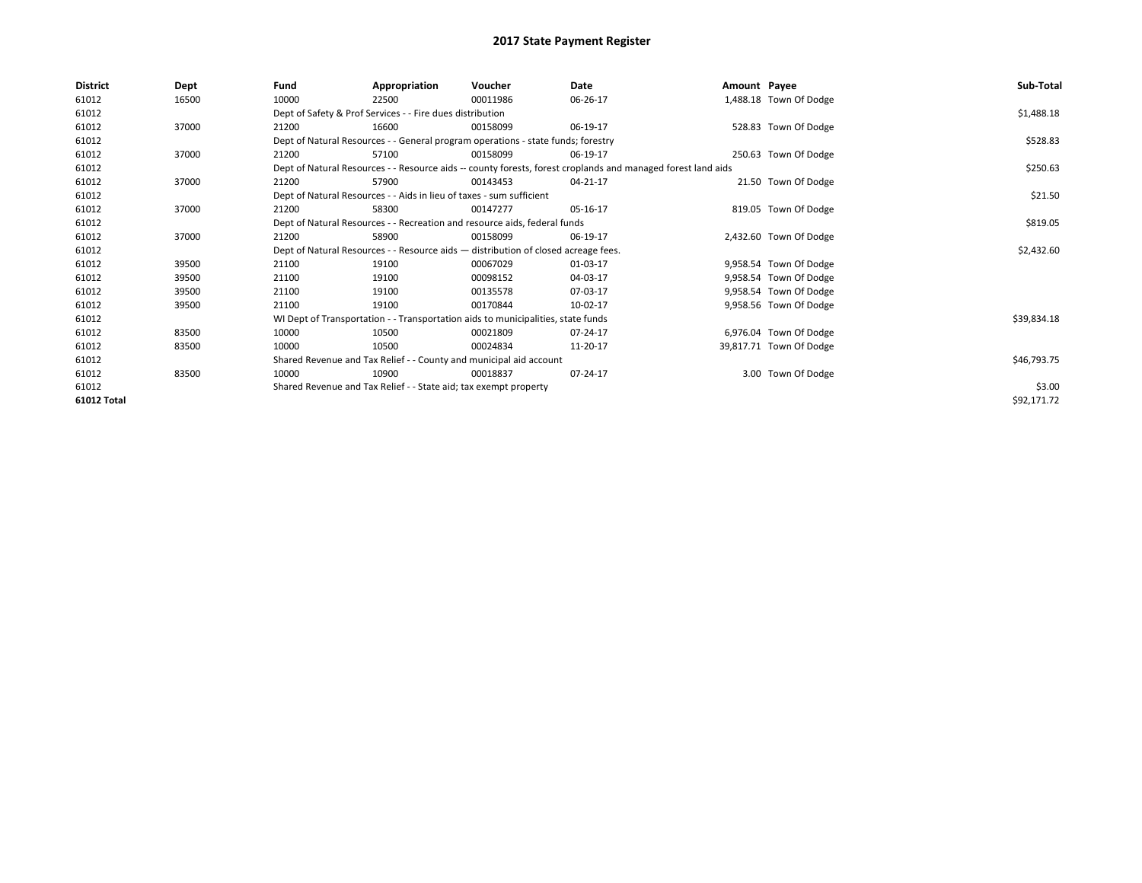| <b>District</b> | Dept  | Fund  | Appropriation                                                                      | Voucher  | Date                                                                                                         | Amount Payee |                         | Sub-Total   |
|-----------------|-------|-------|------------------------------------------------------------------------------------|----------|--------------------------------------------------------------------------------------------------------------|--------------|-------------------------|-------------|
| 61012           | 16500 | 10000 | 22500                                                                              | 00011986 | 06-26-17                                                                                                     |              | 1,488.18 Town Of Dodge  |             |
| 61012           |       |       | Dept of Safety & Prof Services - - Fire dues distribution                          |          |                                                                                                              |              |                         | \$1,488.18  |
| 61012           | 37000 | 21200 | 16600                                                                              | 00158099 | 06-19-17                                                                                                     |              | 528.83 Town Of Dodge    |             |
| 61012           |       |       | Dept of Natural Resources - - General program operations - state funds; forestry   |          |                                                                                                              |              |                         | \$528.83    |
| 61012           | 37000 | 21200 | 57100                                                                              | 00158099 | 06-19-17                                                                                                     |              | 250.63 Town Of Dodge    |             |
| 61012           |       |       |                                                                                    |          | Dept of Natural Resources - - Resource aids -- county forests, forest croplands and managed forest land aids |              |                         | \$250.63    |
| 61012           | 37000 | 21200 | 57900                                                                              | 00143453 | 04-21-17                                                                                                     |              | 21.50 Town Of Dodge     |             |
| 61012           |       |       | Dept of Natural Resources - - Aids in lieu of taxes - sum sufficient               |          |                                                                                                              |              |                         | \$21.50     |
| 61012           | 37000 | 21200 | 58300                                                                              | 00147277 | 05-16-17                                                                                                     |              | 819.05 Town Of Dodge    |             |
| 61012           |       |       | Dept of Natural Resources - - Recreation and resource aids, federal funds          |          |                                                                                                              |              |                         | \$819.05    |
| 61012           | 37000 | 21200 | 58900                                                                              | 00158099 | 06-19-17                                                                                                     |              | 2,432.60 Town Of Dodge  |             |
| 61012           |       |       | Dept of Natural Resources - - Resource aids - distribution of closed acreage fees. |          |                                                                                                              |              |                         | \$2,432.60  |
| 61012           | 39500 | 21100 | 19100                                                                              | 00067029 | 01-03-17                                                                                                     |              | 9,958.54 Town Of Dodge  |             |
| 61012           | 39500 | 21100 | 19100                                                                              | 00098152 | 04-03-17                                                                                                     |              | 9,958.54 Town Of Dodge  |             |
| 61012           | 39500 | 21100 | 19100                                                                              | 00135578 | 07-03-17                                                                                                     |              | 9,958.54 Town Of Dodge  |             |
| 61012           | 39500 | 21100 | 19100                                                                              | 00170844 | 10-02-17                                                                                                     |              | 9,958.56 Town Of Dodge  |             |
| 61012           |       |       | WI Dept of Transportation - - Transportation aids to municipalities, state funds   |          |                                                                                                              |              |                         | \$39,834.18 |
| 61012           | 83500 | 10000 | 10500                                                                              | 00021809 | 07-24-17                                                                                                     |              | 6,976.04 Town Of Dodge  |             |
| 61012           | 83500 | 10000 | 10500                                                                              | 00024834 | 11-20-17                                                                                                     |              | 39,817.71 Town Of Dodge |             |
| 61012           |       |       | Shared Revenue and Tax Relief - - County and municipal aid account                 |          |                                                                                                              |              |                         | \$46,793.75 |
| 61012           | 83500 | 10000 | 10900                                                                              | 00018837 | 07-24-17                                                                                                     |              | 3.00 Town Of Dodge      |             |
| 61012           |       |       | Shared Revenue and Tax Relief - - State aid; tax exempt property                   |          |                                                                                                              |              |                         | \$3.00      |
| 61012 Total     |       |       |                                                                                    |          |                                                                                                              |              |                         | \$92,171.72 |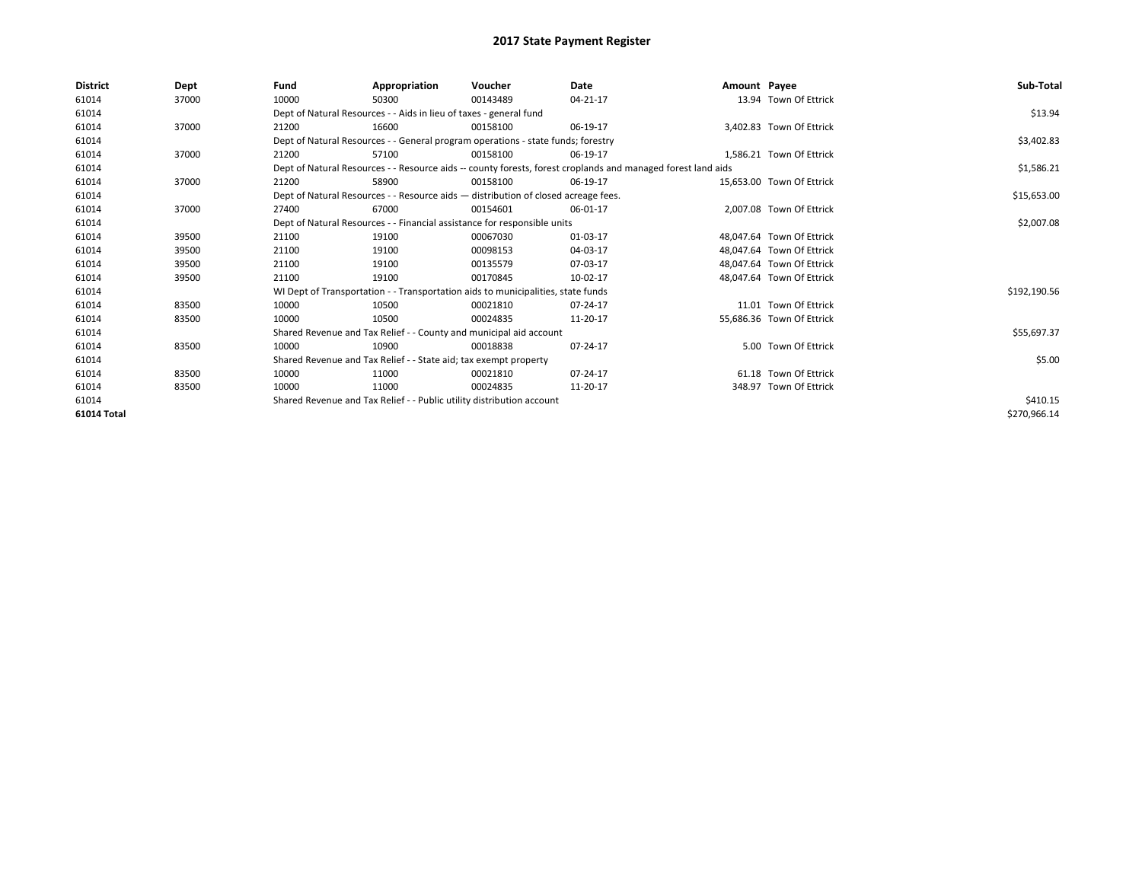| <b>District</b> | Dept  | Fund                                                                  | Appropriation                                                                      | Voucher  | Date                                                                                                         | Amount Payee |                           | Sub-Total    |
|-----------------|-------|-----------------------------------------------------------------------|------------------------------------------------------------------------------------|----------|--------------------------------------------------------------------------------------------------------------|--------------|---------------------------|--------------|
| 61014           | 37000 | 10000                                                                 | 50300                                                                              | 00143489 | 04-21-17                                                                                                     |              | 13.94 Town Of Ettrick     |              |
| 61014           |       |                                                                       | Dept of Natural Resources - - Aids in lieu of taxes - general fund                 |          |                                                                                                              |              |                           | \$13.94      |
| 61014           | 37000 | 21200                                                                 | 16600                                                                              | 00158100 | 06-19-17                                                                                                     |              | 3,402.83 Town Of Ettrick  |              |
| 61014           |       |                                                                       | Dept of Natural Resources - - General program operations - state funds; forestry   |          |                                                                                                              |              |                           | \$3,402.83   |
| 61014           | 37000 | 21200                                                                 | 57100                                                                              | 00158100 | 06-19-17                                                                                                     |              | 1.586.21 Town Of Ettrick  |              |
| 61014           |       |                                                                       |                                                                                    |          | Dept of Natural Resources - - Resource aids -- county forests, forest croplands and managed forest land aids |              |                           | \$1,586.21   |
| 61014           | 37000 | 21200                                                                 | 58900                                                                              | 00158100 | 06-19-17                                                                                                     |              | 15.653.00 Town Of Ettrick |              |
| 61014           |       |                                                                       | Dept of Natural Resources - - Resource aids - distribution of closed acreage fees. |          |                                                                                                              |              |                           | \$15,653.00  |
| 61014           | 37000 | 27400                                                                 | 67000                                                                              | 00154601 | 06-01-17                                                                                                     |              | 2,007.08 Town Of Ettrick  |              |
| 61014           |       |                                                                       | Dept of Natural Resources - - Financial assistance for responsible units           |          |                                                                                                              |              |                           | \$2,007.08   |
| 61014           | 39500 | 21100                                                                 | 19100                                                                              | 00067030 | 01-03-17                                                                                                     |              | 48.047.64 Town Of Ettrick |              |
| 61014           | 39500 | 21100                                                                 | 19100                                                                              | 00098153 | 04-03-17                                                                                                     |              | 48,047.64 Town Of Ettrick |              |
| 61014           | 39500 | 21100                                                                 | 19100                                                                              | 00135579 | 07-03-17                                                                                                     |              | 48.047.64 Town Of Ettrick |              |
| 61014           | 39500 | 21100                                                                 | 19100                                                                              | 00170845 | 10-02-17                                                                                                     |              | 48,047.64 Town Of Ettrick |              |
| 61014           |       |                                                                       | WI Dept of Transportation - - Transportation aids to municipalities, state funds   |          |                                                                                                              |              |                           | \$192,190.56 |
| 61014           | 83500 | 10000                                                                 | 10500                                                                              | 00021810 | 07-24-17                                                                                                     |              | 11.01 Town Of Ettrick     |              |
| 61014           | 83500 | 10000                                                                 | 10500                                                                              | 00024835 | 11-20-17                                                                                                     |              | 55,686.36 Town Of Ettrick |              |
| 61014           |       |                                                                       | Shared Revenue and Tax Relief - - County and municipal aid account                 |          |                                                                                                              |              |                           | \$55,697.37  |
| 61014           | 83500 | 10000                                                                 | 10900                                                                              | 00018838 | 07-24-17                                                                                                     |              | 5.00 Town Of Ettrick      |              |
| 61014           |       |                                                                       | Shared Revenue and Tax Relief - - State aid; tax exempt property                   |          |                                                                                                              |              |                           | \$5.00       |
| 61014           | 83500 | 10000                                                                 | 11000                                                                              | 00021810 | 07-24-17                                                                                                     |              | 61.18 Town Of Ettrick     |              |
| 61014           | 83500 | 10000                                                                 | 11000                                                                              | 00024835 | 11-20-17                                                                                                     |              | 348.97 Town Of Ettrick    |              |
| 61014           |       | Shared Revenue and Tax Relief - - Public utility distribution account |                                                                                    | \$410.15 |                                                                                                              |              |                           |              |
| 61014 Total     |       |                                                                       |                                                                                    |          |                                                                                                              |              |                           | \$270,966.14 |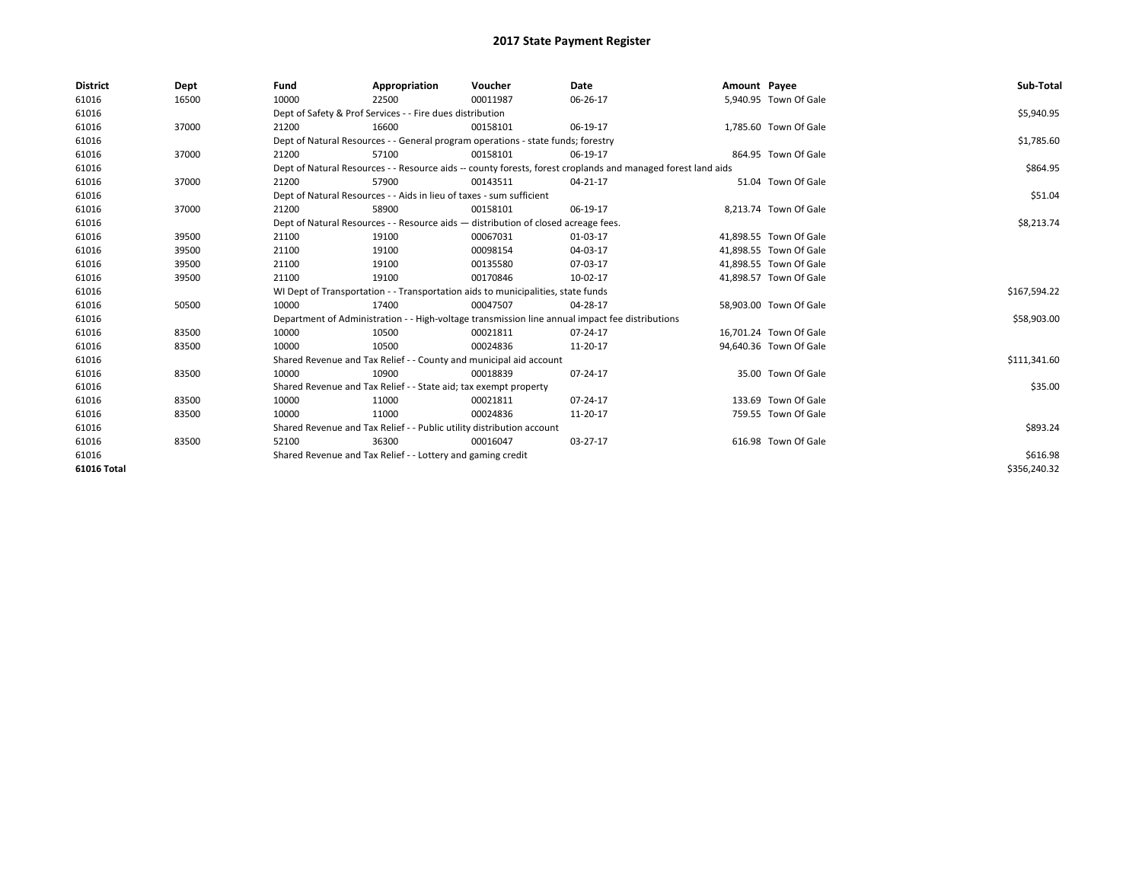| <b>District</b>    | Dept  | Fund                                                        | Appropriation                                                                      | Voucher  | Date                                                                                                         | Amount Payee |                        | Sub-Total    |
|--------------------|-------|-------------------------------------------------------------|------------------------------------------------------------------------------------|----------|--------------------------------------------------------------------------------------------------------------|--------------|------------------------|--------------|
| 61016              | 16500 | 10000                                                       | 22500                                                                              | 00011987 | 06-26-17                                                                                                     |              | 5,940.95 Town Of Gale  |              |
| 61016              |       |                                                             | Dept of Safety & Prof Services - - Fire dues distribution                          |          |                                                                                                              |              |                        | \$5,940.95   |
| 61016              | 37000 | 21200                                                       | 16600                                                                              | 00158101 | 06-19-17                                                                                                     |              | 1,785.60 Town Of Gale  |              |
| 61016              |       |                                                             | Dept of Natural Resources - - General program operations - state funds; forestry   |          |                                                                                                              |              |                        | \$1,785.60   |
| 61016              | 37000 | 21200                                                       | 57100                                                                              | 00158101 | 06-19-17                                                                                                     |              | 864.95 Town Of Gale    |              |
| 61016              |       |                                                             |                                                                                    |          | Dept of Natural Resources - - Resource aids -- county forests, forest croplands and managed forest land aids |              |                        | \$864.95     |
| 61016              | 37000 | 21200                                                       | 57900                                                                              | 00143511 | 04-21-17                                                                                                     |              | 51.04 Town Of Gale     |              |
| 61016              |       |                                                             | Dept of Natural Resources - - Aids in lieu of taxes - sum sufficient               |          |                                                                                                              |              |                        | \$51.04      |
| 61016              | 37000 | 21200                                                       | 58900                                                                              | 00158101 | 06-19-17                                                                                                     |              | 8,213.74 Town Of Gale  |              |
| 61016              |       |                                                             | Dept of Natural Resources - - Resource aids - distribution of closed acreage fees. |          |                                                                                                              |              |                        | \$8,213.74   |
| 61016              | 39500 | 21100                                                       | 19100                                                                              | 00067031 | 01-03-17                                                                                                     |              | 41.898.55 Town Of Gale |              |
| 61016              | 39500 | 21100                                                       | 19100                                                                              | 00098154 | 04-03-17                                                                                                     |              | 41.898.55 Town Of Gale |              |
| 61016              | 39500 | 21100                                                       | 19100                                                                              | 00135580 | 07-03-17                                                                                                     |              | 41,898.55 Town Of Gale |              |
| 61016              | 39500 | 21100                                                       | 19100                                                                              | 00170846 | 10-02-17                                                                                                     |              | 41,898.57 Town Of Gale |              |
| 61016              |       |                                                             | WI Dept of Transportation - - Transportation aids to municipalities, state funds   |          |                                                                                                              |              |                        | \$167,594.22 |
| 61016              | 50500 | 10000                                                       | 17400                                                                              | 00047507 | 04-28-17                                                                                                     |              | 58,903.00 Town Of Gale |              |
| 61016              |       |                                                             |                                                                                    |          | Department of Administration - - High-voltage transmission line annual impact fee distributions              |              |                        | \$58,903.00  |
| 61016              | 83500 | 10000                                                       | 10500                                                                              | 00021811 | 07-24-17                                                                                                     |              | 16,701.24 Town Of Gale |              |
| 61016              | 83500 | 10000                                                       | 10500                                                                              | 00024836 | 11-20-17                                                                                                     |              | 94,640.36 Town Of Gale |              |
| 61016              |       |                                                             | Shared Revenue and Tax Relief - - County and municipal aid account                 |          |                                                                                                              |              |                        | \$111,341.60 |
| 61016              | 83500 | 10000                                                       | 10900                                                                              | 00018839 | 07-24-17                                                                                                     |              | 35.00 Town Of Gale     |              |
| 61016              |       |                                                             | Shared Revenue and Tax Relief - - State aid; tax exempt property                   |          |                                                                                                              |              |                        | \$35.00      |
| 61016              | 83500 | 10000                                                       | 11000                                                                              | 00021811 | 07-24-17                                                                                                     |              | 133.69 Town Of Gale    |              |
| 61016              | 83500 | 10000                                                       | 11000                                                                              | 00024836 | 11-20-17                                                                                                     |              | 759.55 Town Of Gale    |              |
| 61016              |       |                                                             | Shared Revenue and Tax Relief - - Public utility distribution account              |          |                                                                                                              |              |                        | \$893.24     |
| 61016              | 83500 | 52100                                                       | 36300                                                                              | 00016047 | 03-27-17                                                                                                     |              | 616.98 Town Of Gale    |              |
| 61016              |       | Shared Revenue and Tax Relief - - Lottery and gaming credit |                                                                                    | \$616.98 |                                                                                                              |              |                        |              |
| <b>61016 Total</b> |       |                                                             |                                                                                    |          |                                                                                                              |              |                        | \$356,240.32 |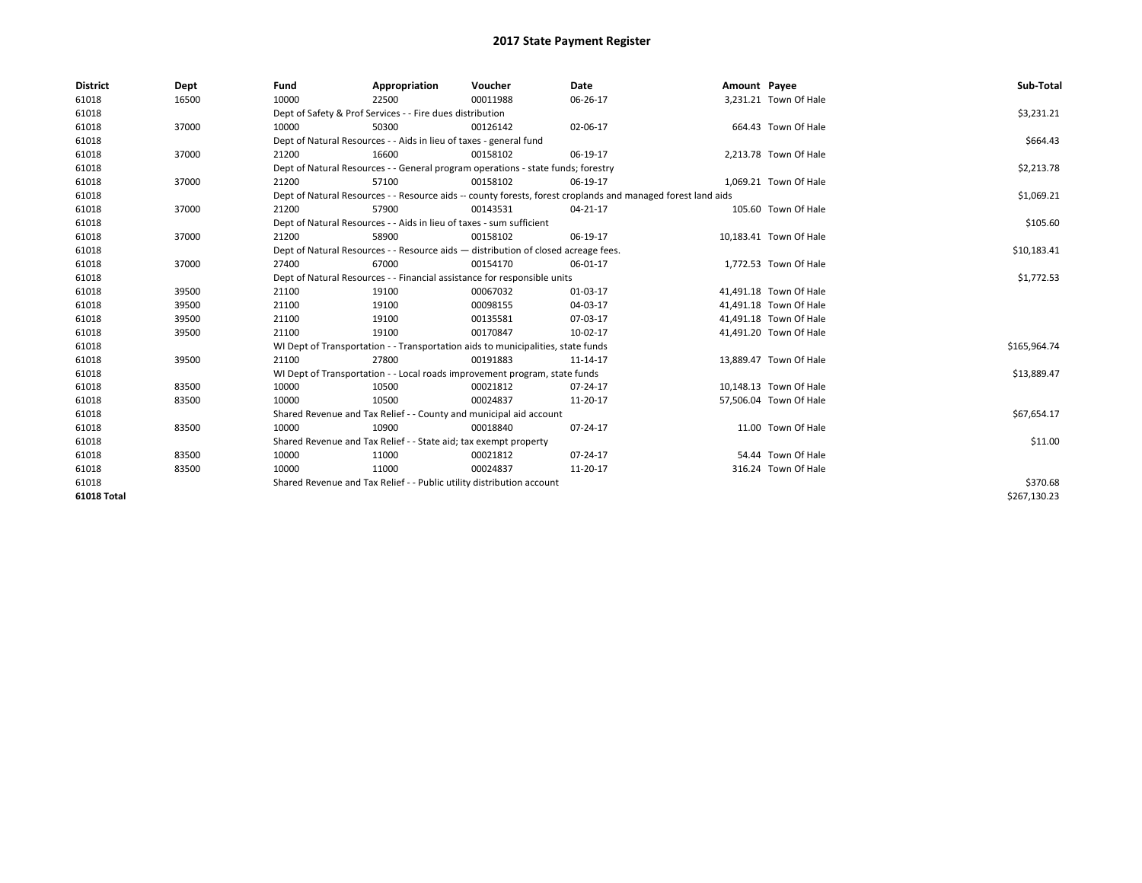| <b>District</b> | Dept  | Fund                                                                     | Appropriation                                                                      | Voucher    | Date                                                                                                         | Amount Payee |                        | Sub-Total    |
|-----------------|-------|--------------------------------------------------------------------------|------------------------------------------------------------------------------------|------------|--------------------------------------------------------------------------------------------------------------|--------------|------------------------|--------------|
| 61018           | 16500 | 10000                                                                    | 22500                                                                              | 00011988   | 06-26-17                                                                                                     |              | 3,231.21 Town Of Hale  |              |
| 61018           |       |                                                                          | Dept of Safety & Prof Services - - Fire dues distribution                          |            |                                                                                                              |              |                        | \$3,231.21   |
| 61018           | 37000 | 10000                                                                    | 50300                                                                              | 00126142   | 02-06-17                                                                                                     |              | 664.43 Town Of Hale    |              |
| 61018           |       |                                                                          | Dept of Natural Resources - - Aids in lieu of taxes - general fund                 |            |                                                                                                              |              |                        | \$664.43     |
| 61018           | 37000 | 21200                                                                    | 16600                                                                              | 00158102   | 06-19-17                                                                                                     |              | 2,213.78 Town Of Hale  |              |
| 61018           |       |                                                                          | Dept of Natural Resources - - General program operations - state funds; forestry   |            |                                                                                                              |              |                        | \$2,213.78   |
| 61018           | 37000 | 21200                                                                    | 57100                                                                              | 00158102   | 06-19-17                                                                                                     |              | 1,069.21 Town Of Hale  |              |
| 61018           |       |                                                                          |                                                                                    |            | Dept of Natural Resources - - Resource aids -- county forests, forest croplands and managed forest land aids |              |                        | \$1,069.21   |
| 61018           | 37000 | 21200                                                                    | 57900                                                                              | 00143531   | 04-21-17                                                                                                     |              | 105.60 Town Of Hale    |              |
| 61018           |       |                                                                          | Dept of Natural Resources - - Aids in lieu of taxes - sum sufficient               |            |                                                                                                              |              |                        | \$105.60     |
| 61018           | 37000 | 21200                                                                    | 58900                                                                              | 00158102   | 06-19-17                                                                                                     |              | 10,183.41 Town Of Hale |              |
| 61018           |       |                                                                          | Dept of Natural Resources - - Resource aids - distribution of closed acreage fees. |            |                                                                                                              |              |                        | \$10,183.41  |
| 61018           | 37000 | 27400                                                                    | 67000                                                                              | 00154170   | 06-01-17                                                                                                     |              | 1,772.53 Town Of Hale  |              |
| 61018           |       | Dept of Natural Resources - - Financial assistance for responsible units |                                                                                    | \$1,772.53 |                                                                                                              |              |                        |              |
| 61018           | 39500 | 21100                                                                    | 19100                                                                              | 00067032   | 01-03-17                                                                                                     |              | 41,491.18 Town Of Hale |              |
| 61018           | 39500 | 21100                                                                    | 19100                                                                              | 00098155   | 04-03-17                                                                                                     |              | 41,491.18 Town Of Hale |              |
| 61018           | 39500 | 21100                                                                    | 19100                                                                              | 00135581   | 07-03-17                                                                                                     |              | 41,491.18 Town Of Hale |              |
| 61018           | 39500 | 21100                                                                    | 19100                                                                              | 00170847   | 10-02-17                                                                                                     |              | 41,491.20 Town Of Hale |              |
| 61018           |       |                                                                          | WI Dept of Transportation - - Transportation aids to municipalities, state funds   |            |                                                                                                              |              |                        | \$165,964.74 |
| 61018           | 39500 | 21100                                                                    | 27800                                                                              | 00191883   | 11-14-17                                                                                                     |              | 13,889.47 Town Of Hale |              |
| 61018           |       |                                                                          | WI Dept of Transportation - - Local roads improvement program, state funds         |            |                                                                                                              |              |                        | \$13,889.47  |
| 61018           | 83500 | 10000                                                                    | 10500                                                                              | 00021812   | 07-24-17                                                                                                     |              | 10,148.13 Town Of Hale |              |
| 61018           | 83500 | 10000                                                                    | 10500                                                                              | 00024837   | 11-20-17                                                                                                     |              | 57,506.04 Town Of Hale |              |
| 61018           |       |                                                                          | Shared Revenue and Tax Relief - - County and municipal aid account                 |            |                                                                                                              |              |                        | \$67,654.17  |
| 61018           | 83500 | 10000                                                                    | 10900                                                                              | 00018840   | 07-24-17                                                                                                     |              | 11.00 Town Of Hale     |              |
| 61018           |       |                                                                          | Shared Revenue and Tax Relief - - State aid; tax exempt property                   |            |                                                                                                              |              |                        | \$11.00      |
| 61018           | 83500 | 10000                                                                    | 11000                                                                              | 00021812   | 07-24-17                                                                                                     |              | 54.44 Town Of Hale     |              |
| 61018           | 83500 | 10000                                                                    | 11000                                                                              | 00024837   | 11-20-17                                                                                                     |              | 316.24 Town Of Hale    |              |
| 61018           |       | Shared Revenue and Tax Relief - - Public utility distribution account    |                                                                                    | \$370.68   |                                                                                                              |              |                        |              |
| 61018 Total     |       |                                                                          |                                                                                    |            |                                                                                                              |              |                        | \$267,130.23 |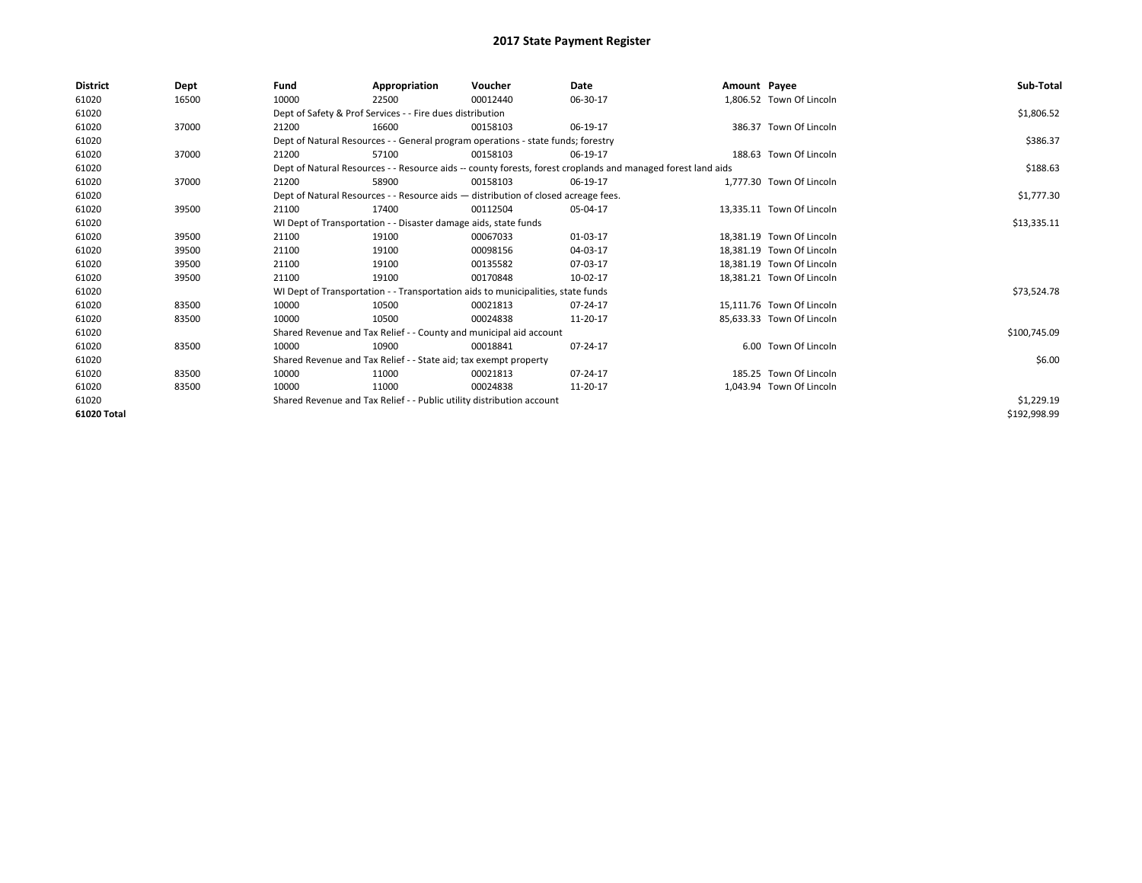| <b>District</b> | Dept  | Fund                                                                  | Appropriation                                                                      | Voucher    | Date                                                                                                         | Amount Payee |                           | Sub-Total    |
|-----------------|-------|-----------------------------------------------------------------------|------------------------------------------------------------------------------------|------------|--------------------------------------------------------------------------------------------------------------|--------------|---------------------------|--------------|
| 61020           | 16500 | 10000                                                                 | 22500                                                                              | 00012440   | 06-30-17                                                                                                     |              | 1,806.52 Town Of Lincoln  |              |
| 61020           |       |                                                                       | Dept of Safety & Prof Services - - Fire dues distribution                          |            |                                                                                                              |              |                           | \$1,806.52   |
| 61020           | 37000 | 21200                                                                 | 16600                                                                              | 00158103   | 06-19-17                                                                                                     |              | 386.37 Town Of Lincoln    |              |
| 61020           |       |                                                                       | Dept of Natural Resources - - General program operations - state funds; forestry   |            |                                                                                                              |              |                           | \$386.37     |
| 61020           | 37000 | 21200                                                                 | 57100                                                                              | 00158103   | 06-19-17                                                                                                     |              | 188.63 Town Of Lincoln    |              |
| 61020           |       |                                                                       |                                                                                    |            | Dept of Natural Resources - - Resource aids -- county forests, forest croplands and managed forest land aids |              |                           | \$188.63     |
| 61020           | 37000 | 21200                                                                 | 58900                                                                              | 00158103   | 06-19-17                                                                                                     |              | 1.777.30 Town Of Lincoln  |              |
| 61020           |       |                                                                       | Dept of Natural Resources - - Resource aids - distribution of closed acreage fees. |            |                                                                                                              |              |                           | \$1,777.30   |
| 61020           | 39500 | 21100                                                                 | 17400                                                                              | 00112504   | 05-04-17                                                                                                     |              | 13,335.11 Town Of Lincoln |              |
| 61020           |       |                                                                       | WI Dept of Transportation - - Disaster damage aids, state funds                    |            |                                                                                                              |              |                           | \$13,335.11  |
| 61020           | 39500 | 21100                                                                 | 19100                                                                              | 00067033   | 01-03-17                                                                                                     |              | 18,381.19 Town Of Lincoln |              |
| 61020           | 39500 | 21100                                                                 | 19100                                                                              | 00098156   | 04-03-17                                                                                                     |              | 18.381.19 Town Of Lincoln |              |
| 61020           | 39500 | 21100                                                                 | 19100                                                                              | 00135582   | 07-03-17                                                                                                     |              | 18.381.19 Town Of Lincoln |              |
| 61020           | 39500 | 21100                                                                 | 19100                                                                              | 00170848   | 10-02-17                                                                                                     |              | 18,381.21 Town Of Lincoln |              |
| 61020           |       |                                                                       | WI Dept of Transportation - - Transportation aids to municipalities, state funds   |            |                                                                                                              |              |                           | \$73,524.78  |
| 61020           | 83500 | 10000                                                                 | 10500                                                                              | 00021813   | 07-24-17                                                                                                     |              | 15,111.76 Town Of Lincoln |              |
| 61020           | 83500 | 10000                                                                 | 10500                                                                              | 00024838   | 11-20-17                                                                                                     |              | 85.633.33 Town Of Lincoln |              |
| 61020           |       |                                                                       | Shared Revenue and Tax Relief - - County and municipal aid account                 |            |                                                                                                              |              |                           | \$100,745.09 |
| 61020           | 83500 | 10000                                                                 | 10900                                                                              | 00018841   | 07-24-17                                                                                                     |              | 6.00 Town Of Lincoln      |              |
| 61020           |       |                                                                       | Shared Revenue and Tax Relief - - State aid; tax exempt property                   |            |                                                                                                              |              |                           | \$6.00       |
| 61020           | 83500 | 10000                                                                 | 11000                                                                              | 00021813   | 07-24-17                                                                                                     |              | 185.25 Town Of Lincoln    |              |
| 61020           | 83500 | 10000                                                                 | 11000                                                                              | 00024838   | 11-20-17                                                                                                     |              | 1,043.94 Town Of Lincoln  |              |
| 61020           |       | Shared Revenue and Tax Relief - - Public utility distribution account |                                                                                    | \$1,229.19 |                                                                                                              |              |                           |              |
| 61020 Total     |       |                                                                       |                                                                                    |            |                                                                                                              |              |                           | \$192,998.99 |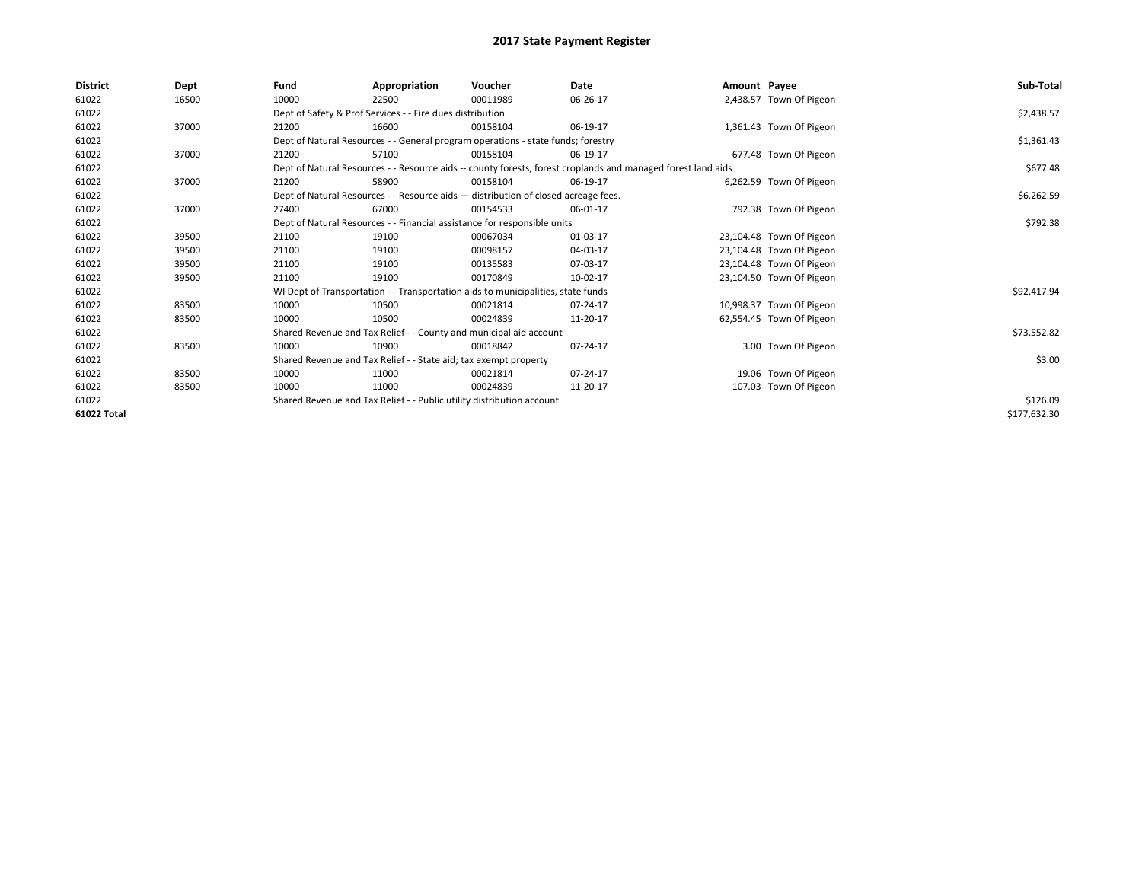| District    | Dept  | Fund  | Appropriation                                                                      | Voucher  | Date                                                                                                         | Amount Payee |                          | Sub-Total    |
|-------------|-------|-------|------------------------------------------------------------------------------------|----------|--------------------------------------------------------------------------------------------------------------|--------------|--------------------------|--------------|
| 61022       | 16500 | 10000 | 22500                                                                              | 00011989 | 06-26-17                                                                                                     |              | 2,438.57 Town Of Pigeon  |              |
| 61022       |       |       | Dept of Safety & Prof Services - - Fire dues distribution                          |          |                                                                                                              |              |                          | \$2,438.57   |
| 61022       | 37000 | 21200 | 16600                                                                              | 00158104 | 06-19-17                                                                                                     |              | 1,361.43 Town Of Pigeon  |              |
| 61022       |       |       | Dept of Natural Resources - - General program operations - state funds; forestry   |          |                                                                                                              |              |                          | \$1,361.43   |
| 61022       | 37000 | 21200 | 57100                                                                              | 00158104 | 06-19-17                                                                                                     |              | 677.48 Town Of Pigeon    |              |
| 61022       |       |       |                                                                                    |          | Dept of Natural Resources - - Resource aids -- county forests, forest croplands and managed forest land aids |              |                          | \$677.48     |
| 61022       | 37000 | 21200 | 58900                                                                              | 00158104 | 06-19-17                                                                                                     |              | 6,262.59 Town Of Pigeon  |              |
| 61022       |       |       | Dept of Natural Resources - - Resource aids - distribution of closed acreage fees. |          |                                                                                                              |              |                          | \$6,262.59   |
| 61022       | 37000 | 27400 | 67000                                                                              | 00154533 | 06-01-17                                                                                                     |              | 792.38 Town Of Pigeon    |              |
| 61022       |       |       | Dept of Natural Resources - - Financial assistance for responsible units           |          |                                                                                                              |              |                          | \$792.38     |
| 61022       | 39500 | 21100 | 19100                                                                              | 00067034 | 01-03-17                                                                                                     |              | 23,104.48 Town Of Pigeon |              |
| 61022       | 39500 | 21100 | 19100                                                                              | 00098157 | 04-03-17                                                                                                     |              | 23,104.48 Town Of Pigeon |              |
| 61022       | 39500 | 21100 | 19100                                                                              | 00135583 | 07-03-17                                                                                                     |              | 23,104.48 Town Of Pigeon |              |
| 61022       | 39500 | 21100 | 19100                                                                              | 00170849 | 10-02-17                                                                                                     |              | 23,104.50 Town Of Pigeon |              |
| 61022       |       |       | WI Dept of Transportation - - Transportation aids to municipalities, state funds   |          |                                                                                                              |              |                          | \$92,417.94  |
| 61022       | 83500 | 10000 | 10500                                                                              | 00021814 | 07-24-17                                                                                                     |              | 10,998.37 Town Of Pigeon |              |
| 61022       | 83500 | 10000 | 10500                                                                              | 00024839 | 11-20-17                                                                                                     |              | 62,554.45 Town Of Pigeon |              |
| 61022       |       |       | Shared Revenue and Tax Relief - - County and municipal aid account                 |          |                                                                                                              |              |                          | \$73,552.82  |
| 61022       | 83500 | 10000 | 10900                                                                              | 00018842 | 07-24-17                                                                                                     |              | 3.00 Town Of Pigeon      |              |
| 61022       |       |       | Shared Revenue and Tax Relief - - State aid; tax exempt property                   |          |                                                                                                              |              |                          | \$3.00       |
| 61022       | 83500 | 10000 | 11000                                                                              | 00021814 | 07-24-17                                                                                                     |              | 19.06 Town Of Pigeon     |              |
| 61022       | 83500 | 10000 | 11000                                                                              | 00024839 | 11-20-17                                                                                                     |              | 107.03 Town Of Pigeon    |              |
| 61022       |       |       | Shared Revenue and Tax Relief - - Public utility distribution account              |          | \$126.09                                                                                                     |              |                          |              |
| 61022 Total |       |       |                                                                                    |          |                                                                                                              |              |                          | \$177,632.30 |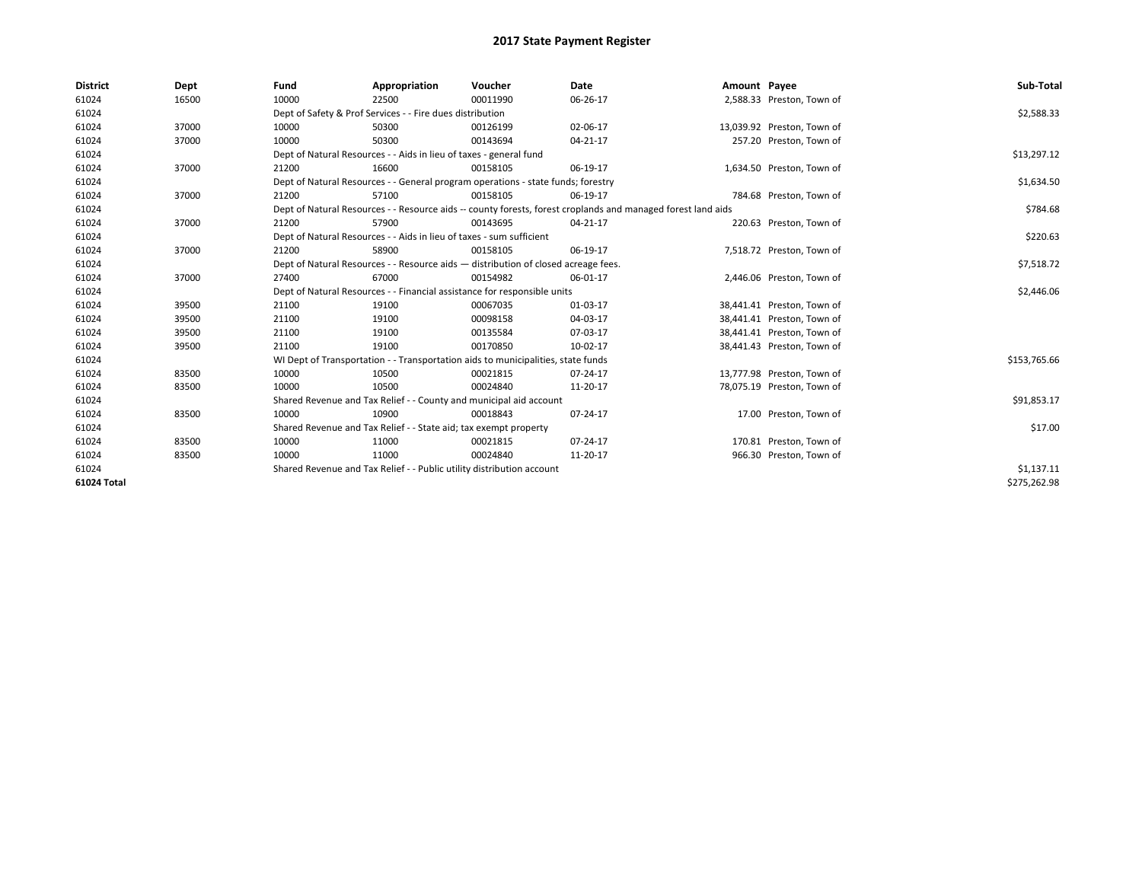| <b>District</b> | Dept  | Fund  | Appropriation                                                                                                | Voucher  | Date           | Amount Payee |                            | Sub-Total    |  |  |  |
|-----------------|-------|-------|--------------------------------------------------------------------------------------------------------------|----------|----------------|--------------|----------------------------|--------------|--|--|--|
| 61024           | 16500 | 10000 | 22500                                                                                                        | 00011990 | 06-26-17       |              | 2,588.33 Preston, Town of  |              |  |  |  |
| 61024           |       |       | Dept of Safety & Prof Services - - Fire dues distribution                                                    |          |                |              |                            | \$2,588.33   |  |  |  |
| 61024           | 37000 | 10000 | 50300                                                                                                        | 00126199 | 02-06-17       |              | 13,039.92 Preston, Town of |              |  |  |  |
| 61024           | 37000 | 10000 | 50300                                                                                                        | 00143694 | 04-21-17       |              | 257.20 Preston, Town of    |              |  |  |  |
| 61024           |       |       | Dept of Natural Resources - - Aids in lieu of taxes - general fund                                           |          |                |              |                            | \$13,297.12  |  |  |  |
| 61024           | 37000 | 21200 | 16600                                                                                                        | 00158105 | 06-19-17       |              | 1,634.50 Preston, Town of  |              |  |  |  |
| 61024           |       |       | Dept of Natural Resources - - General program operations - state funds; forestry                             |          |                |              |                            | \$1,634.50   |  |  |  |
| 61024           | 37000 | 21200 | 57100                                                                                                        | 00158105 | 06-19-17       |              | 784.68 Preston, Town of    |              |  |  |  |
| 61024           |       |       | Dept of Natural Resources - - Resource aids -- county forests, forest croplands and managed forest land aids |          |                |              |                            | \$784.68     |  |  |  |
| 61024           | 37000 | 21200 | 57900                                                                                                        | 00143695 | 04-21-17       |              | 220.63 Preston, Town of    |              |  |  |  |
| 61024           |       |       | Dept of Natural Resources - - Aids in lieu of taxes - sum sufficient                                         |          |                |              |                            | \$220.63     |  |  |  |
| 61024           | 37000 | 21200 | 58900                                                                                                        | 00158105 | 06-19-17       |              | 7,518.72 Preston, Town of  |              |  |  |  |
| 61024           |       |       | Dept of Natural Resources - - Resource aids - distribution of closed acreage fees.                           |          |                |              |                            |              |  |  |  |
| 61024           | 37000 | 27400 | 67000                                                                                                        | 00154982 | 06-01-17       |              | 2,446.06 Preston, Town of  |              |  |  |  |
| 61024           |       |       | Dept of Natural Resources - - Financial assistance for responsible units                                     |          |                |              |                            | \$2,446.06   |  |  |  |
| 61024           | 39500 | 21100 | 19100                                                                                                        | 00067035 | 01-03-17       |              | 38,441.41 Preston, Town of |              |  |  |  |
| 61024           | 39500 | 21100 | 19100                                                                                                        | 00098158 | 04-03-17       |              | 38,441.41 Preston, Town of |              |  |  |  |
| 61024           | 39500 | 21100 | 19100                                                                                                        | 00135584 | 07-03-17       |              | 38,441.41 Preston, Town of |              |  |  |  |
| 61024           | 39500 | 21100 | 19100                                                                                                        | 00170850 | 10-02-17       |              | 38,441.43 Preston, Town of |              |  |  |  |
| 61024           |       |       | WI Dept of Transportation - - Transportation aids to municipalities, state funds                             |          |                |              |                            | \$153,765.66 |  |  |  |
| 61024           | 83500 | 10000 | 10500                                                                                                        | 00021815 | $07 - 24 - 17$ |              | 13,777.98 Preston, Town of |              |  |  |  |
| 61024           | 83500 | 10000 | 10500                                                                                                        | 00024840 | 11-20-17       |              | 78,075.19 Preston, Town of |              |  |  |  |
| 61024           |       |       | Shared Revenue and Tax Relief - - County and municipal aid account                                           |          |                |              |                            | \$91,853.17  |  |  |  |
| 61024           | 83500 | 10000 | 10900                                                                                                        | 00018843 | 07-24-17       |              | 17.00 Preston, Town of     |              |  |  |  |
| 61024           |       |       | Shared Revenue and Tax Relief - - State aid; tax exempt property                                             |          |                |              |                            | \$17.00      |  |  |  |
| 61024           | 83500 | 10000 | 11000                                                                                                        | 00021815 | 07-24-17       |              | 170.81 Preston, Town of    |              |  |  |  |
| 61024           | 83500 | 10000 | 11000                                                                                                        | 00024840 | 11-20-17       |              | 966.30 Preston, Town of    |              |  |  |  |
| 61024           |       |       | Shared Revenue and Tax Relief - - Public utility distribution account                                        |          |                |              |                            |              |  |  |  |
| 61024 Total     |       |       |                                                                                                              |          |                |              |                            | \$275,262.98 |  |  |  |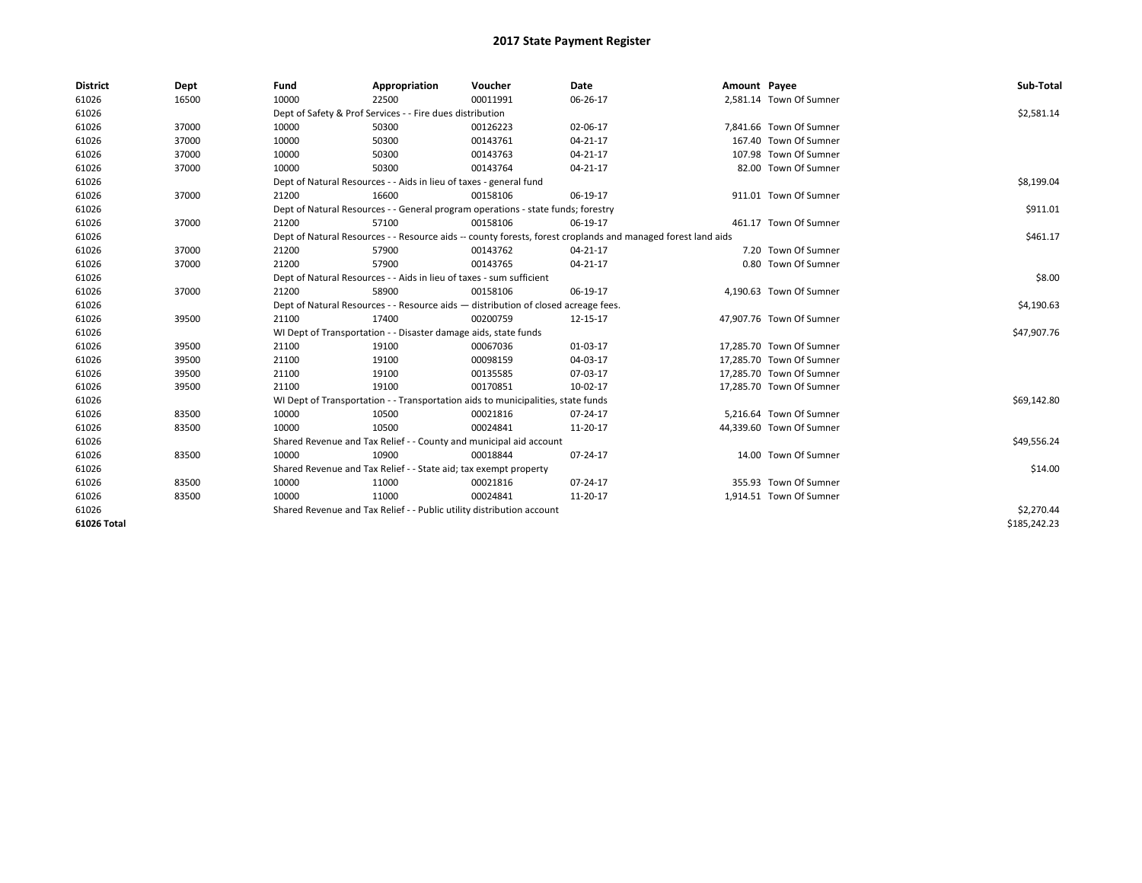| <b>District</b> | Dept  | Fund  | Appropriation                                                                      | Voucher  | Date                                                                                                         | Amount Payee |                          | Sub-Total    |
|-----------------|-------|-------|------------------------------------------------------------------------------------|----------|--------------------------------------------------------------------------------------------------------------|--------------|--------------------------|--------------|
| 61026           | 16500 | 10000 | 22500                                                                              | 00011991 | 06-26-17                                                                                                     |              | 2,581.14 Town Of Sumner  |              |
| 61026           |       |       | Dept of Safety & Prof Services - - Fire dues distribution                          |          |                                                                                                              |              |                          | \$2,581.14   |
| 61026           | 37000 | 10000 | 50300                                                                              | 00126223 | 02-06-17                                                                                                     |              | 7,841.66 Town Of Sumner  |              |
| 61026           | 37000 | 10000 | 50300                                                                              | 00143761 | 04-21-17                                                                                                     |              | 167.40 Town Of Sumner    |              |
| 61026           | 37000 | 10000 | 50300                                                                              | 00143763 | 04-21-17                                                                                                     |              | 107.98 Town Of Sumner    |              |
| 61026           | 37000 | 10000 | 50300                                                                              | 00143764 | 04-21-17                                                                                                     |              | 82.00 Town Of Sumner     |              |
| 61026           |       |       | Dept of Natural Resources - - Aids in lieu of taxes - general fund                 |          |                                                                                                              |              |                          | \$8,199.04   |
| 61026           | 37000 | 21200 | 16600                                                                              | 00158106 | 06-19-17                                                                                                     |              | 911.01 Town Of Sumner    |              |
| 61026           |       |       | Dept of Natural Resources - - General program operations - state funds; forestry   |          |                                                                                                              |              |                          | \$911.01     |
| 61026           | 37000 | 21200 | 57100                                                                              | 00158106 | 06-19-17                                                                                                     |              | 461.17 Town Of Sumner    |              |
| 61026           |       |       |                                                                                    |          | Dept of Natural Resources - - Resource aids -- county forests, forest croplands and managed forest land aids |              |                          | \$461.17     |
| 61026           | 37000 | 21200 | 57900                                                                              | 00143762 | 04-21-17                                                                                                     |              | 7.20 Town Of Sumner      |              |
| 61026           | 37000 | 21200 | 57900                                                                              | 00143765 | 04-21-17                                                                                                     |              | 0.80 Town Of Sumner      |              |
| 61026           |       |       | Dept of Natural Resources - - Aids in lieu of taxes - sum sufficient               |          |                                                                                                              |              |                          | \$8.00       |
| 61026           | 37000 | 21200 | 58900                                                                              | 00158106 | 06-19-17                                                                                                     |              | 4,190.63 Town Of Sumner  |              |
| 61026           |       |       | Dept of Natural Resources - - Resource aids - distribution of closed acreage fees. |          |                                                                                                              |              |                          | \$4,190.63   |
| 61026           | 39500 | 21100 | 17400                                                                              | 00200759 | 12-15-17                                                                                                     |              | 47.907.76 Town Of Sumner |              |
| 61026           |       |       | WI Dept of Transportation - - Disaster damage aids, state funds                    |          |                                                                                                              |              |                          | \$47,907.76  |
| 61026           | 39500 | 21100 | 19100                                                                              | 00067036 | 01-03-17                                                                                                     |              | 17,285.70 Town Of Sumner |              |
| 61026           | 39500 | 21100 | 19100                                                                              | 00098159 | 04-03-17                                                                                                     |              | 17,285.70 Town Of Sumner |              |
| 61026           | 39500 | 21100 | 19100                                                                              | 00135585 | 07-03-17                                                                                                     |              | 17,285.70 Town Of Sumner |              |
| 61026           | 39500 | 21100 | 19100                                                                              | 00170851 | 10-02-17                                                                                                     |              | 17,285.70 Town Of Sumner |              |
| 61026           |       |       | WI Dept of Transportation - - Transportation aids to municipalities, state funds   |          |                                                                                                              |              |                          | \$69,142.80  |
| 61026           | 83500 | 10000 | 10500                                                                              | 00021816 | 07-24-17                                                                                                     |              | 5,216.64 Town Of Sumner  |              |
| 61026           | 83500 | 10000 | 10500                                                                              | 00024841 | 11-20-17                                                                                                     |              | 44,339.60 Town Of Sumner |              |
| 61026           |       |       | Shared Revenue and Tax Relief - - County and municipal aid account                 |          |                                                                                                              |              |                          | \$49,556.24  |
| 61026           | 83500 | 10000 | 10900                                                                              | 00018844 | 07-24-17                                                                                                     |              | 14.00 Town Of Sumner     |              |
| 61026           |       |       | Shared Revenue and Tax Relief - - State aid; tax exempt property                   |          |                                                                                                              |              |                          | \$14.00      |
| 61026           | 83500 | 10000 | 11000                                                                              | 00021816 | $07 - 24 - 17$                                                                                               |              | 355.93 Town Of Sumner    |              |
| 61026           | 83500 | 10000 | 11000                                                                              | 00024841 | 11-20-17                                                                                                     |              | 1,914.51 Town Of Sumner  |              |
| 61026           |       |       | Shared Revenue and Tax Relief - - Public utility distribution account              |          |                                                                                                              |              |                          | \$2,270.44   |
| 61026 Total     |       |       |                                                                                    |          |                                                                                                              |              |                          | \$185,242.23 |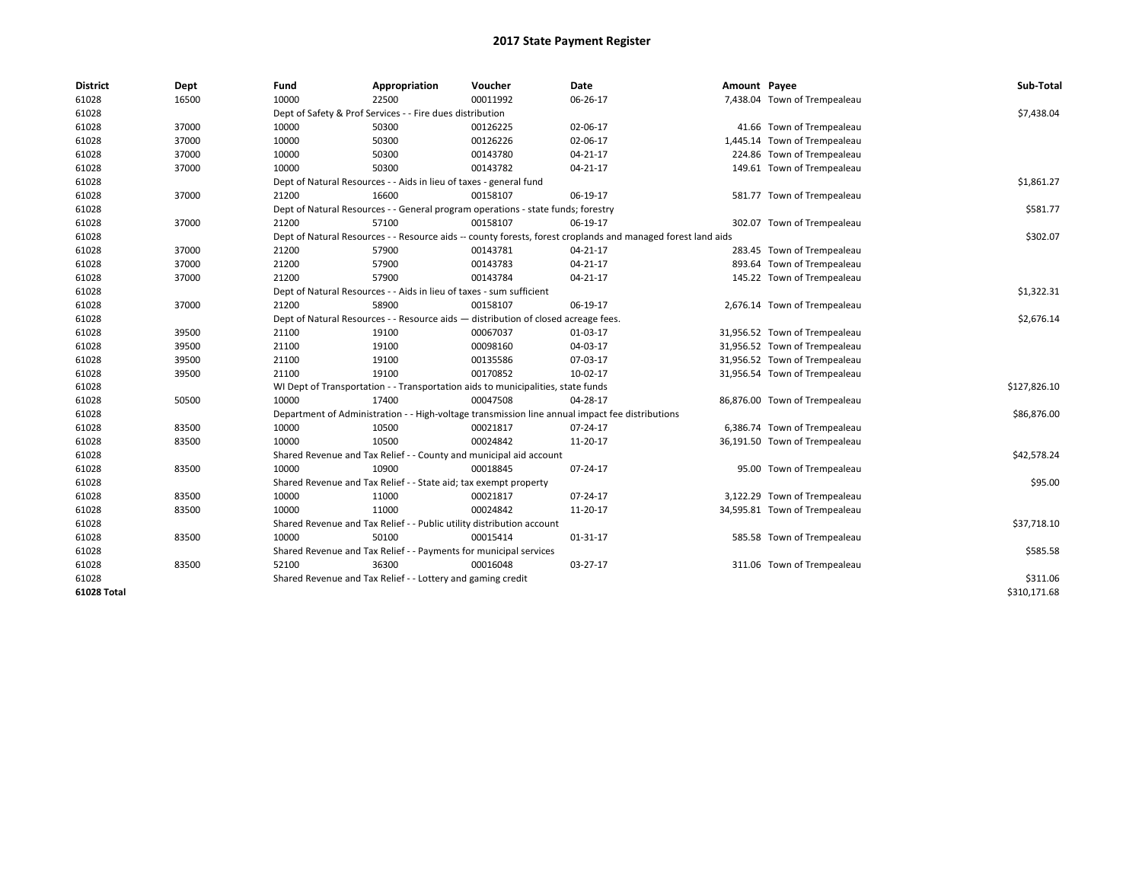| <b>District</b> | Dept  | Fund  | Appropriation                                                                                                | Voucher  | <b>Date</b>    | Amount Payee |                               | Sub-Total    |  |  |
|-----------------|-------|-------|--------------------------------------------------------------------------------------------------------------|----------|----------------|--------------|-------------------------------|--------------|--|--|
| 61028           | 16500 | 10000 | 22500                                                                                                        | 00011992 | 06-26-17       |              | 7,438.04 Town of Trempealeau  |              |  |  |
| 61028           |       |       | Dept of Safety & Prof Services - - Fire dues distribution                                                    |          |                |              |                               | \$7,438.04   |  |  |
| 61028           | 37000 | 10000 | 50300                                                                                                        | 00126225 | 02-06-17       |              | 41.66 Town of Trempealeau     |              |  |  |
| 61028           | 37000 | 10000 | 50300                                                                                                        | 00126226 | 02-06-17       |              | 1,445.14 Town of Trempealeau  |              |  |  |
| 61028           | 37000 | 10000 | 50300                                                                                                        | 00143780 | 04-21-17       |              | 224.86 Town of Trempealeau    |              |  |  |
| 61028           | 37000 | 10000 | 50300                                                                                                        | 00143782 | $04 - 21 - 17$ |              | 149.61 Town of Trempealeau    |              |  |  |
| 61028           |       |       | Dept of Natural Resources - - Aids in lieu of taxes - general fund                                           |          |                |              |                               | \$1,861.27   |  |  |
| 61028           | 37000 | 21200 | 16600                                                                                                        | 00158107 | 06-19-17       |              | 581.77 Town of Trempealeau    |              |  |  |
| 61028           |       |       | Dept of Natural Resources - - General program operations - state funds; forestry                             |          |                |              |                               | \$581.77     |  |  |
| 61028           | 37000 | 21200 | 57100                                                                                                        | 00158107 | 06-19-17       |              | 302.07 Town of Trempealeau    |              |  |  |
| 61028           |       |       | Dept of Natural Resources - - Resource aids -- county forests, forest croplands and managed forest land aids |          |                |              |                               | \$302.07     |  |  |
| 61028           | 37000 | 21200 | 57900                                                                                                        | 00143781 | $04 - 21 - 17$ |              | 283.45 Town of Trempealeau    |              |  |  |
| 61028           | 37000 | 21200 | 57900                                                                                                        | 00143783 | $04 - 21 - 17$ |              | 893.64 Town of Trempealeau    |              |  |  |
| 61028           | 37000 | 21200 | 57900                                                                                                        | 00143784 | 04-21-17       |              | 145.22 Town of Trempealeau    |              |  |  |
| 61028           |       |       | Dept of Natural Resources - - Aids in lieu of taxes - sum sufficient                                         |          |                |              |                               | \$1,322.31   |  |  |
| 61028           | 37000 | 21200 | 58900                                                                                                        | 00158107 | 06-19-17       |              | 2,676.14 Town of Trempealeau  |              |  |  |
| 61028           |       |       | Dept of Natural Resources - - Resource aids - distribution of closed acreage fees.                           |          |                |              |                               |              |  |  |
| 61028           | 39500 | 21100 | 19100                                                                                                        | 00067037 | 01-03-17       |              | 31,956.52 Town of Trempealeau |              |  |  |
| 61028           | 39500 | 21100 | 19100                                                                                                        | 00098160 | 04-03-17       |              | 31,956.52 Town of Trempealeau |              |  |  |
| 61028           | 39500 | 21100 | 19100                                                                                                        | 00135586 | 07-03-17       |              | 31,956.52 Town of Trempealeau |              |  |  |
| 61028           | 39500 | 21100 | 19100                                                                                                        | 00170852 | 10-02-17       |              | 31,956.54 Town of Trempealeau |              |  |  |
| 61028           |       |       | WI Dept of Transportation - - Transportation aids to municipalities, state funds                             |          |                |              |                               | \$127,826.10 |  |  |
| 61028           | 50500 | 10000 | 17400                                                                                                        | 00047508 | 04-28-17       |              | 86,876.00 Town of Trempealeau |              |  |  |
| 61028           |       |       | Department of Administration - - High-voltage transmission line annual impact fee distributions              |          |                |              |                               | \$86,876.00  |  |  |
| 61028           | 83500 | 10000 | 10500                                                                                                        | 00021817 | 07-24-17       |              | 6,386.74 Town of Trempealeau  |              |  |  |
| 61028           | 83500 | 10000 | 10500                                                                                                        | 00024842 | 11-20-17       |              | 36,191.50 Town of Trempealeau |              |  |  |
| 61028           |       |       | Shared Revenue and Tax Relief - - County and municipal aid account                                           |          |                |              |                               | \$42,578.24  |  |  |
| 61028           | 83500 | 10000 | 10900                                                                                                        | 00018845 | 07-24-17       |              | 95.00 Town of Trempealeau     |              |  |  |
| 61028           |       |       | Shared Revenue and Tax Relief - - State aid; tax exempt property                                             |          |                |              |                               | \$95.00      |  |  |
| 61028           | 83500 | 10000 | 11000                                                                                                        | 00021817 | 07-24-17       |              | 3,122.29 Town of Trempealeau  |              |  |  |
| 61028           | 83500 | 10000 | 11000                                                                                                        | 00024842 | 11-20-17       |              | 34,595.81 Town of Trempealeau |              |  |  |
| 61028           |       |       | Shared Revenue and Tax Relief - - Public utility distribution account                                        |          |                |              |                               | \$37,718.10  |  |  |
| 61028           | 83500 | 10000 | 50100                                                                                                        | 00015414 | 01-31-17       |              | 585.58 Town of Trempealeau    |              |  |  |
| 61028           |       |       | Shared Revenue and Tax Relief - - Payments for municipal services                                            |          |                |              |                               | \$585.58     |  |  |
| 61028           | 83500 | 52100 | 36300                                                                                                        | 00016048 | 03-27-17       |              | 311.06 Town of Trempealeau    |              |  |  |
| 61028           |       |       | Shared Revenue and Tax Relief - - Lottery and gaming credit                                                  |          |                |              |                               | \$311.06     |  |  |
| 61028 Total     |       |       |                                                                                                              |          |                |              |                               | \$310.171.68 |  |  |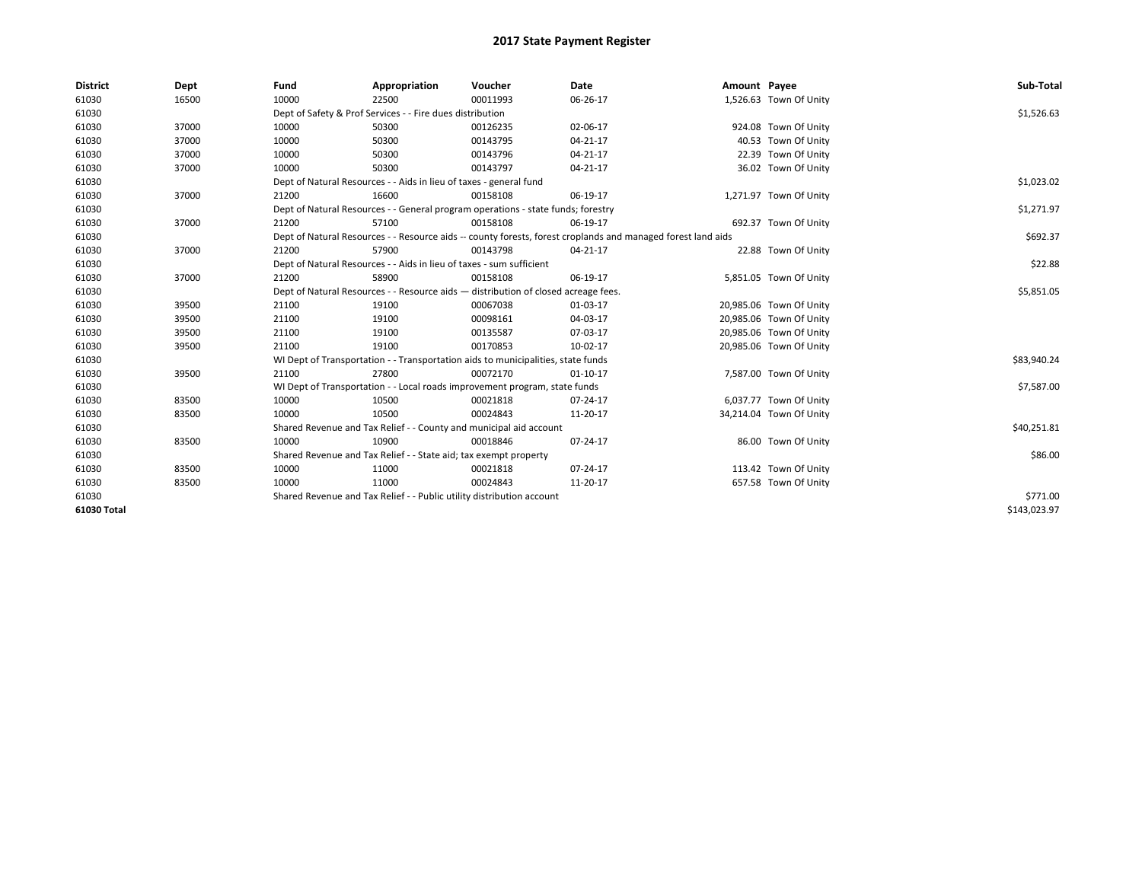| <b>District</b> | Dept  | Fund  | Appropriation                                                                                                | Voucher  | Date           | Amount Payee |                         | Sub-Total    |  |  |
|-----------------|-------|-------|--------------------------------------------------------------------------------------------------------------|----------|----------------|--------------|-------------------------|--------------|--|--|
| 61030           | 16500 | 10000 | 22500                                                                                                        | 00011993 | 06-26-17       |              | 1,526.63 Town Of Unity  |              |  |  |
| 61030           |       |       | Dept of Safety & Prof Services - - Fire dues distribution                                                    |          |                |              |                         | \$1,526.63   |  |  |
| 61030           | 37000 | 10000 | 50300                                                                                                        | 00126235 | 02-06-17       |              | 924.08 Town Of Unity    |              |  |  |
| 61030           | 37000 | 10000 | 50300                                                                                                        | 00143795 | $04 - 21 - 17$ |              | 40.53 Town Of Unity     |              |  |  |
| 61030           | 37000 | 10000 | 50300                                                                                                        | 00143796 | 04-21-17       |              | 22.39 Town Of Unity     |              |  |  |
| 61030           | 37000 | 10000 | 50300                                                                                                        | 00143797 | $04 - 21 - 17$ |              | 36.02 Town Of Unity     |              |  |  |
| 61030           |       |       | Dept of Natural Resources - - Aids in lieu of taxes - general fund                                           |          |                |              |                         | \$1,023.02   |  |  |
| 61030           | 37000 | 21200 | 16600                                                                                                        | 00158108 | 06-19-17       |              | 1,271.97 Town Of Unity  |              |  |  |
| 61030           |       |       | Dept of Natural Resources - - General program operations - state funds; forestry                             |          |                |              |                         | \$1,271.97   |  |  |
| 61030           | 37000 | 21200 | 57100                                                                                                        | 00158108 | 06-19-17       |              | 692.37 Town Of Unity    |              |  |  |
| 61030           |       |       | Dept of Natural Resources - - Resource aids -- county forests, forest croplands and managed forest land aids |          |                |              |                         | \$692.37     |  |  |
| 61030           | 37000 | 21200 | 57900                                                                                                        | 00143798 | 04-21-17       |              | 22.88 Town Of Unity     |              |  |  |
| 61030           |       |       | Dept of Natural Resources - - Aids in lieu of taxes - sum sufficient                                         |          |                |              |                         | \$22.88      |  |  |
| 61030           | 37000 | 21200 | 58900                                                                                                        | 00158108 | 06-19-17       |              | 5,851.05 Town Of Unity  |              |  |  |
| 61030           |       |       | Dept of Natural Resources - - Resource aids - distribution of closed acreage fees.                           |          |                |              |                         |              |  |  |
| 61030           | 39500 | 21100 | 19100                                                                                                        | 00067038 | 01-03-17       |              | 20,985.06 Town Of Unity |              |  |  |
| 61030           | 39500 | 21100 | 19100                                                                                                        | 00098161 | 04-03-17       |              | 20,985.06 Town Of Unity |              |  |  |
| 61030           | 39500 | 21100 | 19100                                                                                                        | 00135587 | 07-03-17       |              | 20,985.06 Town Of Unity |              |  |  |
| 61030           | 39500 | 21100 | 19100                                                                                                        | 00170853 | 10-02-17       |              | 20,985.06 Town Of Unity |              |  |  |
| 61030           |       |       | WI Dept of Transportation - - Transportation aids to municipalities, state funds                             |          |                |              |                         | \$83,940.24  |  |  |
| 61030           | 39500 | 21100 | 27800                                                                                                        | 00072170 | $01 - 10 - 17$ |              | 7,587.00 Town Of Unity  |              |  |  |
| 61030           |       |       | WI Dept of Transportation - - Local roads improvement program, state funds                                   |          |                |              |                         | \$7,587.00   |  |  |
| 61030           | 83500 | 10000 | 10500                                                                                                        | 00021818 | 07-24-17       |              | 6,037.77 Town Of Unity  |              |  |  |
| 61030           | 83500 | 10000 | 10500                                                                                                        | 00024843 | 11-20-17       |              | 34,214.04 Town Of Unity |              |  |  |
| 61030           |       |       | Shared Revenue and Tax Relief - - County and municipal aid account                                           |          |                |              |                         | \$40,251.81  |  |  |
| 61030           | 83500 | 10000 | 10900                                                                                                        | 00018846 | 07-24-17       |              | 86.00 Town Of Unity     |              |  |  |
| 61030           |       |       | Shared Revenue and Tax Relief - - State aid; tax exempt property                                             |          |                |              |                         | \$86.00      |  |  |
| 61030           | 83500 | 10000 | 11000                                                                                                        | 00021818 | 07-24-17       |              | 113.42 Town Of Unity    |              |  |  |
| 61030           | 83500 | 10000 | 11000                                                                                                        | 00024843 | 11-20-17       |              | 657.58 Town Of Unity    |              |  |  |
| 61030           |       |       | Shared Revenue and Tax Relief - - Public utility distribution account                                        |          |                |              |                         | \$771.00     |  |  |
| 61030 Total     |       |       |                                                                                                              |          |                |              |                         | \$143,023.97 |  |  |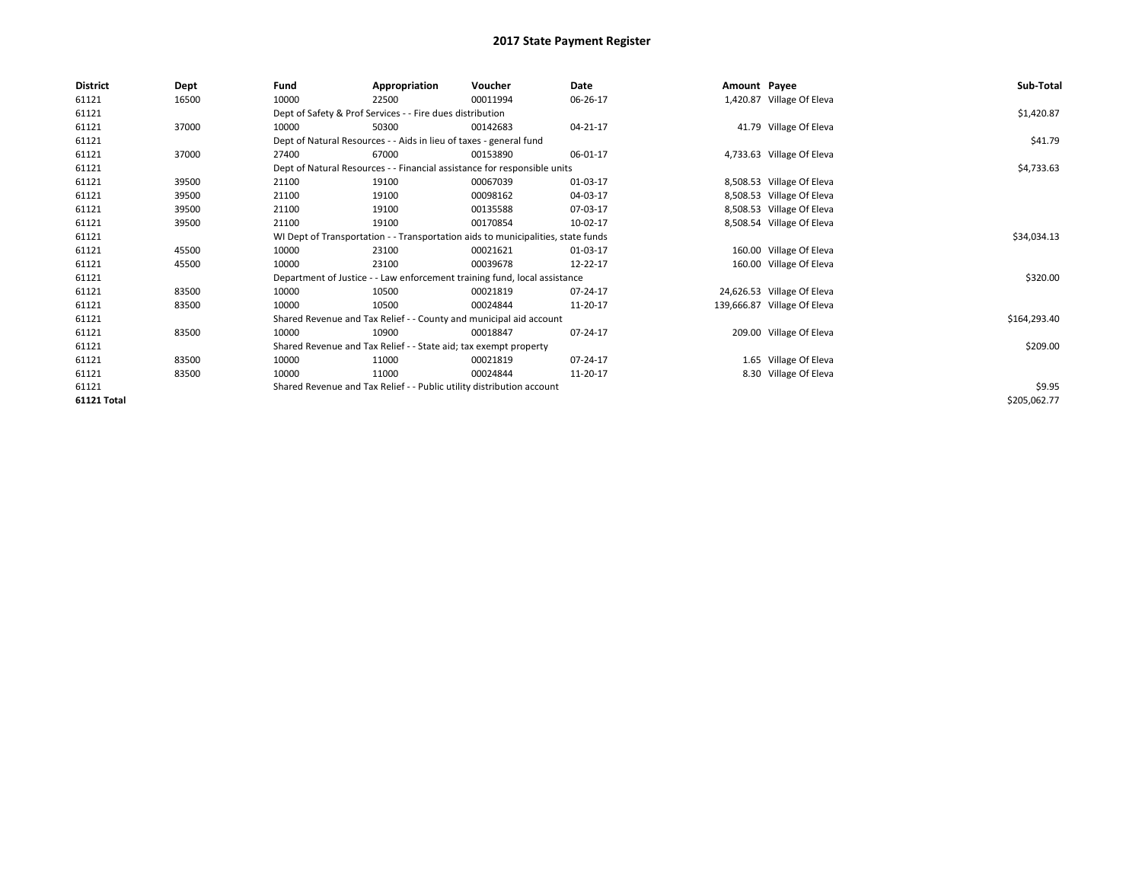| <b>District</b> | Dept  | Fund                                                                  | Appropriation                                                      | Voucher                                                                          | Date     | Amount Payee |                             | Sub-Total    |
|-----------------|-------|-----------------------------------------------------------------------|--------------------------------------------------------------------|----------------------------------------------------------------------------------|----------|--------------|-----------------------------|--------------|
| 61121           | 16500 | 10000                                                                 | 22500                                                              | 00011994                                                                         | 06-26-17 |              | 1,420.87 Village Of Eleva   |              |
| 61121           |       |                                                                       | Dept of Safety & Prof Services - - Fire dues distribution          |                                                                                  |          |              |                             | \$1,420.87   |
| 61121           | 37000 | 10000                                                                 | 50300                                                              | 00142683                                                                         | 04-21-17 |              | 41.79 Village Of Eleva      |              |
| 61121           |       |                                                                       | Dept of Natural Resources - - Aids in lieu of taxes - general fund |                                                                                  |          |              |                             | \$41.79      |
| 61121           | 37000 | 27400                                                                 | 67000                                                              | 00153890                                                                         | 06-01-17 |              | 4,733.63 Village Of Eleva   |              |
| 61121           |       |                                                                       |                                                                    | Dept of Natural Resources - - Financial assistance for responsible units         |          |              |                             | \$4,733.63   |
| 61121           | 39500 | 21100                                                                 | 19100                                                              | 00067039                                                                         | 01-03-17 |              | 8,508.53 Village Of Eleva   |              |
| 61121           | 39500 | 21100                                                                 | 19100                                                              | 00098162                                                                         | 04-03-17 |              | 8,508.53 Village Of Eleva   |              |
| 61121           | 39500 | 21100                                                                 | 19100                                                              | 00135588                                                                         | 07-03-17 |              | 8,508.53 Village Of Eleva   |              |
| 61121           | 39500 | 21100                                                                 | 19100                                                              | 00170854                                                                         | 10-02-17 |              | 8,508.54 Village Of Eleva   |              |
| 61121           |       |                                                                       |                                                                    | WI Dept of Transportation - - Transportation aids to municipalities, state funds |          |              |                             | \$34,034.13  |
| 61121           | 45500 | 10000                                                                 | 23100                                                              | 00021621                                                                         | 01-03-17 |              | 160.00 Village Of Eleva     |              |
| 61121           | 45500 | 10000                                                                 | 23100                                                              | 00039678                                                                         | 12-22-17 |              | 160.00 Village Of Eleva     |              |
| 61121           |       |                                                                       |                                                                    | Department of Justice - - Law enforcement training fund, local assistance        |          |              |                             | \$320.00     |
| 61121           | 83500 | 10000                                                                 | 10500                                                              | 00021819                                                                         | 07-24-17 |              | 24,626.53 Village Of Eleva  |              |
| 61121           | 83500 | 10000                                                                 | 10500                                                              | 00024844                                                                         | 11-20-17 |              | 139,666.87 Village Of Eleva |              |
| 61121           |       |                                                                       |                                                                    | Shared Revenue and Tax Relief - - County and municipal aid account               |          |              |                             | \$164,293.40 |
| 61121           | 83500 | 10000                                                                 | 10900                                                              | 00018847                                                                         | 07-24-17 |              | 209.00 Village Of Eleva     |              |
| 61121           |       |                                                                       | Shared Revenue and Tax Relief - - State aid; tax exempt property   |                                                                                  |          |              |                             | \$209.00     |
| 61121           | 83500 | 10000                                                                 | 11000                                                              | 00021819                                                                         | 07-24-17 |              | 1.65 Village Of Eleva       |              |
| 61121           | 83500 | 10000                                                                 | 11000                                                              | 00024844                                                                         | 11-20-17 |              | 8.30 Village Of Eleva       |              |
| 61121           |       | Shared Revenue and Tax Relief - - Public utility distribution account |                                                                    | \$9.95                                                                           |          |              |                             |              |
| 61121 Total     |       |                                                                       |                                                                    |                                                                                  |          |              |                             | \$205,062.77 |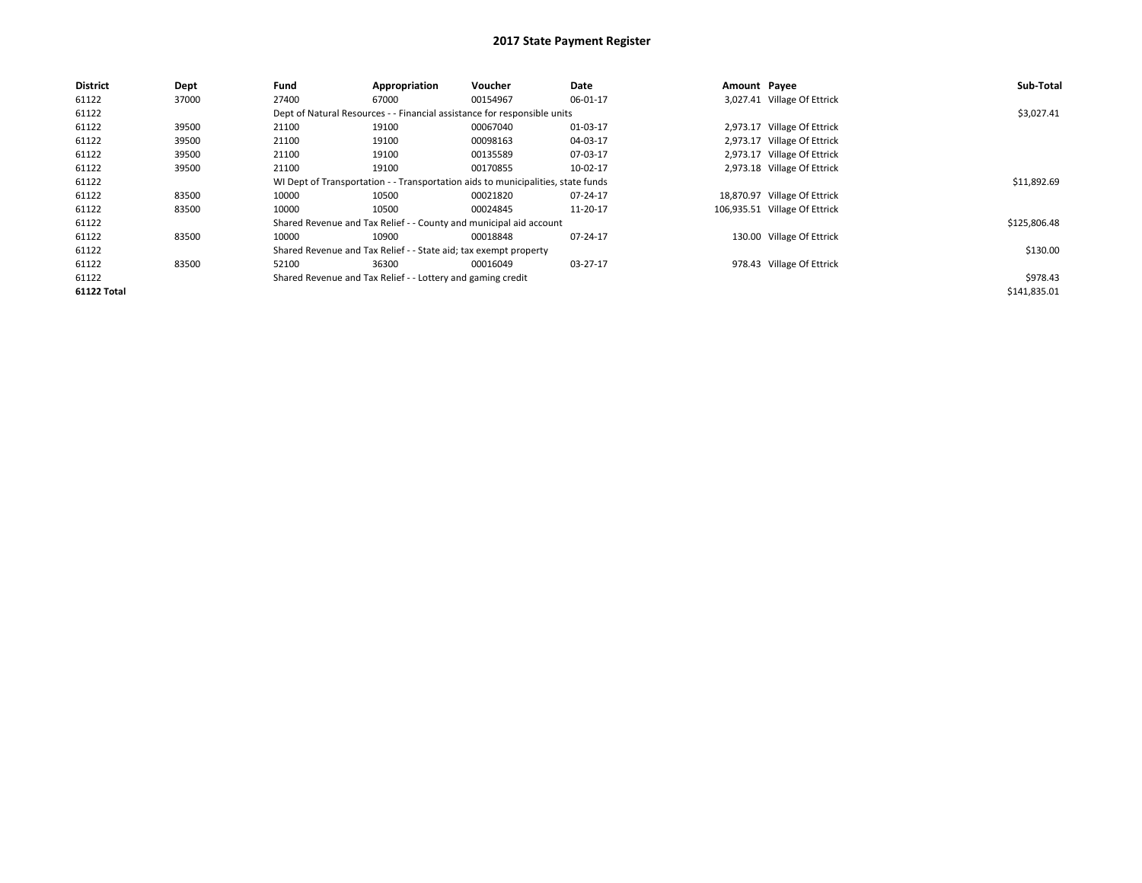| <b>District</b>    | Dept  | Fund  | Appropriation                                                    | Voucher                                                                          | Date     | Amount Payee |                               | Sub-Total    |
|--------------------|-------|-------|------------------------------------------------------------------|----------------------------------------------------------------------------------|----------|--------------|-------------------------------|--------------|
| 61122              | 37000 | 27400 | 67000                                                            | 00154967                                                                         | 06-01-17 |              | 3,027.41 Village Of Ettrick   |              |
| 61122              |       |       |                                                                  | Dept of Natural Resources - - Financial assistance for responsible units         |          |              |                               | \$3,027.41   |
| 61122              | 39500 | 21100 | 19100                                                            | 00067040                                                                         | 01-03-17 |              | 2,973.17 Village Of Ettrick   |              |
| 61122              | 39500 | 21100 | 19100                                                            | 00098163                                                                         | 04-03-17 |              | 2,973.17 Village Of Ettrick   |              |
| 61122              | 39500 | 21100 | 19100                                                            | 00135589                                                                         | 07-03-17 |              | 2,973.17 Village Of Ettrick   |              |
| 61122              | 39500 | 21100 | 19100                                                            | 00170855                                                                         | 10-02-17 |              | 2,973.18 Village Of Ettrick   |              |
| 61122              |       |       |                                                                  | WI Dept of Transportation - - Transportation aids to municipalities, state funds |          |              |                               | \$11,892.69  |
| 61122              | 83500 | 10000 | 10500                                                            | 00021820                                                                         | 07-24-17 |              | 18,870.97 Village Of Ettrick  |              |
| 61122              | 83500 | 10000 | 10500                                                            | 00024845                                                                         | 11-20-17 |              | 106,935.51 Village Of Ettrick |              |
| 61122              |       |       |                                                                  | Shared Revenue and Tax Relief - - County and municipal aid account               |          |              |                               | \$125,806.48 |
| 61122              | 83500 | 10000 | 10900                                                            | 00018848                                                                         | 07-24-17 |              | 130.00 Village Of Ettrick     |              |
| 61122              |       |       | Shared Revenue and Tax Relief - - State aid; tax exempt property |                                                                                  |          |              |                               | \$130.00     |
| 61122              | 83500 | 52100 | 36300                                                            | 00016049                                                                         | 03-27-17 |              | 978.43 Village Of Ettrick     |              |
| 61122              |       |       | Shared Revenue and Tax Relief - - Lottery and gaming credit      |                                                                                  |          |              |                               | \$978.43     |
| <b>61122 Total</b> |       |       |                                                                  |                                                                                  |          |              |                               | \$141,835.01 |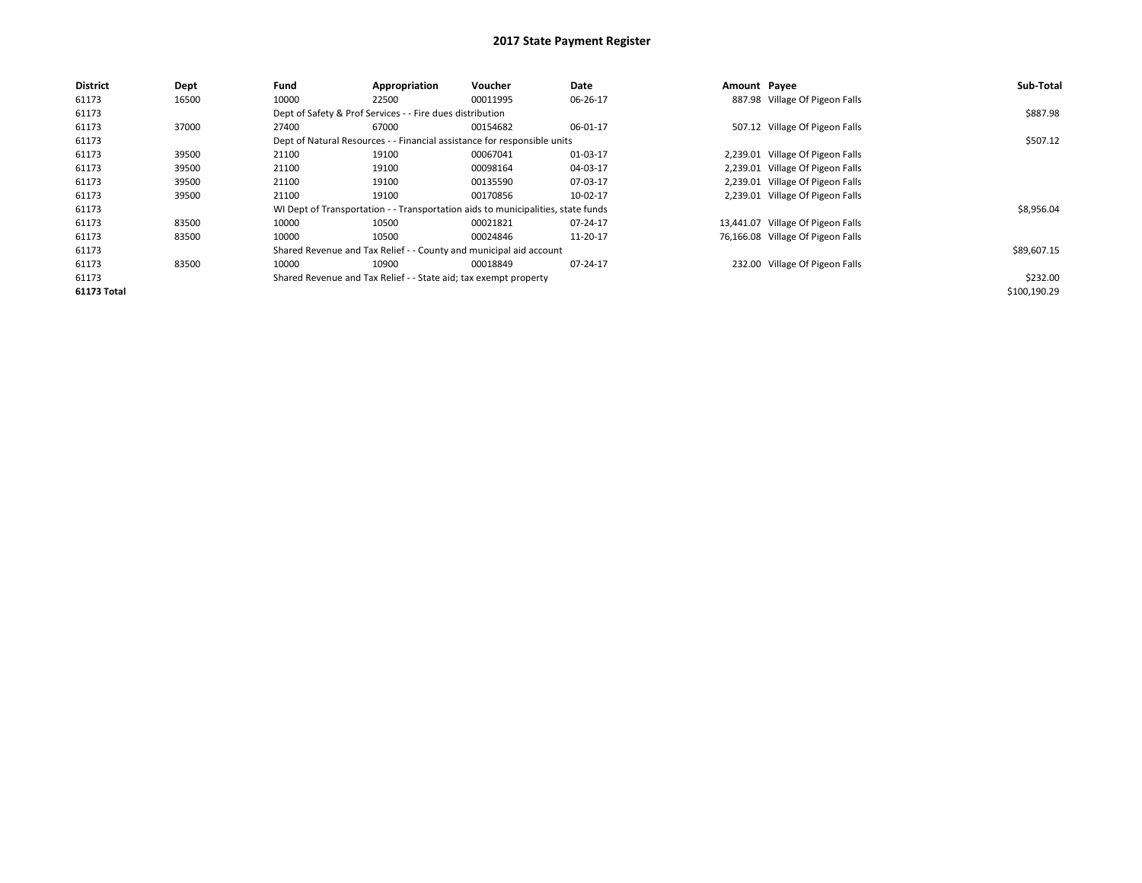| <b>District</b>    | Dept  | Fund  | Appropriation                                                                    | Voucher  | Date     | Amount Payee |                                   | Sub-Total    |
|--------------------|-------|-------|----------------------------------------------------------------------------------|----------|----------|--------------|-----------------------------------|--------------|
| 61173              | 16500 | 10000 | 22500                                                                            | 00011995 | 06-26-17 |              | 887.98 Village Of Pigeon Falls    |              |
| 61173              |       |       | Dept of Safety & Prof Services - - Fire dues distribution                        |          |          |              |                                   | \$887.98     |
| 61173              | 37000 | 27400 | 67000                                                                            | 00154682 | 06-01-17 |              | 507.12 Village Of Pigeon Falls    |              |
| 61173              |       |       | Dept of Natural Resources - - Financial assistance for responsible units         |          |          |              |                                   | \$507.12     |
| 61173              | 39500 | 21100 | 19100                                                                            | 00067041 | 01-03-17 |              | 2,239.01 Village Of Pigeon Falls  |              |
| 61173              | 39500 | 21100 | 19100                                                                            | 00098164 | 04-03-17 |              | 2,239.01 Village Of Pigeon Falls  |              |
| 61173              | 39500 | 21100 | 19100                                                                            | 00135590 | 07-03-17 |              | 2,239.01 Village Of Pigeon Falls  |              |
| 61173              | 39500 | 21100 | 19100                                                                            | 00170856 | 10-02-17 |              | 2,239.01 Village Of Pigeon Falls  |              |
| 61173              |       |       | WI Dept of Transportation - - Transportation aids to municipalities, state funds |          |          |              |                                   | \$8,956.04   |
| 61173              | 83500 | 10000 | 10500                                                                            | 00021821 | 07-24-17 |              | 13,441.07 Village Of Pigeon Falls |              |
| 61173              | 83500 | 10000 | 10500                                                                            | 00024846 | 11-20-17 |              | 76,166.08 Village Of Pigeon Falls |              |
| 61173              |       |       | Shared Revenue and Tax Relief - - County and municipal aid account               |          |          |              |                                   | \$89,607.15  |
| 61173              | 83500 | 10000 | 10900                                                                            | 00018849 | 07-24-17 |              | 232.00 Village Of Pigeon Falls    |              |
| 61173              |       |       | Shared Revenue and Tax Relief - - State aid; tax exempt property                 |          |          |              |                                   | \$232.00     |
| <b>61173 Total</b> |       |       |                                                                                  |          |          |              |                                   | \$100,190.29 |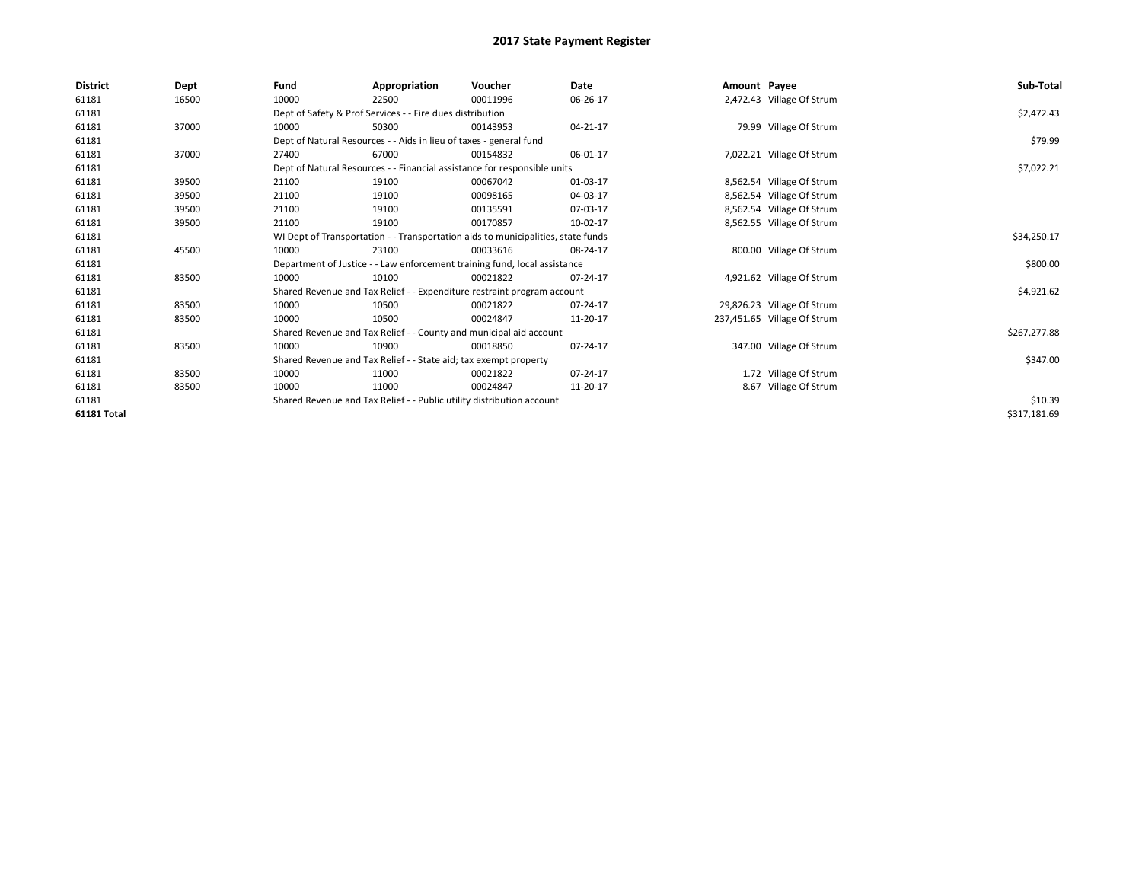| District    | Dept  | Fund                                                                  | Appropriation                                                      | Voucher                                                                          | Date     | Amount Payee |                             | Sub-Total    |
|-------------|-------|-----------------------------------------------------------------------|--------------------------------------------------------------------|----------------------------------------------------------------------------------|----------|--------------|-----------------------------|--------------|
| 61181       | 16500 | 10000                                                                 | 22500                                                              | 00011996                                                                         | 06-26-17 |              | 2,472.43 Village Of Strum   |              |
| 61181       |       |                                                                       | Dept of Safety & Prof Services - - Fire dues distribution          |                                                                                  |          |              |                             | \$2,472.43   |
| 61181       | 37000 | 10000                                                                 | 50300                                                              | 00143953                                                                         | 04-21-17 |              | 79.99 Village Of Strum      |              |
| 61181       |       |                                                                       | Dept of Natural Resources - - Aids in lieu of taxes - general fund |                                                                                  |          |              |                             | \$79.99      |
| 61181       | 37000 | 27400                                                                 | 67000                                                              | 00154832                                                                         | 06-01-17 |              | 7,022.21 Village Of Strum   |              |
| 61181       |       |                                                                       |                                                                    | Dept of Natural Resources - - Financial assistance for responsible units         |          |              |                             | \$7,022.21   |
| 61181       | 39500 | 21100                                                                 | 19100                                                              | 00067042                                                                         | 01-03-17 |              | 8,562.54 Village Of Strum   |              |
| 61181       | 39500 | 21100                                                                 | 19100                                                              | 00098165                                                                         | 04-03-17 |              | 8,562.54 Village Of Strum   |              |
| 61181       | 39500 | 21100                                                                 | 19100                                                              | 00135591                                                                         | 07-03-17 |              | 8,562.54 Village Of Strum   |              |
| 61181       | 39500 | 21100                                                                 | 19100                                                              | 00170857                                                                         | 10-02-17 |              | 8,562.55 Village Of Strum   |              |
| 61181       |       |                                                                       |                                                                    | WI Dept of Transportation - - Transportation aids to municipalities, state funds |          |              |                             | \$34,250.17  |
| 61181       | 45500 | 10000                                                                 | 23100                                                              | 00033616                                                                         | 08-24-17 |              | 800.00 Village Of Strum     |              |
| 61181       |       |                                                                       |                                                                    | Department of Justice - - Law enforcement training fund, local assistance        |          |              |                             | \$800.00     |
| 61181       | 83500 | 10000                                                                 | 10100                                                              | 00021822                                                                         | 07-24-17 |              | 4,921.62 Village Of Strum   |              |
| 61181       |       |                                                                       |                                                                    | Shared Revenue and Tax Relief - - Expenditure restraint program account          |          |              |                             | \$4,921.62   |
| 61181       | 83500 | 10000                                                                 | 10500                                                              | 00021822                                                                         | 07-24-17 |              | 29,826.23 Village Of Strum  |              |
| 61181       | 83500 | 10000                                                                 | 10500                                                              | 00024847                                                                         | 11-20-17 |              | 237,451.65 Village Of Strum |              |
| 61181       |       |                                                                       |                                                                    | Shared Revenue and Tax Relief - - County and municipal aid account               |          |              |                             | \$267,277.88 |
| 61181       | 83500 | 10000                                                                 | 10900                                                              | 00018850                                                                         | 07-24-17 |              | 347.00 Village Of Strum     |              |
| 61181       |       |                                                                       | Shared Revenue and Tax Relief - - State aid; tax exempt property   |                                                                                  |          |              |                             | \$347.00     |
| 61181       | 83500 | 10000                                                                 | 11000                                                              | 00021822                                                                         | 07-24-17 |              | 1.72 Village Of Strum       |              |
| 61181       | 83500 | 10000                                                                 | 11000                                                              | 00024847                                                                         | 11-20-17 |              | 8.67 Village Of Strum       |              |
| 61181       |       | Shared Revenue and Tax Relief - - Public utility distribution account |                                                                    | \$10.39                                                                          |          |              |                             |              |
| 61181 Total |       |                                                                       |                                                                    |                                                                                  |          |              |                             | \$317,181.69 |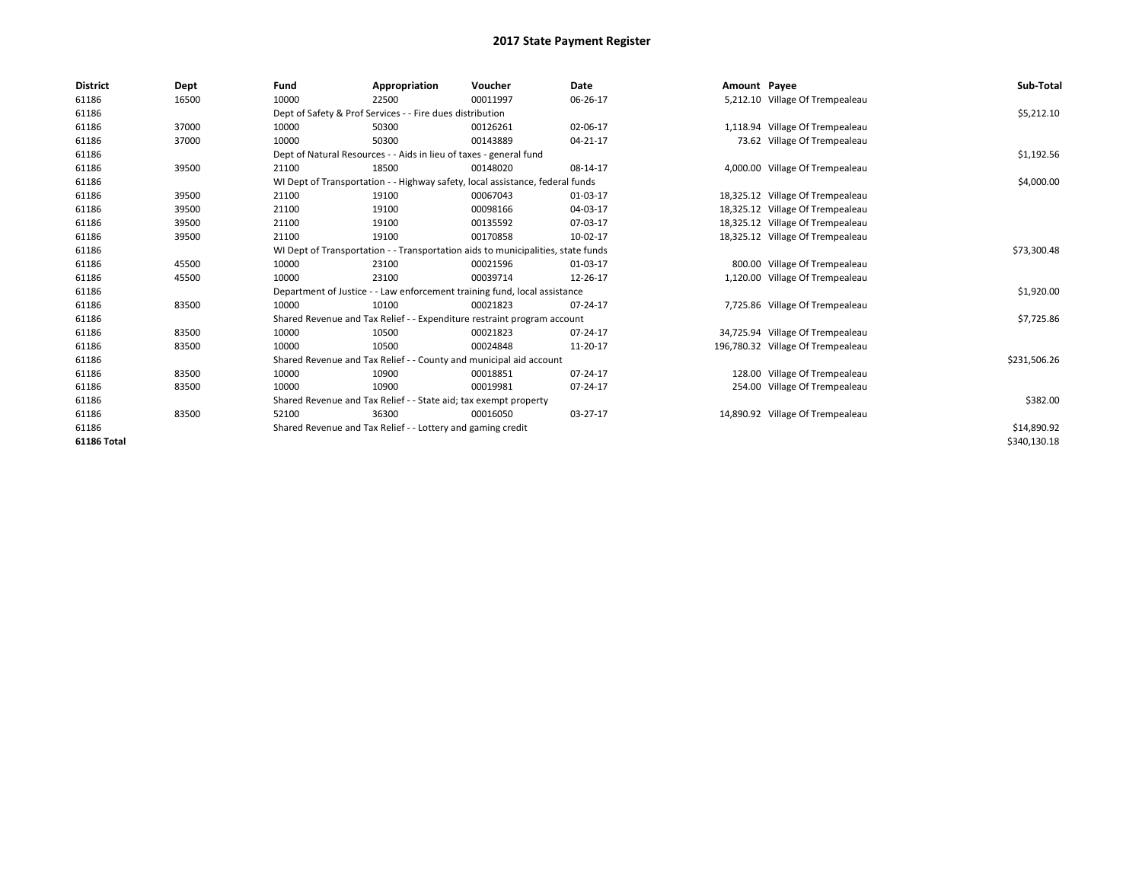| <b>District</b> | Dept  | Fund                                                                             | Appropriation                                                                 | Voucher     | <b>Date</b> | Amount Payee |                                   | Sub-Total    |
|-----------------|-------|----------------------------------------------------------------------------------|-------------------------------------------------------------------------------|-------------|-------------|--------------|-----------------------------------|--------------|
| 61186           | 16500 | 10000                                                                            | 22500                                                                         | 00011997    | 06-26-17    |              | 5,212.10 Village Of Trempealeau   |              |
| 61186           |       |                                                                                  | Dept of Safety & Prof Services - - Fire dues distribution                     |             |             |              |                                   | \$5,212.10   |
| 61186           | 37000 | 10000                                                                            | 50300                                                                         | 00126261    | 02-06-17    |              | 1,118.94 Village Of Trempealeau   |              |
| 61186           | 37000 | 10000                                                                            | 50300                                                                         | 00143889    | 04-21-17    |              | 73.62 Village Of Trempealeau      |              |
| 61186           |       |                                                                                  | Dept of Natural Resources - - Aids in lieu of taxes - general fund            |             |             |              |                                   | \$1,192.56   |
| 61186           | 39500 | 21100                                                                            | 18500                                                                         | 00148020    | 08-14-17    |              | 4,000.00 Village Of Trempealeau   |              |
| 61186           |       |                                                                                  | WI Dept of Transportation - - Highway safety, local assistance, federal funds |             |             |              |                                   | \$4,000.00   |
| 61186           | 39500 | 21100                                                                            | 19100                                                                         | 00067043    | 01-03-17    |              | 18,325.12 Village Of Trempealeau  |              |
| 61186           | 39500 | 21100                                                                            | 19100                                                                         | 00098166    | 04-03-17    |              | 18,325.12 Village Of Trempealeau  |              |
| 61186           | 39500 | 21100                                                                            | 19100                                                                         | 00135592    | 07-03-17    |              | 18,325.12 Village Of Trempealeau  |              |
| 61186           | 39500 | 21100                                                                            | 19100                                                                         | 00170858    | 10-02-17    |              | 18,325.12 Village Of Trempealeau  |              |
| 61186           |       | WI Dept of Transportation - - Transportation aids to municipalities, state funds |                                                                               | \$73,300.48 |             |              |                                   |              |
| 61186           | 45500 | 10000                                                                            | 23100                                                                         | 00021596    | 01-03-17    |              | 800.00 Village Of Trempealeau     |              |
| 61186           | 45500 | 10000                                                                            | 23100                                                                         | 00039714    | 12-26-17    |              | 1,120.00 Village Of Trempealeau   |              |
| 61186           |       |                                                                                  | Department of Justice - - Law enforcement training fund, local assistance     |             |             |              |                                   | \$1,920.00   |
| 61186           | 83500 | 10000                                                                            | 10100                                                                         | 00021823    | 07-24-17    |              | 7,725.86 Village Of Trempealeau   |              |
| 61186           |       |                                                                                  | Shared Revenue and Tax Relief - - Expenditure restraint program account       |             |             |              |                                   | \$7,725.86   |
| 61186           | 83500 | 10000                                                                            | 10500                                                                         | 00021823    | 07-24-17    |              | 34,725.94 Village Of Trempealeau  |              |
| 61186           | 83500 | 10000                                                                            | 10500                                                                         | 00024848    | 11-20-17    |              | 196,780.32 Village Of Trempealeau |              |
| 61186           |       |                                                                                  | Shared Revenue and Tax Relief - - County and municipal aid account            |             |             |              |                                   | \$231,506.26 |
| 61186           | 83500 | 10000                                                                            | 10900                                                                         | 00018851    | 07-24-17    |              | 128.00 Village Of Trempealeau     |              |
| 61186           | 83500 | 10000                                                                            | 10900                                                                         | 00019981    | 07-24-17    |              | 254.00 Village Of Trempealeau     |              |
| 61186           |       |                                                                                  | Shared Revenue and Tax Relief - - State aid; tax exempt property              |             |             |              |                                   | \$382.00     |
| 61186           | 83500 | 52100                                                                            | 36300                                                                         | 00016050    | 03-27-17    |              | 14,890.92 Village Of Trempealeau  |              |
| 61186           |       |                                                                                  | Shared Revenue and Tax Relief - - Lottery and gaming credit                   |             |             |              |                                   | \$14,890.92  |
| 61186 Total     |       |                                                                                  |                                                                               |             |             |              |                                   | \$340,130.18 |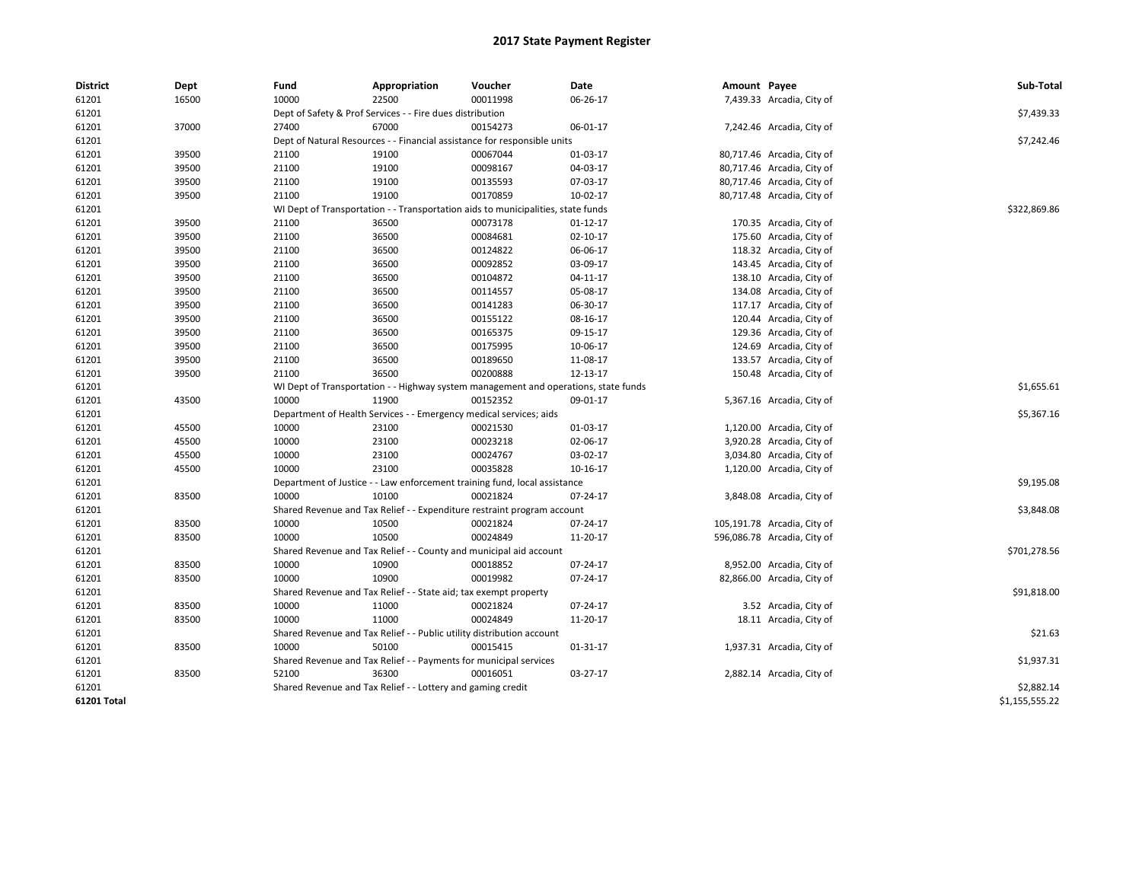| <b>District</b> | Dept  | Fund                                                                             | Appropriation                                                                       | Voucher      | Date     | Amount Payee |                             | Sub-Total      |
|-----------------|-------|----------------------------------------------------------------------------------|-------------------------------------------------------------------------------------|--------------|----------|--------------|-----------------------------|----------------|
| 61201           | 16500 | 10000                                                                            | 22500                                                                               | 00011998     | 06-26-17 |              | 7,439.33 Arcadia, City of   |                |
| 61201           |       |                                                                                  | Dept of Safety & Prof Services - - Fire dues distribution                           |              |          |              |                             | \$7,439.33     |
| 61201           | 37000 | 27400                                                                            | 67000                                                                               | 00154273     | 06-01-17 |              | 7,242.46 Arcadia, City of   |                |
| 61201           |       |                                                                                  | Dept of Natural Resources - - Financial assistance for responsible units            |              |          |              |                             | \$7,242.46     |
| 61201           | 39500 | 21100                                                                            | 19100                                                                               | 00067044     | 01-03-17 |              | 80,717.46 Arcadia, City of  |                |
| 61201           | 39500 | 21100                                                                            | 19100                                                                               | 00098167     | 04-03-17 |              | 80,717.46 Arcadia, City of  |                |
| 61201           | 39500 | 21100                                                                            | 19100                                                                               | 00135593     | 07-03-17 |              | 80,717.46 Arcadia, City of  |                |
| 61201           | 39500 | 21100                                                                            | 19100                                                                               | 00170859     | 10-02-17 |              | 80,717.48 Arcadia, City of  |                |
| 61201           |       | WI Dept of Transportation - - Transportation aids to municipalities, state funds |                                                                                     | \$322,869.86 |          |              |                             |                |
| 61201           | 39500 | 21100                                                                            | 36500                                                                               | 00073178     | 01-12-17 |              | 170.35 Arcadia, City of     |                |
| 61201           | 39500 | 21100                                                                            | 36500                                                                               | 00084681     | 02-10-17 |              | 175.60 Arcadia, City of     |                |
| 61201           | 39500 | 21100                                                                            | 36500                                                                               | 00124822     | 06-06-17 |              | 118.32 Arcadia, City of     |                |
| 61201           | 39500 | 21100                                                                            | 36500                                                                               | 00092852     | 03-09-17 |              | 143.45 Arcadia, City of     |                |
| 61201           | 39500 | 21100                                                                            | 36500                                                                               | 00104872     | 04-11-17 |              | 138.10 Arcadia, City of     |                |
| 61201           | 39500 | 21100                                                                            | 36500                                                                               | 00114557     | 05-08-17 |              | 134.08 Arcadia, City of     |                |
| 61201           | 39500 | 21100                                                                            | 36500                                                                               | 00141283     | 06-30-17 |              | 117.17 Arcadia, City of     |                |
| 61201           | 39500 | 21100                                                                            | 36500                                                                               | 00155122     | 08-16-17 |              | 120.44 Arcadia, City of     |                |
| 61201           | 39500 | 21100                                                                            | 36500                                                                               | 00165375     | 09-15-17 |              | 129.36 Arcadia, City of     |                |
| 61201           | 39500 | 21100                                                                            | 36500                                                                               | 00175995     | 10-06-17 |              | 124.69 Arcadia, City of     |                |
| 61201           | 39500 | 21100                                                                            | 36500                                                                               | 00189650     | 11-08-17 |              | 133.57 Arcadia, City of     |                |
| 61201           | 39500 | 21100                                                                            | 36500                                                                               | 00200888     | 12-13-17 |              | 150.48 Arcadia, City of     |                |
| 61201           |       |                                                                                  | WI Dept of Transportation - - Highway system management and operations, state funds |              |          |              |                             | \$1,655.61     |
| 61201           | 43500 | 10000                                                                            | 11900                                                                               | 00152352     | 09-01-17 |              | 5,367.16 Arcadia, City of   |                |
| 61201           |       |                                                                                  | Department of Health Services - - Emergency medical services; aids                  |              |          |              |                             | \$5,367.16     |
| 61201           | 45500 | 10000                                                                            | 23100                                                                               | 00021530     | 01-03-17 |              | 1,120.00 Arcadia, City of   |                |
| 61201           | 45500 | 10000                                                                            | 23100                                                                               | 00023218     | 02-06-17 |              | 3,920.28 Arcadia, City of   |                |
| 61201           | 45500 | 10000                                                                            | 23100                                                                               | 00024767     | 03-02-17 |              | 3,034.80 Arcadia, City of   |                |
| 61201           | 45500 | 10000                                                                            | 23100                                                                               | 00035828     | 10-16-17 |              | 1,120.00 Arcadia, City of   |                |
| 61201           |       |                                                                                  | Department of Justice - - Law enforcement training fund, local assistance           |              |          |              |                             | \$9,195.08     |
| 61201           | 83500 | 10000                                                                            | 10100                                                                               | 00021824     | 07-24-17 |              | 3,848.08 Arcadia, City of   |                |
| 61201           |       |                                                                                  | Shared Revenue and Tax Relief - - Expenditure restraint program account             |              |          |              |                             | \$3,848.08     |
| 61201           | 83500 | 10000                                                                            | 10500                                                                               | 00021824     | 07-24-17 |              | 105,191.78 Arcadia, City of |                |
| 61201           | 83500 | 10000                                                                            | 10500                                                                               | 00024849     | 11-20-17 |              | 596,086.78 Arcadia, City of |                |
| 61201           |       |                                                                                  | Shared Revenue and Tax Relief - - County and municipal aid account                  |              |          |              |                             | \$701,278.56   |
| 61201           | 83500 | 10000                                                                            | 10900                                                                               | 00018852     | 07-24-17 |              | 8,952.00 Arcadia, City of   |                |
| 61201           | 83500 | 10000                                                                            | 10900                                                                               | 00019982     | 07-24-17 |              | 82,866.00 Arcadia, City of  |                |
| 61201           |       |                                                                                  | Shared Revenue and Tax Relief - - State aid; tax exempt property                    |              |          |              |                             | \$91,818.00    |
| 61201           | 83500 | 10000                                                                            | 11000                                                                               | 00021824     | 07-24-17 |              | 3.52 Arcadia, City of       |                |
| 61201           | 83500 | 10000                                                                            | 11000                                                                               | 00024849     | 11-20-17 |              | 18.11 Arcadia, City of      |                |
| 61201           |       |                                                                                  | Shared Revenue and Tax Relief - - Public utility distribution account               |              |          |              |                             | \$21.63        |
| 61201           | 83500 | 10000                                                                            | 50100                                                                               | 00015415     | 01-31-17 |              | 1,937.31 Arcadia, City of   |                |
| 61201           |       |                                                                                  | Shared Revenue and Tax Relief - - Payments for municipal services                   |              |          |              |                             | \$1,937.31     |
| 61201           | 83500 | 52100                                                                            | 36300                                                                               | 00016051     | 03-27-17 |              | 2,882.14 Arcadia, City of   |                |
| 61201           |       |                                                                                  | Shared Revenue and Tax Relief - - Lottery and gaming credit                         |              |          |              |                             | \$2,882.14     |
| 61201 Total     |       |                                                                                  |                                                                                     |              |          |              |                             | \$1,155,555.22 |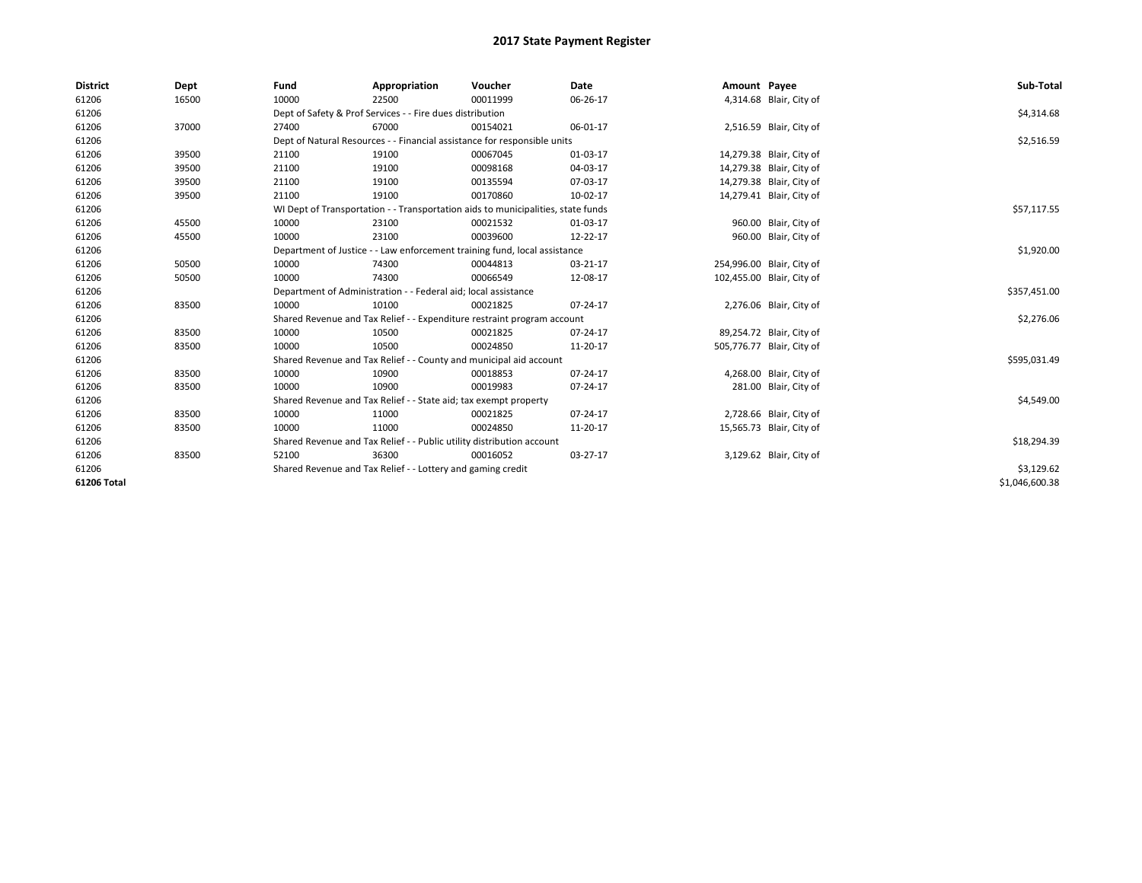| <b>District</b> | Dept  | Fund  | Appropriation                                                                    | Voucher  | Date           | Amount Payee |                           | Sub-Total      |  |  |
|-----------------|-------|-------|----------------------------------------------------------------------------------|----------|----------------|--------------|---------------------------|----------------|--|--|
| 61206           | 16500 | 10000 | 22500                                                                            | 00011999 | 06-26-17       |              | 4,314.68 Blair, City of   |                |  |  |
| 61206           |       |       | Dept of Safety & Prof Services - - Fire dues distribution                        |          |                |              |                           | \$4,314.68     |  |  |
| 61206           | 37000 | 27400 | 67000                                                                            | 00154021 | 06-01-17       |              | 2,516.59 Blair, City of   |                |  |  |
| 61206           |       |       | Dept of Natural Resources - - Financial assistance for responsible units         |          |                |              |                           |                |  |  |
| 61206           | 39500 | 21100 | 19100                                                                            | 00067045 | 01-03-17       |              | 14,279.38 Blair, City of  |                |  |  |
| 61206           | 39500 | 21100 | 19100                                                                            | 00098168 | 04-03-17       |              | 14,279.38 Blair, City of  |                |  |  |
| 61206           | 39500 | 21100 | 19100                                                                            | 00135594 | 07-03-17       |              | 14,279.38 Blair, City of  |                |  |  |
| 61206           | 39500 | 21100 | 19100                                                                            | 00170860 | 10-02-17       |              | 14,279.41 Blair, City of  |                |  |  |
| 61206           |       |       | WI Dept of Transportation - - Transportation aids to municipalities, state funds |          |                |              |                           | \$57,117.55    |  |  |
| 61206           | 45500 | 10000 | 23100                                                                            | 00021532 | 01-03-17       |              | 960.00 Blair, City of     |                |  |  |
| 61206           | 45500 | 10000 | 23100                                                                            | 00039600 | 12-22-17       |              | 960.00 Blair, City of     |                |  |  |
| 61206           |       |       | Department of Justice - - Law enforcement training fund, local assistance        |          |                |              |                           | \$1,920.00     |  |  |
| 61206           | 50500 | 10000 | 74300                                                                            | 00044813 | 03-21-17       |              | 254,996.00 Blair, City of |                |  |  |
| 61206           | 50500 | 10000 | 74300                                                                            | 00066549 | 12-08-17       |              | 102,455.00 Blair, City of |                |  |  |
| 61206           |       |       | Department of Administration - - Federal aid; local assistance                   |          |                |              |                           | \$357,451.00   |  |  |
| 61206           | 83500 | 10000 | 10100                                                                            | 00021825 | 07-24-17       |              | 2,276.06 Blair, City of   |                |  |  |
| 61206           |       |       | Shared Revenue and Tax Relief - - Expenditure restraint program account          |          |                |              |                           | \$2,276.06     |  |  |
| 61206           | 83500 | 10000 | 10500                                                                            | 00021825 | 07-24-17       |              | 89,254.72 Blair, City of  |                |  |  |
| 61206           | 83500 | 10000 | 10500                                                                            | 00024850 | 11-20-17       |              | 505,776.77 Blair, City of |                |  |  |
| 61206           |       |       | Shared Revenue and Tax Relief - - County and municipal aid account               |          |                |              |                           | \$595,031.49   |  |  |
| 61206           | 83500 | 10000 | 10900                                                                            | 00018853 | $07 - 24 - 17$ |              | 4,268.00 Blair, City of   |                |  |  |
| 61206           | 83500 | 10000 | 10900                                                                            | 00019983 | 07-24-17       |              | 281.00 Blair, City of     |                |  |  |
| 61206           |       |       | Shared Revenue and Tax Relief - - State aid; tax exempt property                 |          |                |              |                           | \$4,549.00     |  |  |
| 61206           | 83500 | 10000 | 11000                                                                            | 00021825 | $07 - 24 - 17$ |              | 2,728.66 Blair, City of   |                |  |  |
| 61206           | 83500 | 10000 | 11000                                                                            | 00024850 | 11-20-17       |              | 15,565.73 Blair, City of  |                |  |  |
| 61206           |       |       | Shared Revenue and Tax Relief - - Public utility distribution account            |          |                |              |                           | \$18,294.39    |  |  |
| 61206           | 83500 | 52100 | 36300                                                                            | 00016052 | 03-27-17       |              | 3,129.62 Blair, City of   |                |  |  |
| 61206           |       |       | Shared Revenue and Tax Relief - - Lottery and gaming credit                      |          |                |              |                           | \$3,129.62     |  |  |
| 61206 Total     |       |       |                                                                                  |          |                |              |                           | \$1,046,600.38 |  |  |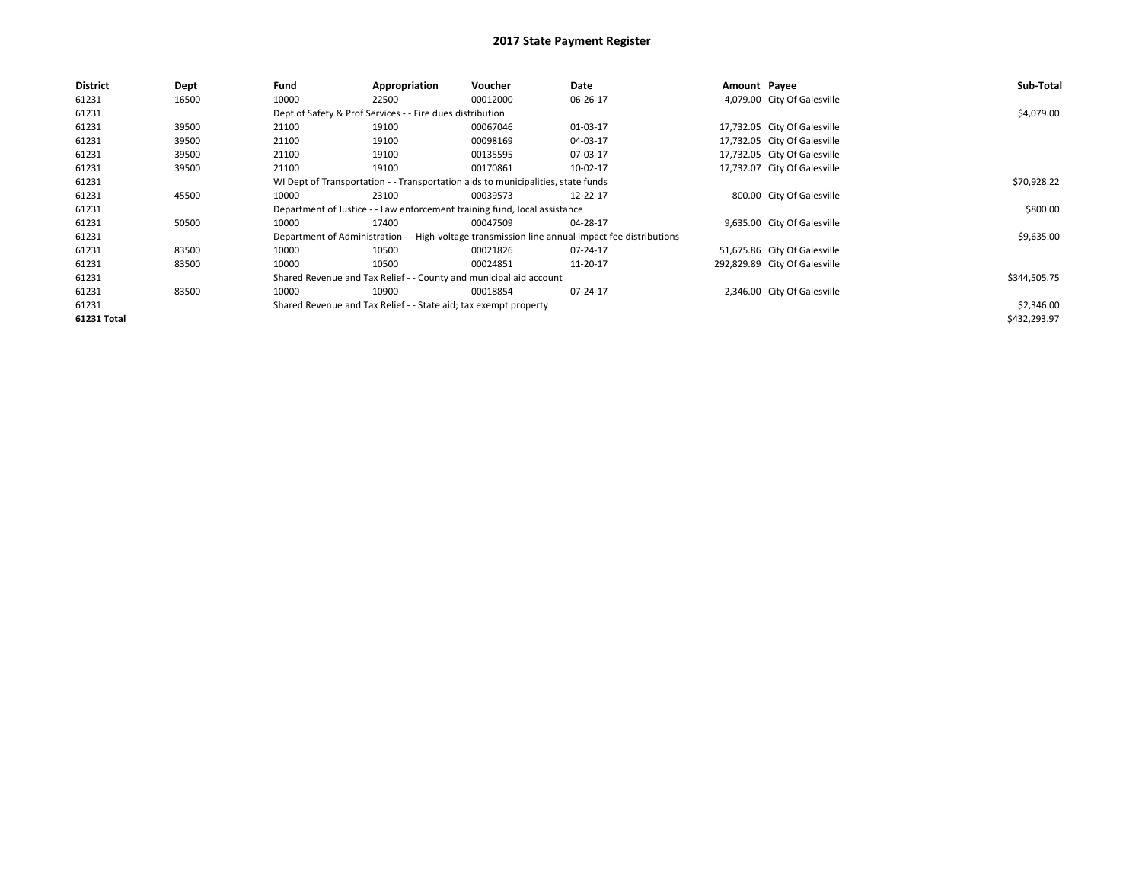| <b>District</b>    | Dept  | Fund                                                                             | Appropriation                                                    | <b>Voucher</b>                                                            | Date                                                                                            | Amount Payee |                               | Sub-Total    |
|--------------------|-------|----------------------------------------------------------------------------------|------------------------------------------------------------------|---------------------------------------------------------------------------|-------------------------------------------------------------------------------------------------|--------------|-------------------------------|--------------|
| 61231              | 16500 | 10000                                                                            | 22500                                                            | 00012000                                                                  | 06-26-17                                                                                        |              | 4,079.00 City Of Galesville   |              |
| 61231              |       |                                                                                  | Dept of Safety & Prof Services - - Fire dues distribution        |                                                                           |                                                                                                 |              |                               | \$4,079.00   |
| 61231              | 39500 | 21100                                                                            | 19100                                                            | 00067046                                                                  | 01-03-17                                                                                        |              | 17,732.05 City Of Galesville  |              |
| 61231              | 39500 | 21100                                                                            | 19100                                                            | 00098169                                                                  | 04-03-17                                                                                        |              | 17,732.05 City Of Galesville  |              |
| 61231              | 39500 | 21100                                                                            | 19100                                                            | 00135595                                                                  | 07-03-17                                                                                        |              | 17,732.05 City Of Galesville  |              |
| 61231              | 39500 | 21100                                                                            | 19100                                                            | 00170861                                                                  | 10-02-17                                                                                        |              | 17,732.07 City Of Galesville  |              |
| 61231              |       | WI Dept of Transportation - - Transportation aids to municipalities, state funds |                                                                  | \$70,928.22                                                               |                                                                                                 |              |                               |              |
| 61231              | 45500 | 10000                                                                            | 23100                                                            | 00039573                                                                  | 12-22-17                                                                                        |              | 800.00 City Of Galesville     |              |
| 61231              |       |                                                                                  |                                                                  | Department of Justice - - Law enforcement training fund, local assistance |                                                                                                 |              |                               | \$800.00     |
| 61231              | 50500 | 10000                                                                            | 17400                                                            | 00047509                                                                  | 04-28-17                                                                                        |              | 9,635.00 City Of Galesville   |              |
| 61231              |       |                                                                                  |                                                                  |                                                                           | Department of Administration - - High-voltage transmission line annual impact fee distributions |              |                               | \$9,635.00   |
| 61231              | 83500 | 10000                                                                            | 10500                                                            | 00021826                                                                  | 07-24-17                                                                                        |              | 51,675.86 City Of Galesville  |              |
| 61231              | 83500 | 10000                                                                            | 10500                                                            | 00024851                                                                  | 11-20-17                                                                                        |              | 292,829.89 City Of Galesville |              |
| 61231              |       |                                                                                  |                                                                  | Shared Revenue and Tax Relief - - County and municipal aid account        |                                                                                                 |              |                               | \$344,505.75 |
| 61231              | 83500 | 10000                                                                            | 10900                                                            | 00018854                                                                  | 07-24-17                                                                                        |              | 2,346.00 City Of Galesville   |              |
| 61231              |       |                                                                                  | Shared Revenue and Tax Relief - - State aid; tax exempt property |                                                                           |                                                                                                 |              |                               | \$2,346.00   |
| <b>61231 Total</b> |       |                                                                                  |                                                                  |                                                                           |                                                                                                 |              |                               | \$432,293.97 |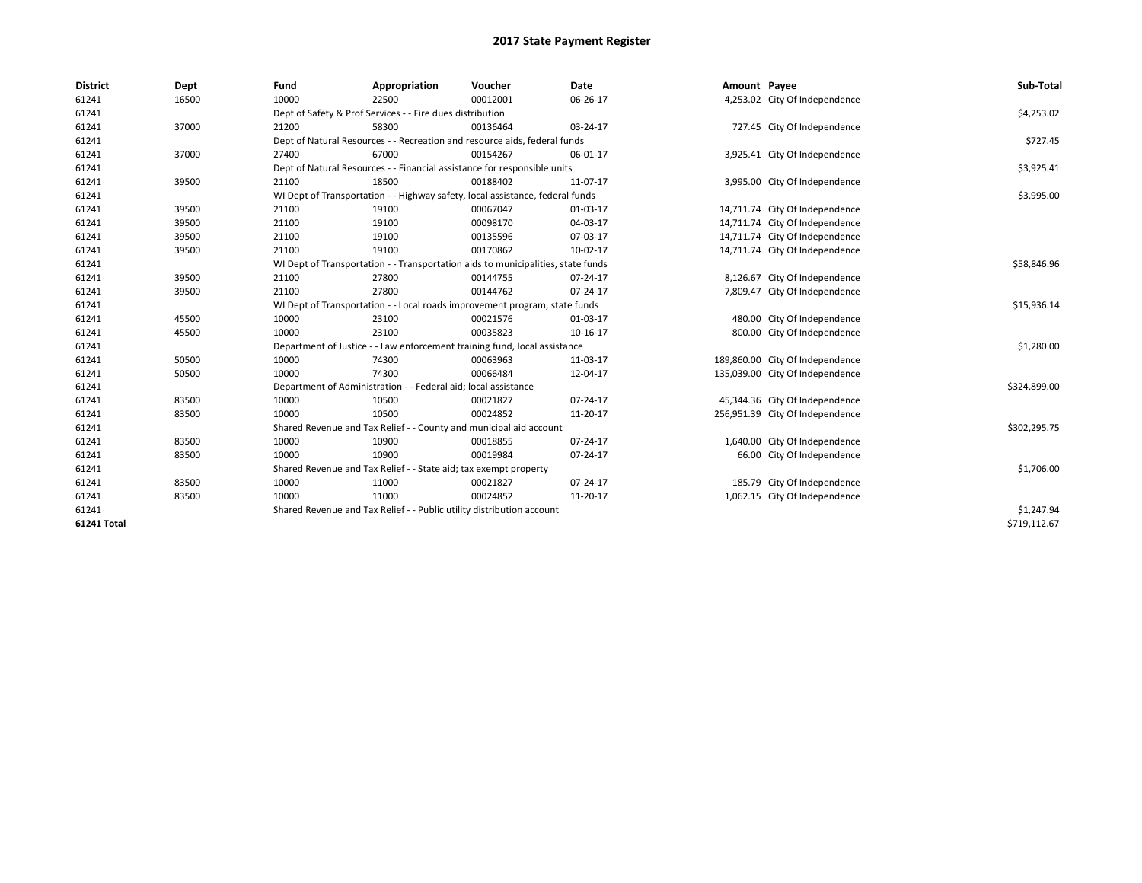| <b>District</b>    | Dept  | Fund  | Appropriation                                                                    | Voucher  | Date     | Amount Payee |                                 | Sub-Total    |  |
|--------------------|-------|-------|----------------------------------------------------------------------------------|----------|----------|--------------|---------------------------------|--------------|--|
| 61241              | 16500 | 10000 | 22500                                                                            | 00012001 | 06-26-17 |              | 4,253.02 City Of Independence   |              |  |
| 61241              |       |       | Dept of Safety & Prof Services - - Fire dues distribution                        |          |          |              |                                 | \$4,253.02   |  |
| 61241              | 37000 | 21200 | 58300                                                                            | 00136464 | 03-24-17 |              | 727.45 City Of Independence     |              |  |
| 61241              |       |       | Dept of Natural Resources - - Recreation and resource aids, federal funds        |          |          |              |                                 | \$727.45     |  |
| 61241              | 37000 | 27400 | 67000                                                                            | 00154267 | 06-01-17 |              | 3,925.41 City Of Independence   |              |  |
| 61241              |       |       | Dept of Natural Resources - - Financial assistance for responsible units         |          |          |              |                                 |              |  |
| 61241              | 39500 | 21100 | 18500                                                                            | 00188402 | 11-07-17 |              | 3,995.00 City Of Independence   |              |  |
| 61241              |       |       | WI Dept of Transportation - - Highway safety, local assistance, federal funds    |          |          |              |                                 | \$3,995.00   |  |
| 61241              | 39500 | 21100 | 19100                                                                            | 00067047 | 01-03-17 |              | 14,711.74 City Of Independence  |              |  |
| 61241              | 39500 | 21100 | 19100                                                                            | 00098170 | 04-03-17 |              | 14,711.74 City Of Independence  |              |  |
| 61241              | 39500 | 21100 | 19100                                                                            | 00135596 | 07-03-17 |              | 14,711.74 City Of Independence  |              |  |
| 61241              | 39500 | 21100 | 19100                                                                            | 00170862 | 10-02-17 |              | 14,711.74 City Of Independence  |              |  |
| 61241              |       |       | WI Dept of Transportation - - Transportation aids to municipalities, state funds |          |          |              |                                 | \$58,846.96  |  |
| 61241              | 39500 | 21100 | 27800                                                                            | 00144755 | 07-24-17 |              | 8,126.67 City Of Independence   |              |  |
| 61241              | 39500 | 21100 | 27800                                                                            | 00144762 | 07-24-17 |              | 7,809.47 City Of Independence   |              |  |
| 61241              |       |       | WI Dept of Transportation - - Local roads improvement program, state funds       |          |          |              |                                 | \$15,936.14  |  |
| 61241              | 45500 | 10000 | 23100                                                                            | 00021576 | 01-03-17 |              | 480.00 City Of Independence     |              |  |
| 61241              | 45500 | 10000 | 23100                                                                            | 00035823 | 10-16-17 |              | 800.00 City Of Independence     |              |  |
| 61241              |       |       | Department of Justice - - Law enforcement training fund, local assistance        |          |          |              |                                 | \$1,280.00   |  |
| 61241              | 50500 | 10000 | 74300                                                                            | 00063963 | 11-03-17 |              | 189,860.00 City Of Independence |              |  |
| 61241              | 50500 | 10000 | 74300                                                                            | 00066484 | 12-04-17 |              | 135,039.00 City Of Independence |              |  |
| 61241              |       |       | Department of Administration - - Federal aid; local assistance                   |          |          |              |                                 | \$324,899.00 |  |
| 61241              | 83500 | 10000 | 10500                                                                            | 00021827 | 07-24-17 |              | 45,344.36 City Of Independence  |              |  |
| 61241              | 83500 | 10000 | 10500                                                                            | 00024852 | 11-20-17 |              | 256,951.39 City Of Independence |              |  |
| 61241              |       |       | Shared Revenue and Tax Relief - - County and municipal aid account               |          |          |              |                                 | \$302,295.75 |  |
| 61241              | 83500 | 10000 | 10900                                                                            | 00018855 | 07-24-17 |              | 1,640.00 City Of Independence   |              |  |
| 61241              | 83500 | 10000 | 10900                                                                            | 00019984 | 07-24-17 |              | 66.00 City Of Independence      |              |  |
| 61241              |       |       | Shared Revenue and Tax Relief - - State aid; tax exempt property                 |          |          |              |                                 | \$1,706.00   |  |
| 61241              | 83500 | 10000 | 11000                                                                            | 00021827 | 07-24-17 |              | 185.79 City Of Independence     |              |  |
| 61241              | 83500 | 10000 | 11000                                                                            | 00024852 | 11-20-17 |              | 1,062.15 City Of Independence   |              |  |
| 61241              |       |       | Shared Revenue and Tax Relief - - Public utility distribution account            |          |          |              |                                 | \$1,247.94   |  |
| <b>61241 Total</b> |       |       |                                                                                  |          |          |              |                                 | \$719,112.67 |  |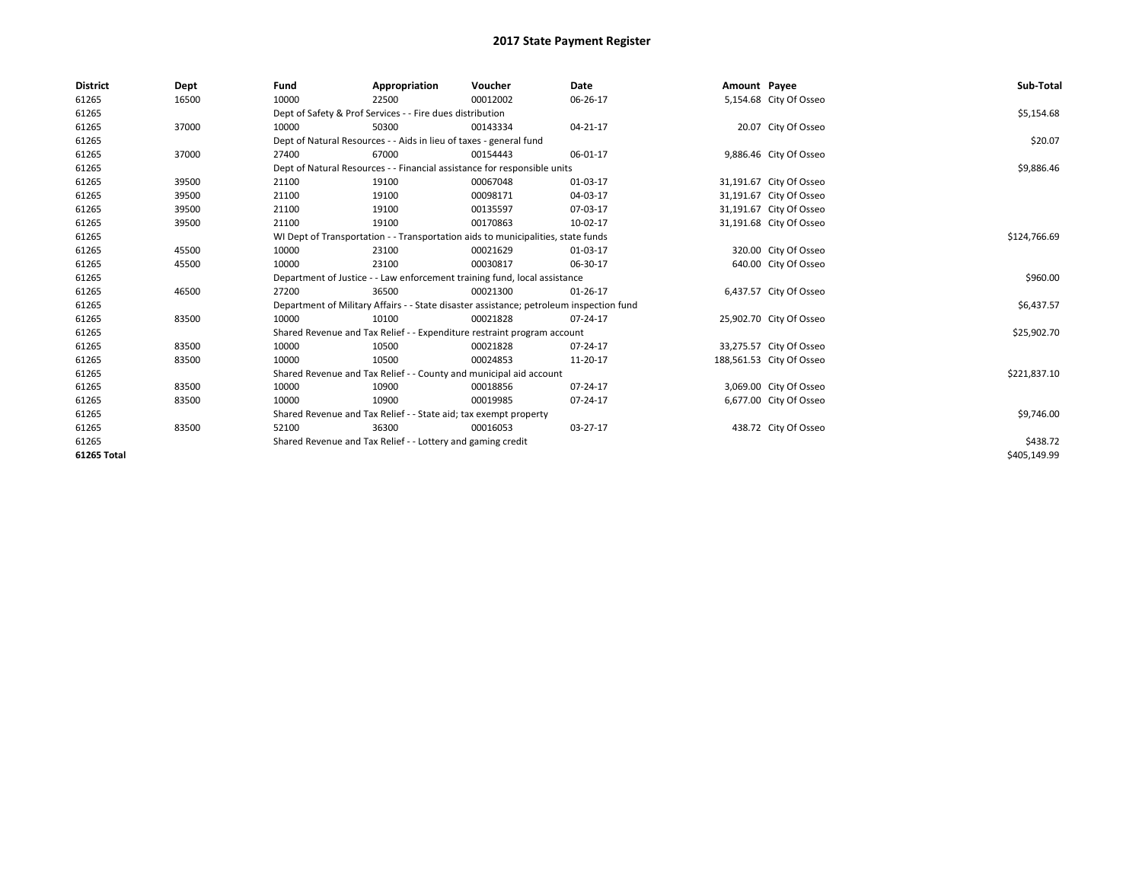| <b>District</b> | Dept  | Fund  | Appropriation                                                                           | Voucher  | <b>Date</b> | Amount Payee |                          | Sub-Total    |
|-----------------|-------|-------|-----------------------------------------------------------------------------------------|----------|-------------|--------------|--------------------------|--------------|
| 61265           | 16500 | 10000 | 22500                                                                                   | 00012002 | 06-26-17    |              | 5,154.68 City Of Osseo   |              |
| 61265           |       |       | Dept of Safety & Prof Services - - Fire dues distribution                               |          |             |              |                          | \$5,154.68   |
| 61265           | 37000 | 10000 | 50300                                                                                   | 00143334 | 04-21-17    |              | 20.07 City Of Osseo      |              |
| 61265           |       |       | Dept of Natural Resources - - Aids in lieu of taxes - general fund                      |          |             |              |                          | \$20.07      |
| 61265           | 37000 | 27400 | 67000                                                                                   | 00154443 | 06-01-17    |              | 9,886.46 City Of Osseo   |              |
| 61265           |       |       | Dept of Natural Resources - - Financial assistance for responsible units                |          |             |              |                          | \$9,886.46   |
| 61265           | 39500 | 21100 | 19100                                                                                   | 00067048 | 01-03-17    |              | 31,191.67 City Of Osseo  |              |
| 61265           | 39500 | 21100 | 19100                                                                                   | 00098171 | 04-03-17    |              | 31,191.67 City Of Osseo  |              |
| 61265           | 39500 | 21100 | 19100                                                                                   | 00135597 | 07-03-17    |              | 31,191.67 City Of Osseo  |              |
| 61265           | 39500 | 21100 | 19100                                                                                   | 00170863 | 10-02-17    |              | 31,191.68 City Of Osseo  |              |
| 61265           |       |       | WI Dept of Transportation - - Transportation aids to municipalities, state funds        |          |             |              |                          | \$124,766.69 |
| 61265           | 45500 | 10000 | 23100                                                                                   | 00021629 | 01-03-17    |              | 320.00 City Of Osseo     |              |
| 61265           | 45500 | 10000 | 23100                                                                                   | 00030817 | 06-30-17    |              | 640.00 City Of Osseo     |              |
| 61265           |       |       | Department of Justice - - Law enforcement training fund, local assistance               |          |             |              |                          | \$960.00     |
| 61265           | 46500 | 27200 | 36500                                                                                   | 00021300 | 01-26-17    |              | 6,437.57 City Of Osseo   |              |
| 61265           |       |       | Department of Military Affairs - - State disaster assistance; petroleum inspection fund |          |             |              |                          | \$6,437.57   |
| 61265           | 83500 | 10000 | 10100                                                                                   | 00021828 | 07-24-17    |              | 25,902.70 City Of Osseo  |              |
| 61265           |       |       | Shared Revenue and Tax Relief - - Expenditure restraint program account                 |          |             |              |                          | \$25,902.70  |
| 61265           | 83500 | 10000 | 10500                                                                                   | 00021828 | 07-24-17    |              | 33,275.57 City Of Osseo  |              |
| 61265           | 83500 | 10000 | 10500                                                                                   | 00024853 | 11-20-17    |              | 188,561.53 City Of Osseo |              |
| 61265           |       |       | Shared Revenue and Tax Relief - - County and municipal aid account                      |          |             |              |                          | \$221,837.10 |
| 61265           | 83500 | 10000 | 10900                                                                                   | 00018856 | 07-24-17    |              | 3,069.00 City Of Osseo   |              |
| 61265           | 83500 | 10000 | 10900                                                                                   | 00019985 | 07-24-17    |              | 6,677.00 City Of Osseo   |              |
| 61265           |       |       | Shared Revenue and Tax Relief - - State aid; tax exempt property                        |          |             |              |                          | \$9,746.00   |
| 61265           | 83500 | 52100 | 36300                                                                                   | 00016053 | 03-27-17    |              | 438.72 City Of Osseo     |              |
| 61265           |       |       | Shared Revenue and Tax Relief - - Lottery and gaming credit                             |          |             |              |                          | \$438.72     |
| 61265 Total     |       |       |                                                                                         |          |             |              |                          | \$405,149.99 |